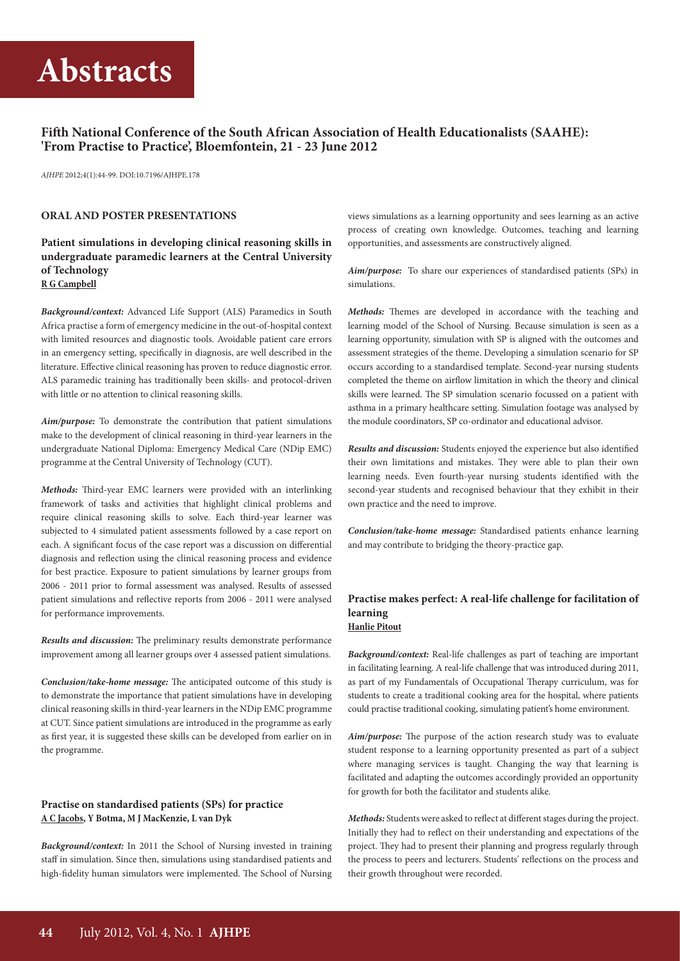

# **Fifth National Conference of the South African Association of Health Educationalists (SAAHE): 'From Practise to Practice', Bloemfontein, 21 - 23 June 2012**

*AJHPE* 2012;4(1):44-99. DOI:10.7196/AJHPE.178

#### **ORAL AND POSTER PRESENTATIONS**

**Patient simulations in developing clinical reasoning skills in undergraduate paramedic learners at the Central University of Technology R G Campbell**

*Background/context:* Advanced Life Support (ALS) Paramedics in South Africa practise a form of emergency medicine in the out-of-hospital context with limited resources and diagnostic tools. Avoidable patient care errors in an emergency setting, specifically in diagnosis, are well described in the literature. Effective clinical reasoning has proven to reduce diagnostic error. ALS paramedic training has traditionally been skills- and protocol-driven with little or no attention to clinical reasoning skills.

*Aim/purpose:* To demonstrate the contribution that patient simulations make to the development of clinical reasoning in third-year learners in the undergraduate National Diploma: Emergency Medical Care (NDip EMC) programme at the Central University of Technology (CUT).

*Methods:* Third-year EMC learners were provided with an interlinking framework of tasks and activities that highlight clinical problems and require clinical reasoning skills to solve. Each third-year learner was subjected to 4 simulated patient assessments followed by a case report on each. A significant focus of the case report was a discussion on differential diagnosis and reflection using the clinical reasoning process and evidence for best practice. Exposure to patient simulations by learner groups from 2006 - 2011 prior to formal assessment was analysed. Results of assessed patient simulations and reflective reports from 2006 - 2011 were analysed for performance improvements.

*Results and discussion:* The preliminary results demonstrate performance improvement among all learner groups over 4 assessed patient simulations.

*Conclusion/take-home message:* The anticipated outcome of this study is to demonstrate the importance that patient simulations have in developing clinical reasoning skills in third-year learners in the NDip EMC programme at CUT. Since patient simulations are introduced in the programme as early as first year, it is suggested these skills can be developed from earlier on in the programme.

## **Practise on standardised patients (SPs) for practice A C Jacobs, Y Botma, M J MacKenzie, L van Dyk**

*Background/context:* In 2011 the School of Nursing invested in training staff in simulation. Since then, simulations using standardised patients and high-fidelity human simulators were implemented. The School of Nursing views simulations as a learning opportunity and sees learning as an active process of creating own knowledge. Outcomes, teaching and learning opportunities, and assessments are constructively aligned.

*Aim/purpose:* To share our experiences of standardised patients (SPs) in simulations.

*Methods:* Themes are developed in accordance with the teaching and learning model of the School of Nursing. Because simulation is seen as a learning opportunity, simulation with SP is aligned with the outcomes and assessment strategies of the theme. Developing a simulation scenario for SP occurs according to a standardised template. Second-year nursing students completed the theme on airflow limitation in which the theory and clinical skills were learned. The SP simulation scenario focussed on a patient with asthma in a primary healthcare setting. Simulation footage was analysed by the module coordinators, SP co-ordinator and educational advisor.

*Results and discussion:* Students enjoyed the experience but also identified their own limitations and mistakes. They were able to plan their own learning needs. Even fourth-year nursing students identified with the second-year students and recognised behaviour that they exhibit in their own practice and the need to improve.

*Conclusion/take-home message:* Standardised patients enhance learning and may contribute to bridging the theory-practice gap.

#### **Practise makes perfect: A real-life challenge for facilitation of learning Hanlie Pitout**

*Background/context:* Real-life challenges as part of teaching are important in facilitating learning. A real-life challenge that was introduced during 2011, as part of my Fundamentals of Occupational Therapy curriculum, was for students to create a traditional cooking area for the hospital, where patients could practise traditional cooking, simulating patient's home environment.

*Aim/purpose:* The purpose of the action research study was to evaluate student response to a learning opportunity presented as part of a subject where managing services is taught. Changing the way that learning is facilitated and adapting the outcomes accordingly provided an opportunity for growth for both the facilitator and students alike.

*Methods:* Students were asked to reflect at different stages during the project. Initially they had to reflect on their understanding and expectations of the project. They had to present their planning and progress regularly through the process to peers and lecturers. Students' reflections on the process and their growth throughout were recorded.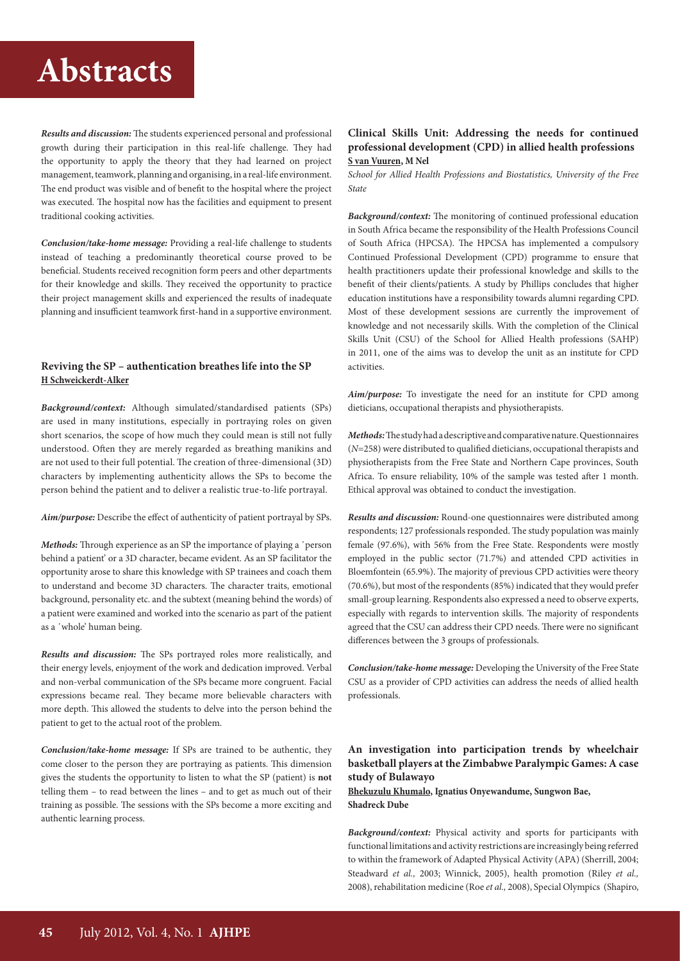*Results and discussion:* The students experienced personal and professional growth during their participation in this real-life challenge. They had the opportunity to apply the theory that they had learned on project management, teamwork, planning and organising, in a real-life environment. The end product was visible and of benefit to the hospital where the project was executed. The hospital now has the facilities and equipment to present traditional cooking activities.

*Conclusion/take-home message:* Providing a real-life challenge to students instead of teaching a predominantly theoretical course proved to be beneficial. Students received recognition form peers and other departments for their knowledge and skills. They received the opportunity to practice their project management skills and experienced the results of inadequate planning and insufficient teamwork first-hand in a supportive environment.

## **Reviving the SP – authentication breathes life into the SP H Schweickerdt-Alker**

*Background/context:* Although simulated/standardised patients (SPs) are used in many institutions, especially in portraying roles on given short scenarios, the scope of how much they could mean is still not fully understood. Often they are merely regarded as breathing manikins and are not used to their full potential. The creation of three-dimensional (3D) characters by implementing authenticity allows the SPs to become the person behind the patient and to deliver a realistic true-to-life portrayal.

*Aim/purpose:* Describe the effect of authenticity of patient portrayal by SPs.

*Methods:* Through experience as an SP the importance of playing a 'person behind a patient' or a 3D character, became evident. As an SP facilitator the opportunity arose to share this knowledge with SP trainees and coach them to understand and become 3D characters. The character traits, emotional background, personality etc. and the subtext (meaning behind the words) of a patient were examined and worked into the scenario as part of the patient as a 'whole' human being.

*Results and discussion:* The SPs portrayed roles more realistically, and their energy levels, enjoyment of the work and dedication improved. Verbal and non-verbal communication of the SPs became more congruent. Facial expressions became real. They became more believable characters with more depth. This allowed the students to delve into the person behind the patient to get to the actual root of the problem.

*Conclusion/take-home message:* If SPs are trained to be authentic, they come closer to the person they are portraying as patients. This dimension gives the students the opportunity to listen to what the SP (patient) is **not**  telling them – to read between the lines – and to get as much out of their training as possible. The sessions with the SPs become a more exciting and authentic learning process.

#### **Clinical Skills Unit: Addressing the needs for continued professional development (CPD) in allied health professions S van Vuuren, M Nel**

*School for Allied Health Professions and Biostatistics, University of the Free State*

*Background/context:* The monitoring of continued professional education in South Africa became the responsibility of the Health Professions Council of South Africa (HPCSA). The HPCSA has implemented a compulsory Continued Professional Development (CPD) programme to ensure that health practitioners update their professional knowledge and skills to the benefit of their clients/patients. A study by Phillips concludes that higher education institutions have a responsibility towards alumni regarding CPD. Most of these development sessions are currently the improvement of knowledge and not necessarily skills. With the completion of the Clinical Skills Unit (CSU) of the School for Allied Health professions (SAHP) in 2011, one of the aims was to develop the unit as an institute for CPD activities.

*Aim/purpose:* To investigate the need for an institute for CPD among dieticians, occupational therapists and physiotherapists.

*Methods:* The study had a descriptive and comparative nature. Questionnaires (*N*=258) were distributed to qualified dieticians, occupational therapists and physiotherapists from the Free State and Northern Cape provinces, South Africa. To ensure reliability, 10% of the sample was tested after 1 month. Ethical approval was obtained to conduct the investigation.

*Results and discussion:* Round-one questionnaires were distributed among respondents; 127 professionals responded. The study population was mainly female (97.6%), with 56% from the Free State. Respondents were mostly employed in the public sector (71.7%) and attended CPD activities in Bloemfontein (65.9%). The majority of previous CPD activities were theory (70.6%), but most of the respondents (85%) indicated that they would prefer small-group learning. Respondents also expressed a need to observe experts, especially with regards to intervention skills. The majority of respondents agreed that the CSU can address their CPD needs. There were no significant differences between the 3 groups of professionals.

*Conclusion/take-home message:* Developing the University of the Free State CSU as a provider of CPD activities can address the needs of allied health professionals.

### **An investigation into participation trends by wheelchair basketball players at the Zimbabwe Paralympic Games: A case study of Bulawayo**

**Bhekuzulu Khumalo, Ignatius Onyewandume, Sungwon Bae, Shadreck Dube**

*Background/context:* Physical activity and sports for participants with functional limitations and activity restrictions are increasingly being referred to within the framework of Adapted Physical Activity (APA) (Sherrill, 2004; Steadward *et al.,* 2003; Winnick, 2005), health promotion (Riley *et al.,* 2008), rehabilitation medicine (Roe *et al.,* 2008), Special Olympics (Shapiro,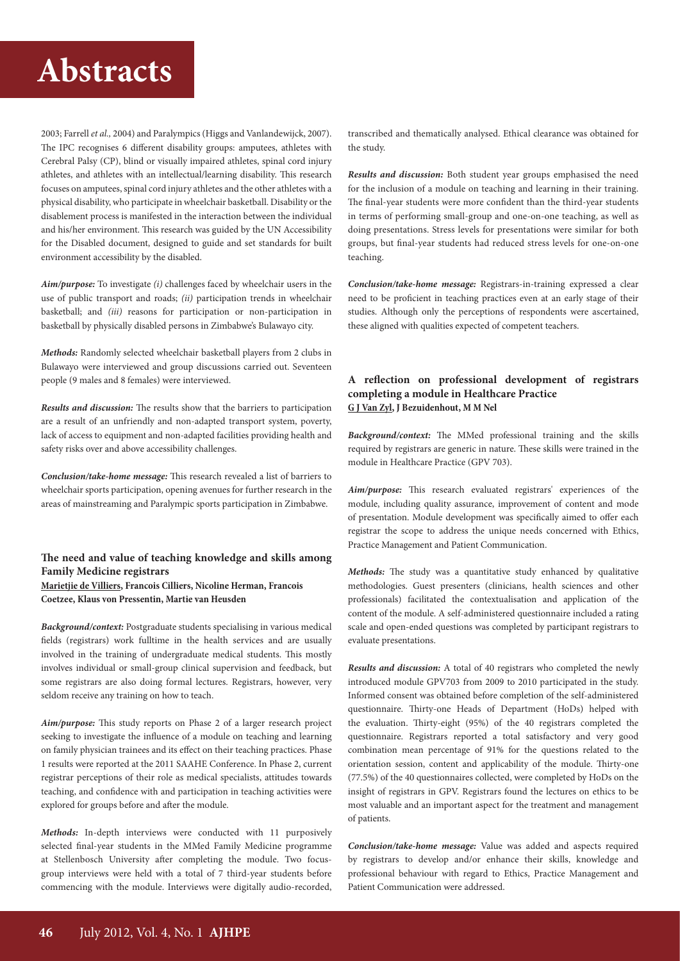2003; Farrell *et al.,* 2004) and Paralympics (Higgs and Vanlandewijck, 2007). The IPC recognises 6 different disability groups: amputees, athletes with Cerebral Palsy (CP), blind or visually impaired athletes, spinal cord injury athletes, and athletes with an intellectual/learning disability. This research focuses on amputees, spinal cord injury athletes and the other athletes with a physical disability, who participate in wheelchair basketball. Disability or the disablement process is manifested in the interaction between the individual and his/her environment. This research was guided by the UN Accessibility for the Disabled document, designed to guide and set standards for built environment accessibility by the disabled.

*Aim/purpose:* To investigate *(i)* challenges faced by wheelchair users in the use of public transport and roads; *(ii)* participation trends in wheelchair basketball; and *(iii)* reasons for participation or non-participation in basketball by physically disabled persons in Zimbabwe's Bulawayo city.

*Methods:* Randomly selected wheelchair basketball players from 2 clubs in Bulawayo were interviewed and group discussions carried out. Seventeen people (9 males and 8 females) were interviewed.

*Results and discussion:* The results show that the barriers to participation are a result of an unfriendly and non-adapted transport system, poverty, lack of access to equipment and non-adapted facilities providing health and safety risks over and above accessibility challenges.

*Conclusion/take-home message:* This research revealed a list of barriers to wheelchair sports participation, opening avenues for further research in the areas of mainstreaming and Paralympic sports participation in Zimbabwe.

# **The need and value of teaching knowledge and skills among Family Medicine registrars Marietjie de Villiers, Francois Cilliers, Nicoline Herman, Francois Coetzee, Klaus von Pressentin, Martie van Heusden**

*Background/context:* Postgraduate students specialising in various medical fields (registrars) work fulltime in the health services and are usually involved in the training of undergraduate medical students. This mostly involves individual or small-group clinical supervision and feedback, but some registrars are also doing formal lectures. Registrars, however, very seldom receive any training on how to teach.

*Aim/purpose:* This study reports on Phase 2 of a larger research project seeking to investigate the influence of a module on teaching and learning on family physician trainees and its effect on their teaching practices. Phase 1 results were reported at the 2011 SAAHE Conference. In Phase 2, current registrar perceptions of their role as medical specialists, attitudes towards teaching, and confidence with and participation in teaching activities were explored for groups before and after the module.

*Methods:* In-depth interviews were conducted with 11 purposively selected final-year students in the MMed Family Medicine programme at Stellenbosch University after completing the module. Two focusgroup interviews were held with a total of 7 third-year students before commencing with the module. Interviews were digitally audio-recorded, transcribed and thematically analysed. Ethical clearance was obtained for the study.

*Results and discussion:* Both student year groups emphasised the need for the inclusion of a module on teaching and learning in their training. The final-year students were more confident than the third-year students in terms of performing small-group and one-on-one teaching, as well as doing presentations. Stress levels for presentations were similar for both groups, but final-year students had reduced stress levels for one-on-one teaching.

*Conclusion/take-home message:* Registrars-in-training expressed a clear need to be proficient in teaching practices even at an early stage of their studies. Although only the perceptions of respondents were ascertained, these aligned with qualities expected of competent teachers.

## **A reflection on professional development of registrars completing a module in Healthcare Practice G J Van Zyl, J Bezuidenhout, M M Nel**

*Background/context:* The MMed professional training and the skills required by registrars are generic in nature. These skills were trained in the module in Healthcare Practice (GPV 703).

*Aim/purpose:* This research evaluated registrars' experiences of the module, including quality assurance, improvement of content and mode of presentation. Module development was specifically aimed to offer each registrar the scope to address the unique needs concerned with Ethics, Practice Management and Patient Communication.

*Methods:* The study was a quantitative study enhanced by qualitative methodologies. Guest presenters (clinicians, health sciences and other professionals) facilitated the contextualisation and application of the content of the module. A self-administered questionnaire included a rating scale and open-ended questions was completed by participant registrars to evaluate presentations.

*Results and discussion:* A total of 40 registrars who completed the newly introduced module GPV703 from 2009 to 2010 participated in the study. Informed consent was obtained before completion of the self-administered questionnaire. Thirty-one Heads of Department (HoDs) helped with the evaluation. Thirty-eight (95%) of the 40 registrars completed the questionnaire. Registrars reported a total satisfactory and very good combination mean percentage of 91% for the questions related to the orientation session, content and applicability of the module. Thirty-one (77.5%) of the 40 questionnaires collected, were completed by HoDs on the insight of registrars in GPV. Registrars found the lectures on ethics to be most valuable and an important aspect for the treatment and management of patients.

*Conclusion/take-home message:* Value was added and aspects required by registrars to develop and/or enhance their skills, knowledge and professional behaviour with regard to Ethics, Practice Management and Patient Communication were addressed.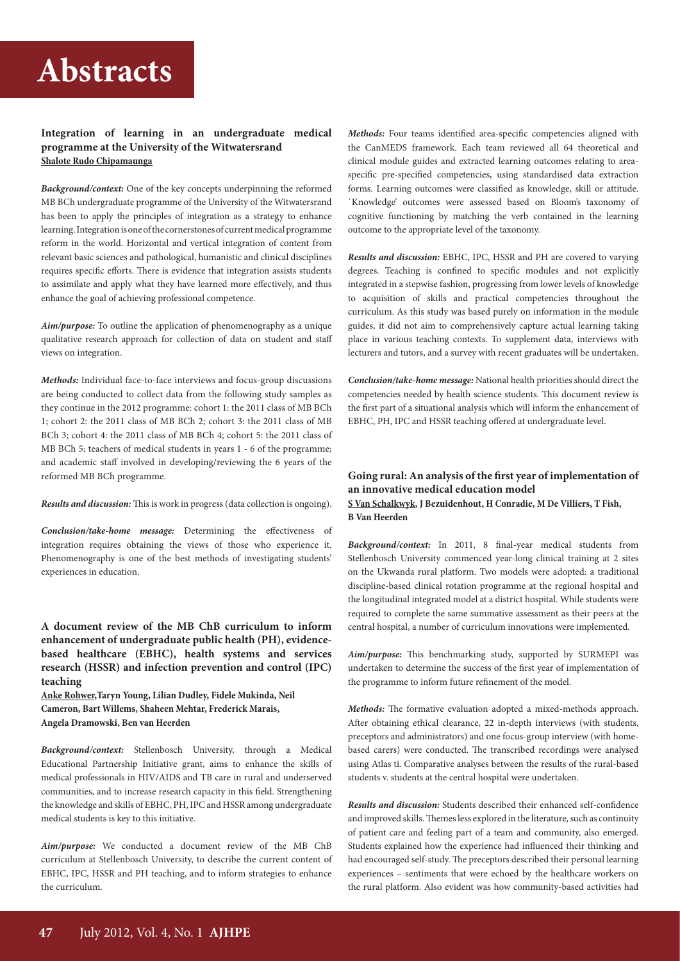#### **Integration of learning in an undergraduate medical programme at the University of the Witwatersrand Shalote Rudo Chipamaunga**

*Background/context:* One of the key concepts underpinning the reformed MB BCh undergraduate programme of the University of the Witwatersrand has been to apply the principles of integration as a strategy to enhance learning. Integration is one of the cornerstones of current medical programme reform in the world. Horizontal and vertical integration of content from relevant basic sciences and pathological, humanistic and clinical disciplines requires specific efforts. There is evidence that integration assists students to assimilate and apply what they have learned more effectively, and thus enhance the goal of achieving professional competence.

*Aim/purpose:* To outline the application of phenomenography as a unique qualitative research approach for collection of data on student and staff views on integration.

*Methods:* Individual face-to-face interviews and focus-group discussions are being conducted to collect data from the following study samples as they continue in the 2012 programme: cohort 1: the 2011 class of MB BCh 1; cohort 2: the 2011 class of MB BCh 2; cohort 3: the 2011 class of MB BCh 3; cohort 4: the 2011 class of MB BCh 4; cohort 5: the 2011 class of MB BCh 5; teachers of medical students in years 1 - 6 of the programme; and academic staff involved in developing/reviewing the 6 years of the reformed MB BCh programme.

*Results and discussion:* This is work in progress (data collection is ongoing).

*Conclusion/take-home message:* Determining the effectiveness of integration requires obtaining the views of those who experience it. Phenomenography is one of the best methods of investigating students' experiences in education.

**A document review of the MB ChB curriculum to inform enhancement of undergraduate public health (PH), evidencebased healthcare (EBHC), health systems and services research (HSSR) and infection prevention and control (IPC) teaching**

**Anke Rohwer,Taryn Young, Lilian Dudley, Fidele Mukinda, Neil Cameron, Bart Willems, Shaheen Mehtar, Frederick Marais, Angela Dramowski, Ben van Heerden**

*Background/context:* Stellenbosch University, through a Medical Educational Partnership Initiative grant, aims to enhance the skills of medical professionals in HIV/AIDS and TB care in rural and underserved communities, and to increase research capacity in this field. Strengthening the knowledge and skills of EBHC, PH, IPC and HSSR among undergraduate medical students is key to this initiative.

*Aim/purpose:* We conducted a document review of the MB ChB curriculum at Stellenbosch University, to describe the current content of EBHC, IPC, HSSR and PH teaching, and to inform strategies to enhance the curriculum.

*Methods:* Four teams identified area-specific competencies aligned with the CanMEDS framework. Each team reviewed all 64 theoretical and clinical module guides and extracted learning outcomes relating to areaspecific pre-specified competencies, using standardised data extraction forms. Learning outcomes were classified as knowledge, skill or attitude. 'Knowledge' outcomes were assessed based on Bloom's taxonomy of cognitive functioning by matching the verb contained in the learning outcome to the appropriate level of the taxonomy.

*Results and discussion:* EBHC, IPC, HSSR and PH are covered to varying degrees. Teaching is confined to specific modules and not explicitly integrated in a stepwise fashion, progressing from lower levels of knowledge to acquisition of skills and practical competencies throughout the curriculum. As this study was based purely on information in the module guides, it did not aim to comprehensively capture actual learning taking place in various teaching contexts. To supplement data, interviews with lecturers and tutors, and a survey with recent graduates will be undertaken.

*Conclusion/take-home message:* National health priorities should direct the competencies needed by health science students. This document review is the first part of a situational analysis which will inform the enhancement of EBHC, PH, IPC and HSSR teaching offered at undergraduate level.

### **Going rural: An analysis of the first year of implementation of an innovative medical education model S Van Schalkwyk, J Bezuidenhout, H Conradie, M De Villiers, T Fish, B Van Heerden**

*Background/context:* In 2011, 8 final-year medical students from Stellenbosch University commenced year-long clinical training at 2 sites on the Ukwanda rural platform. Two models were adopted: a traditional discipline-based clinical rotation programme at the regional hospital and the longitudinal integrated model at a district hospital. While students were required to complete the same summative assessment as their peers at the central hospital, a number of curriculum innovations were implemented.

*Aim/purpose:* This benchmarking study, supported by SURMEPI was undertaken to determine the success of the first year of implementation of the programme to inform future refinement of the model.

*Methods:* The formative evaluation adopted a mixed-methods approach. After obtaining ethical clearance, 22 in-depth interviews (with students, preceptors and administrators) and one focus-group interview (with homebased carers) were conducted. The transcribed recordings were analysed using Atlas ti. Comparative analyses between the results of the rural-based students v. students at the central hospital were undertaken.

*Results and discussion:* Students described their enhanced self-confidence and improved skills. Themes less explored in the literature, such as continuity of patient care and feeling part of a team and community, also emerged. Students explained how the experience had influenced their thinking and had encouraged self-study. The preceptors described their personal learning experiences – sentiments that were echoed by the healthcare workers on the rural platform. Also evident was how community-based activities had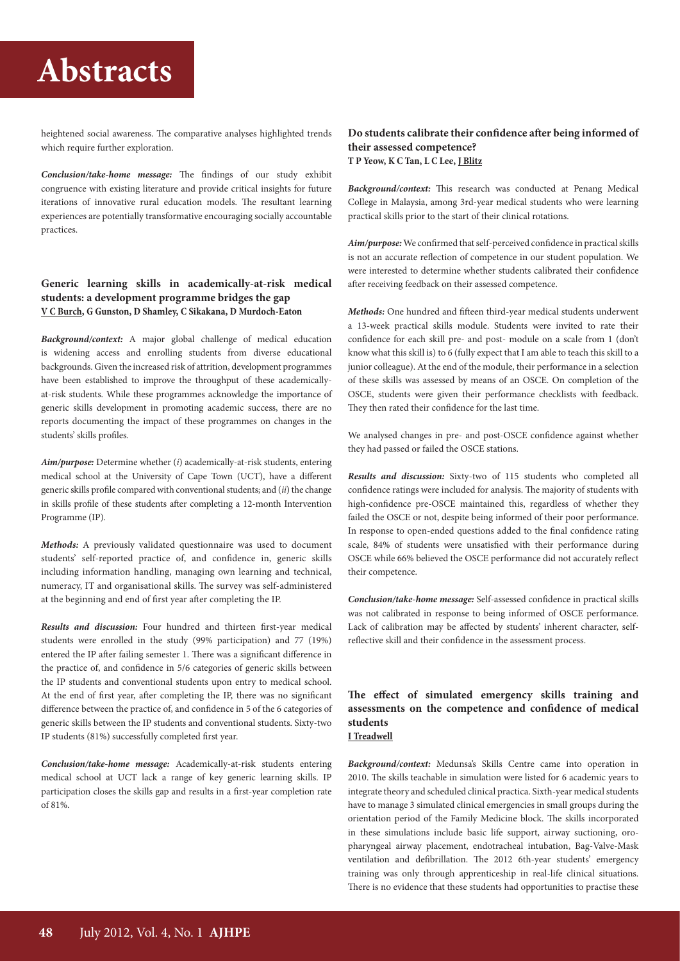heightened social awareness. The comparative analyses highlighted trends which require further exploration.

*Conclusion/take-home message:* The findings of our study exhibit congruence with existing literature and provide critical insights for future iterations of innovative rural education models. The resultant learning experiences are potentially transformative encouraging socially accountable practices.

### **Generic learning skills in academically-at-risk medical students: a development programme bridges the gap V C Burch, G Gunston, D Shamley, C Sikakana, D Murdoch-Eaton**

*Background/context:* A major global challenge of medical education is widening access and enrolling students from diverse educational backgrounds. Given the increased risk of attrition, development programmes have been established to improve the throughput of these academicallyat-risk students. While these programmes acknowledge the importance of generic skills development in promoting academic success, there are no reports documenting the impact of these programmes on changes in the students' skills profiles.

*Aim/purpose:* Determine whether (*i*) academically-at-risk students, entering medical school at the University of Cape Town (UCT), have a different generic skills profile compared with conventional students; and (*ii*) the change in skills profile of these students after completing a 12-month Intervention Programme (IP).

*Methods:* A previously validated questionnaire was used to document students' self-reported practice of, and confidence in, generic skills including information handling, managing own learning and technical, numeracy, IT and organisational skills. The survey was self-administered at the beginning and end of first year after completing the IP.

*Results and discussion:* Four hundred and thirteen first-year medical students were enrolled in the study (99% participation) and 77 (19%) entered the IP after failing semester 1. There was a significant difference in the practice of, and confidence in 5/6 categories of generic skills between the IP students and conventional students upon entry to medical school. At the end of first year, after completing the IP, there was no significant difference between the practice of, and confidence in 5 of the 6 categories of generic skills between the IP students and conventional students. Sixty-two IP students (81%) successfully completed first year.

*Conclusion/take-home message:* Academically-at-risk students entering medical school at UCT lack a range of key generic learning skills. IP participation closes the skills gap and results in a first-year completion rate of 81%.

### **Do students calibrate their confidence after being informed of their assessed competence? T P Yeow, K C Tan, L C Lee, J Blitz**

*Background/context:* This research was conducted at Penang Medical College in Malaysia, among 3rd-year medical students who were learning practical skills prior to the start of their clinical rotations.

*Aim/purpose:* We confirmed that self-perceived confidence in practical skills is not an accurate reflection of competence in our student population. We were interested to determine whether students calibrated their confidence after receiving feedback on their assessed competence.

*Methods:* One hundred and fifteen third-year medical students underwent a 13-week practical skills module. Students were invited to rate their confidence for each skill pre- and post- module on a scale from 1 (don't know what this skill is) to 6 (fully expect that I am able to teach this skill to a junior colleague). At the end of the module, their performance in a selection of these skills was assessed by means of an OSCE. On completion of the OSCE, students were given their performance checklists with feedback. They then rated their confidence for the last time.

We analysed changes in pre- and post-OSCE confidence against whether they had passed or failed the OSCE stations.

*Results and discussion:* Sixty-two of 115 students who completed all confidence ratings were included for analysis. The majority of students with high-confidence pre-OSCE maintained this, regardless of whether they failed the OSCE or not, despite being informed of their poor performance. In response to open-ended questions added to the final confidence rating scale, 84% of students were unsatisfied with their performance during OSCE while 66% believed the OSCE performance did not accurately reflect their competence.

*Conclusion/take-home message:* Self-assessed confidence in practical skills was not calibrated in response to being informed of OSCE performance. Lack of calibration may be affected by students' inherent character, selfreflective skill and their confidence in the assessment process.

#### **The effect of simulated emergency skills training and assessments on the competence and confidence of medical students I Treadwell**

*Background/context:* Medunsa's Skills Centre came into operation in 2010. The skills teachable in simulation were listed for 6 academic years to integrate theory and scheduled clinical practica. Sixth-year medical students have to manage 3 simulated clinical emergencies in small groups during the orientation period of the Family Medicine block. The skills incorporated in these simulations include basic life support, airway suctioning, oropharyngeal airway placement, endotracheal intubation, Bag-Valve-Mask ventilation and defibrillation. The 2012 6th-year students' emergency training was only through apprenticeship in real-life clinical situations. There is no evidence that these students had opportunities to practise these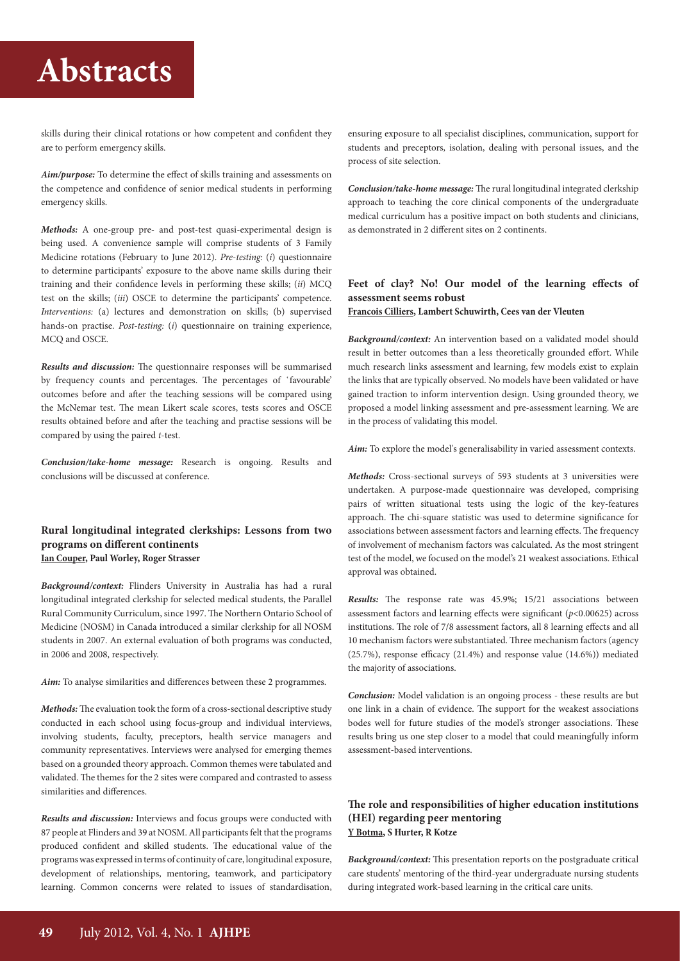skills during their clinical rotations or how competent and confident they are to perform emergency skills.

*Aim/purpose:* To determine the effect of skills training and assessments on the competence and confidence of senior medical students in performing emergency skills.

*Methods:* A one-group pre- and post-test quasi-experimental design is being used. A convenience sample will comprise students of 3 Family Medicine rotations (February to June 2012). *Pre-testing:* (*i*) questionnaire to determine participants' exposure to the above name skills during their training and their confidence levels in performing these skills; (*ii*) MCQ test on the skills; (*iii*) OSCE to determine the participants' competence. *Interventions:* (a) lectures and demonstration on skills; (b) supervised hands-on practise. *Post-testing:* (*i*) questionnaire on training experience, MCQ and OSCE.

*Results and discussion:* The questionnaire responses will be summarised by frequency counts and percentages. The percentages of 'favourable' outcomes before and after the teaching sessions will be compared using the McNemar test. The mean Likert scale scores, tests scores and OSCE results obtained before and after the teaching and practise sessions will be compared by using the paired *t*-test.

*Conclusion/take-home message:* Research is ongoing. Results and conclusions will be discussed at conference.

### **Rural longitudinal integrated clerkships: Lessons from two programs on different continents Ian Couper, Paul Worley, Roger Strasser**

*Background/context:* Flinders University in Australia has had a rural longitudinal integrated clerkship for selected medical students, the Parallel Rural Community Curriculum, since 1997. The Northern Ontario School of Medicine (NOSM) in Canada introduced a similar clerkship for all NOSM students in 2007. An external evaluation of both programs was conducted, in 2006 and 2008, respectively.

*Aim:* To analyse similarities and differences between these 2 programmes.

*Methods:* The evaluation took the form of a cross-sectional descriptive study conducted in each school using focus-group and individual interviews, involving students, faculty, preceptors, health service managers and community representatives. Interviews were analysed for emerging themes based on a grounded theory approach. Common themes were tabulated and validated. The themes for the 2 sites were compared and contrasted to assess similarities and differences.

*Results and discussion:* Interviews and focus groups were conducted with 87 people at Flinders and 39 at NOSM. All participants felt that the programs produced confident and skilled students. The educational value of the programs was expressed in terms of continuity of care, longitudinal exposure, development of relationships, mentoring, teamwork, and participatory learning. Common concerns were related to issues of standardisation,

ensuring exposure to all specialist disciplines, communication, support for students and preceptors, isolation, dealing with personal issues, and the process of site selection.

*Conclusion/take-home message:* The rural longitudinal integrated clerkship approach to teaching the core clinical components of the undergraduate medical curriculum has a positive impact on both students and clinicians, as demonstrated in 2 different sites on 2 continents.

## **Feet of clay? No! Our model of the learning effects of assessment seems robust Francois Cilliers, Lambert Schuwirth, Cees van der Vleuten**

*Background/context:* An intervention based on a validated model should result in better outcomes than a less theoretically grounded effort. While much research links assessment and learning, few models exist to explain the links that are typically observed. No models have been validated or have gained traction to inform intervention design. Using grounded theory, we proposed a model linking assessment and pre-assessment learning. We are in the process of validating this model.

*Aim:* To explore the model's generalisability in varied assessment contexts.

*Methods:* Cross-sectional surveys of 593 students at 3 universities were undertaken. A purpose-made questionnaire was developed, comprising pairs of written situational tests using the logic of the key-features approach. The chi-square statistic was used to determine significance for associations between assessment factors and learning effects. The frequency of involvement of mechanism factors was calculated. As the most stringent test of the model, we focused on the model's 21 weakest associations. Ethical approval was obtained.

*Results:* The response rate was 45.9%; 15/21 associations between assessment factors and learning effects were significant (*p*<0.00625) across institutions. The role of 7/8 assessment factors, all 8 learning effects and all 10 mechanism factors were substantiated. Three mechanism factors (agency (25.7%), response efficacy (21.4%) and response value (14.6%)) mediated the majority of associations.

*Conclusion:* Model validation is an ongoing process - these results are but one link in a chain of evidence. The support for the weakest associations bodes well for future studies of the model's stronger associations. These results bring us one step closer to a model that could meaningfully inform assessment-based interventions.

## **The role and responsibilities of higher education institutions (HEI) regarding peer mentoring Y Botma, S Hurter, R Kotze**

*Background/context:* This presentation reports on the postgraduate critical care students' mentoring of the third-year undergraduate nursing students during integrated work-based learning in the critical care units.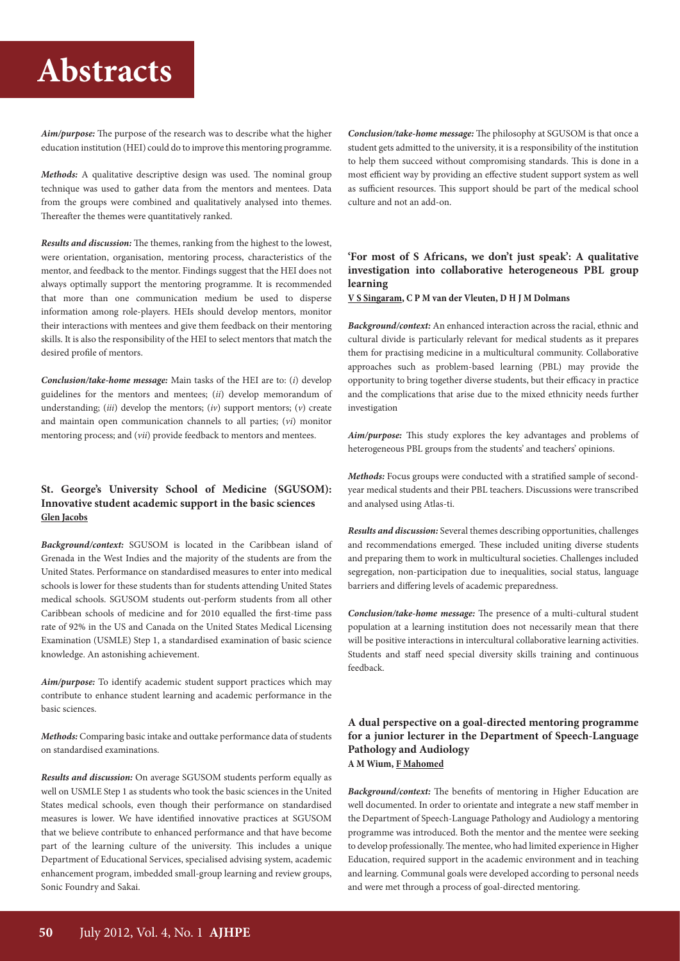*Aim/purpose:* The purpose of the research was to describe what the higher education institution (HEI) could do to improve this mentoring programme.

*Methods:* A qualitative descriptive design was used. The nominal group technique was used to gather data from the mentors and mentees. Data from the groups were combined and qualitatively analysed into themes. Thereafter the themes were quantitatively ranked.

*Results and discussion:* The themes, ranking from the highest to the lowest, were orientation, organisation, mentoring process, characteristics of the mentor, and feedback to the mentor. Findings suggest that the HEI does not always optimally support the mentoring programme. It is recommended that more than one communication medium be used to disperse information among role-players. HEIs should develop mentors, monitor their interactions with mentees and give them feedback on their mentoring skills. It is also the responsibility of the HEI to select mentors that match the desired profile of mentors.

*Conclusion/take-home message:* Main tasks of the HEI are to: (*i*) develop guidelines for the mentors and mentees; (*ii*) develop memorandum of understanding; (*iii*) develop the mentors; (*iv*) support mentors; (*v*) create and maintain open communication channels to all parties; (*vi*) monitor mentoring process; and (*vii*) provide feedback to mentors and mentees.

## **St. George's University School of Medicine (SGUSOM): Innovative student academic support in the basic sciences Glen Jacobs**

*Background/context:* SGUSOM is located in the Caribbean island of Grenada in the West Indies and the majority of the students are from the United States. Performance on standardised measures to enter into medical schools is lower for these students than for students attending United States medical schools. SGUSOM students out-perform students from all other Caribbean schools of medicine and for 2010 equalled the first-time pass rate of 92% in the US and Canada on the United States Medical Licensing Examination (USMLE) Step 1, a standardised examination of basic science knowledge. An astonishing achievement.

*Aim/purpose:* To identify academic student support practices which may contribute to enhance student learning and academic performance in the basic sciences.

*Methods:* Comparing basic intake and outtake performance data of students on standardised examinations.

*Results and discussion:* On average SGUSOM students perform equally as well on USMLE Step 1 as students who took the basic sciences in the United States medical schools, even though their performance on standardised measures is lower. We have identified innovative practices at SGUSOM that we believe contribute to enhanced performance and that have become part of the learning culture of the university. This includes a unique Department of Educational Services, specialised advising system, academic enhancement program, imbedded small-group learning and review groups, Sonic Foundry and Sakai.

*Conclusion/take-home message:* The philosophy at SGUSOM is that once a student gets admitted to the university, it is a responsibility of the institution to help them succeed without compromising standards. This is done in a most efficient way by providing an effective student support system as well as sufficient resources. This support should be part of the medical school culture and not an add-on.

# **'For most of S Africans, we don't just speak': A qualitative investigation into collaborative heterogeneous PBL group learning**

**V S Singaram, C P M van der Vleuten, D H J M Dolmans**

*Background/context:* An enhanced interaction across the racial, ethnic and cultural divide is particularly relevant for medical students as it prepares them for practising medicine in a multicultural community. Collaborative approaches such as problem-based learning (PBL) may provide the opportunity to bring together diverse students, but their efficacy in practice and the complications that arise due to the mixed ethnicity needs further investigation

*Aim/purpose:* This study explores the key advantages and problems of heterogeneous PBL groups from the students' and teachers' opinions.

*Methods:* Focus groups were conducted with a stratified sample of secondyear medical students and their PBL teachers. Discussions were transcribed and analysed using Atlas-ti.

*Results and discussion:* Several themes describing opportunities, challenges and recommendations emerged. These included uniting diverse students and preparing them to work in multicultural societies. Challenges included segregation, non-participation due to inequalities, social status, language barriers and differing levels of academic preparedness.

*Conclusion/take-home message:* The presence of a multi-cultural student population at a learning institution does not necessarily mean that there will be positive interactions in intercultural collaborative learning activities. Students and staff need special diversity skills training and continuous feedback.

## **A dual perspective on a goal-directed mentoring programme for a junior lecturer in the Department of Speech-Language Pathology and Audiology A M Wium, F Mahomed**

*Background/context:* The benefits of mentoring in Higher Education are well documented. In order to orientate and integrate a new staff member in the Department of Speech-Language Pathology and Audiology a mentoring programme was introduced. Both the mentor and the mentee were seeking to develop professionally. The mentee, who had limited experience in Higher Education, required support in the academic environment and in teaching and learning. Communal goals were developed according to personal needs and were met through a process of goal-directed mentoring.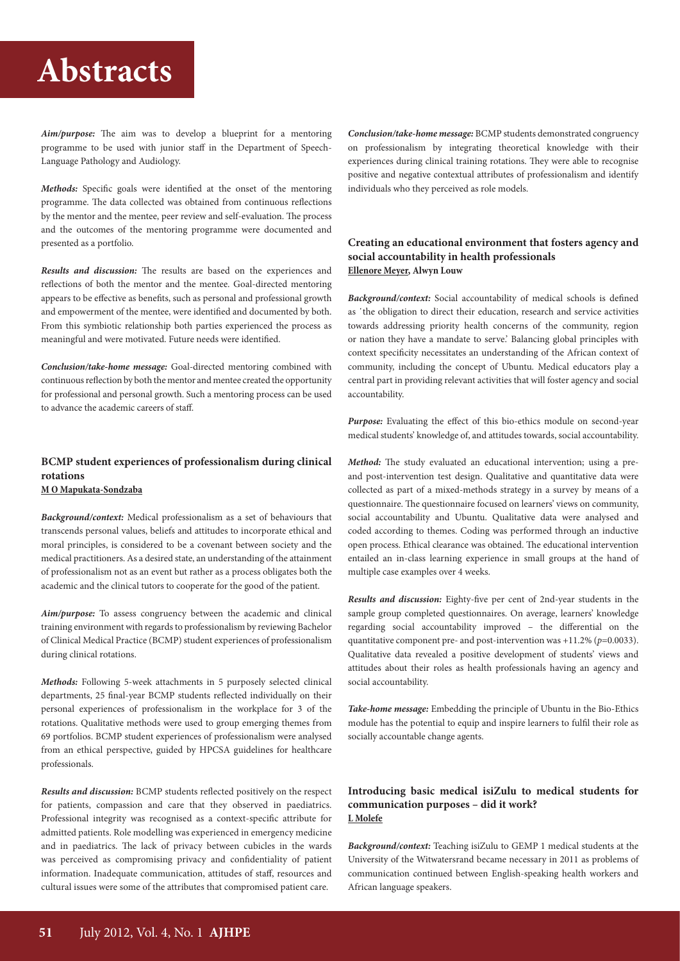*Aim/purpose:* The aim was to develop a blueprint for a mentoring programme to be used with junior staff in the Department of Speech-Language Pathology and Audiology.

*Methods:* Specific goals were identified at the onset of the mentoring programme. The data collected was obtained from continuous reflections by the mentor and the mentee, peer review and self-evaluation. The process and the outcomes of the mentoring programme were documented and presented as a portfolio.

*Results and discussion:* The results are based on the experiences and reflections of both the mentor and the mentee. Goal-directed mentoring appears to be effective as benefits, such as personal and professional growth and empowerment of the mentee, were identified and documented by both. From this symbiotic relationship both parties experienced the process as meaningful and were motivated. Future needs were identified.

*Conclusion/take-home message:* Goal-directed mentoring combined with continuous reflection by both the mentor and mentee created the opportunity for professional and personal growth. Such a mentoring process can be used to advance the academic careers of staff.

#### **BCMP student experiences of professionalism during clinical rotations M O Mapukata-Sondzaba**

*Background/context:* Medical professionalism as a set of behaviours that transcends personal values, beliefs and attitudes to incorporate ethical and moral principles, is considered to be a covenant between society and the medical practitioners. As a desired state, an understanding of the attainment of professionalism not as an event but rather as a process obligates both the

*Aim/purpose:* To assess congruency between the academic and clinical training environment with regards to professionalism by reviewing Bachelor of Clinical Medical Practice (BCMP) student experiences of professionalism during clinical rotations.

academic and the clinical tutors to cooperate for the good of the patient.

*Methods:* Following 5-week attachments in 5 purposely selected clinical departments, 25 final-year BCMP students reflected individually on their personal experiences of professionalism in the workplace for 3 of the rotations. Qualitative methods were used to group emerging themes from 69 portfolios. BCMP student experiences of professionalism were analysed from an ethical perspective, guided by HPCSA guidelines for healthcare professionals.

*Results and discussion:* BCMP students reflected positively on the respect for patients, compassion and care that they observed in paediatrics. Professional integrity was recognised as a context-specific attribute for admitted patients. Role modelling was experienced in emergency medicine and in paediatrics. The lack of privacy between cubicles in the wards was perceived as compromising privacy and confidentiality of patient information. Inadequate communication, attitudes of staff, resources and cultural issues were some of the attributes that compromised patient care.

*Conclusion/take-home message:* BCMP students demonstrated congruency on professionalism by integrating theoretical knowledge with their experiences during clinical training rotations. They were able to recognise positive and negative contextual attributes of professionalism and identify individuals who they perceived as role models.

## **Creating an educational environment that fosters agency and social accountability in health professionals Ellenore Meyer, Alwyn Louw**

*Background/context:* Social accountability of medical schools is defined as 'the obligation to direct their education, research and service activities towards addressing priority health concerns of the community, region or nation they have a mandate to serve.' Balancing global principles with context specificity necessitates an understanding of the African context of community, including the concept of Ubuntu. Medical educators play a central part in providing relevant activities that will foster agency and social accountability.

*Purpose:* Evaluating the effect of this bio-ethics module on second-year medical students' knowledge of, and attitudes towards, social accountability.

*Method:* The study evaluated an educational intervention; using a preand post-intervention test design. Qualitative and quantitative data were collected as part of a mixed-methods strategy in a survey by means of a questionnaire. The questionnaire focused on learners' views on community, social accountability and Ubuntu. Qualitative data were analysed and coded according to themes. Coding was performed through an inductive open process. Ethical clearance was obtained. The educational intervention entailed an in-class learning experience in small groups at the hand of multiple case examples over 4 weeks.

*Results and discussion:* Eighty-five per cent of 2nd-year students in the sample group completed questionnaires. On average, learners' knowledge regarding social accountability improved – the differential on the quantitative component pre- and post-intervention was +11.2% (*p*=0.0033). Qualitative data revealed a positive development of students' views and attitudes about their roles as health professionals having an agency and social accountability.

*Take-home message:* Embedding the principle of Ubuntu in the Bio-Ethics module has the potential to equip and inspire learners to fulfil their role as socially accountable change agents.

## **Introducing basic medical isiZulu to medical students for communication purposes – did it work? L Molefe**

*Background/context:* Teaching isiZulu to GEMP 1 medical students at the University of the Witwatersrand became necessary in 2011 as problems of communication continued between English-speaking health workers and African language speakers.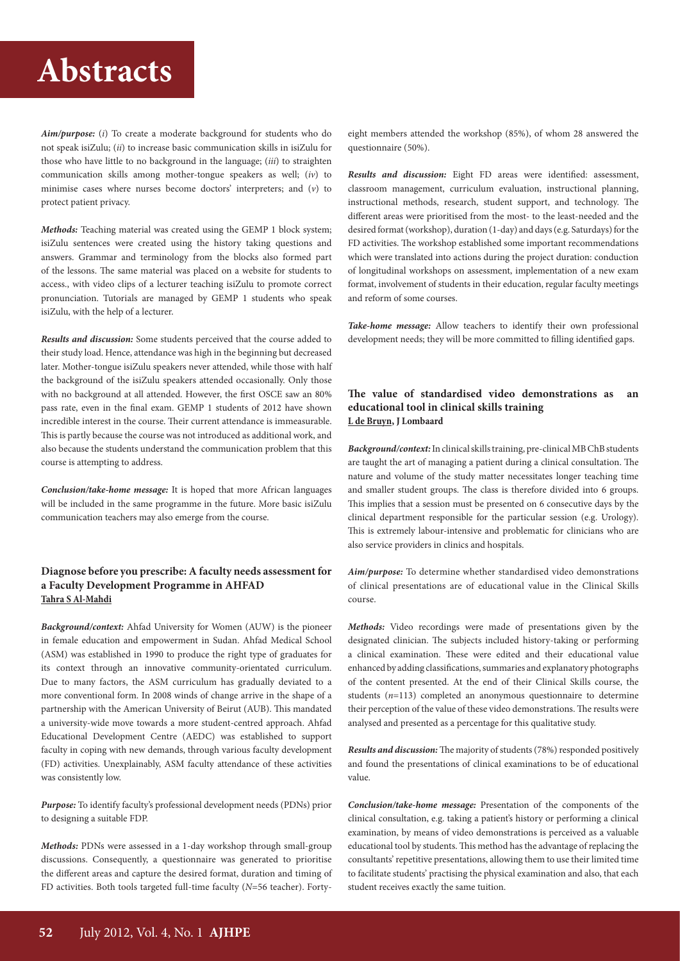*Aim/purpose:* (*i*) To create a moderate background for students who do not speak isiZulu; (*ii*) to increase basic communication skills in isiZulu for those who have little to no background in the language; (*iii*) to straighten communication skills among mother-tongue speakers as well; (*iv*) to minimise cases where nurses become doctors' interpreters; and (*v*) to protect patient privacy.

*Methods:* Teaching material was created using the GEMP 1 block system; isiZulu sentences were created using the history taking questions and answers. Grammar and terminology from the blocks also formed part of the lessons. The same material was placed on a website for students to access., with video clips of a lecturer teaching isiZulu to promote correct pronunciation. Tutorials are managed by GEMP 1 students who speak isiZulu, with the help of a lecturer.

*Results and discussion:* Some students perceived that the course added to their study load. Hence, attendance was high in the beginning but decreased later. Mother-tongue isiZulu speakers never attended, while those with half the background of the isiZulu speakers attended occasionally. Only those with no background at all attended. However, the first OSCE saw an 80% pass rate, even in the final exam. GEMP 1 students of 2012 have shown incredible interest in the course. Their current attendance is immeasurable. This is partly because the course was not introduced as additional work, and also because the students understand the communication problem that this course is attempting to address.

*Conclusion/take-home message:* It is hoped that more African languages will be included in the same programme in the future. More basic isiZulu communication teachers may also emerge from the course.

### **Diagnose before you prescribe: A faculty needs assessment for a Faculty Development Programme in AHFAD Tahra S Al-Mahdi**

*Background/context:* Ahfad University for Women (AUW) is the pioneer in female education and empowerment in Sudan. Ahfad Medical School (ASM) was established in 1990 to produce the right type of graduates for its context through an innovative community-orientated curriculum. Due to many factors, the ASM curriculum has gradually deviated to a more conventional form. In 2008 winds of change arrive in the shape of a partnership with the American University of Beirut (AUB). This mandated a university-wide move towards a more student-centred approach. Ahfad Educational Development Centre (AEDC) was established to support faculty in coping with new demands, through various faculty development (FD) activities. Unexplainably, ASM faculty attendance of these activities was consistently low.

*Purpose:* To identify faculty's professional development needs (PDNs) prior to designing a suitable FDP.

*Methods:* PDNs were assessed in a 1-day workshop through small-group discussions. Consequently, a questionnaire was generated to prioritise the different areas and capture the desired format, duration and timing of FD activities. Both tools targeted full-time faculty (*N*=56 teacher). Fortyeight members attended the workshop (85%), of whom 28 answered the questionnaire (50%).

*Results and discussion:* Eight FD areas were identified: assessment, classroom management, curriculum evaluation, instructional planning, instructional methods, research, student support, and technology. The different areas were prioritised from the most- to the least-needed and the desired format (workshop), duration (1-day) and days (e.g. Saturdays) for the FD activities. The workshop established some important recommendations which were translated into actions during the project duration: conduction of longitudinal workshops on assessment, implementation of a new exam format, involvement of students in their education, regular faculty meetings and reform of some courses.

*Take-home message:* Allow teachers to identify their own professional development needs; they will be more committed to filling identified gaps.

### **The value of standardised video demonstrations as an educational tool in clinical skills training L de Bruyn, J Lombaard**

*Background/context:* In clinical skills training, pre-clinical MB ChB students are taught the art of managing a patient during a clinical consultation. The nature and volume of the study matter necessitates longer teaching time and smaller student groups. The class is therefore divided into 6 groups. This implies that a session must be presented on 6 consecutive days by the clinical department responsible for the particular session (e.g. Urology). This is extremely labour-intensive and problematic for clinicians who are also service providers in clinics and hospitals.

*Aim/purpose:* To determine whether standardised video demonstrations of clinical presentations are of educational value in the Clinical Skills course.

*Methods:* Video recordings were made of presentations given by the designated clinician. The subjects included history-taking or performing a clinical examination. These were edited and their educational value enhanced by adding classifications, summaries and explanatory photographs of the content presented. At the end of their Clinical Skills course, the students (*n*=113) completed an anonymous questionnaire to determine their perception of the value of these video demonstrations. The results were analysed and presented as a percentage for this qualitative study.

*Results and discussion:* The majority of students (78%) responded positively and found the presentations of clinical examinations to be of educational value.

*Conclusion/take-home message:* Presentation of the components of the clinical consultation, e.g. taking a patient's history or performing a clinical examination, by means of video demonstrations is perceived as a valuable educational tool by students. This method has the advantage of replacing the consultants' repetitive presentations, allowing them to use their limited time to facilitate students' practising the physical examination and also, that each student receives exactly the same tuition.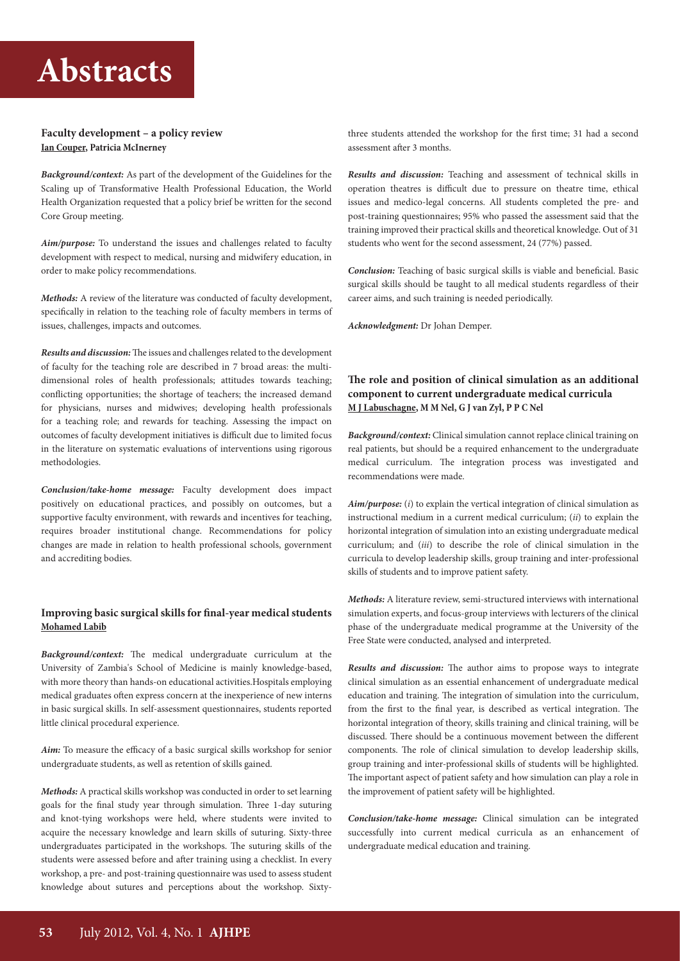#### **Faculty development – a policy review Ian Couper, Patricia McInerney**

*Background/context:* As part of the development of the Guidelines for the Scaling up of Transformative Health Professional Education, the World Health Organization requested that a policy brief be written for the second Core Group meeting.

*Aim/purpose:* To understand the issues and challenges related to faculty development with respect to medical, nursing and midwifery education, in order to make policy recommendations.

*Methods:* A review of the literature was conducted of faculty development, specifically in relation to the teaching role of faculty members in terms of issues, challenges, impacts and outcomes.

*Results and discussion:* The issues and challenges related to the development of faculty for the teaching role are described in 7 broad areas: the multidimensional roles of health professionals; attitudes towards teaching; conflicting opportunities; the shortage of teachers; the increased demand for physicians, nurses and midwives; developing health professionals for a teaching role; and rewards for teaching. Assessing the impact on outcomes of faculty development initiatives is difficult due to limited focus in the literature on systematic evaluations of interventions using rigorous methodologies.

*Conclusion/take-home message:* Faculty development does impact positively on educational practices, and possibly on outcomes, but a supportive faculty environment, with rewards and incentives for teaching, requires broader institutional change. Recommendations for policy changes are made in relation to health professional schools, government and accrediting bodies.

### **Improving basic surgical skills for final-year medical students Mohamed Labib**

*Background/context:* The medical undergraduate curriculum at the University of Zambia's School of Medicine is mainly knowledge-based, with more theory than hands-on educational activities.Hospitals employing medical graduates often express concern at the inexperience of new interns in basic surgical skills. In self-assessment questionnaires, students reported little clinical procedural experience.

*Aim:* To measure the efficacy of a basic surgical skills workshop for senior undergraduate students, as well as retention of skills gained.

*Methods:* A practical skills workshop was conducted in order to set learning goals for the final study year through simulation. Three 1-day suturing and knot-tying workshops were held, where students were invited to acquire the necessary knowledge and learn skills of suturing. Sixty-three undergraduates participated in the workshops. The suturing skills of the students were assessed before and after training using a checklist. In every workshop, a pre- and post-training questionnaire was used to assess student knowledge about sutures and perceptions about the workshop. Sixty-

three students attended the workshop for the first time; 31 had a second assessment after 3 months.

*Results and discussion:* Teaching and assessment of technical skills in operation theatres is difficult due to pressure on theatre time, ethical issues and medico-legal concerns. All students completed the pre- and post-training questionnaires; 95% who passed the assessment said that the training improved their practical skills and theoretical knowledge. Out of 31 students who went for the second assessment, 24 (77%) passed.

*Conclusion:* Teaching of basic surgical skills is viable and beneficial. Basic surgical skills should be taught to all medical students regardless of their career aims, and such training is needed periodically.

*Acknowledgment:* Dr Johan Demper.

# **The role and position of clinical simulation as an additional component to current undergraduate medical curricula M J Labuschagne, M M Nel, G J van Zyl, P P C Nel**

*Background/context:* Clinical simulation cannot replace clinical training on real patients, but should be a required enhancement to the undergraduate medical curriculum. The integration process was investigated and recommendations were made.

*Aim/purpose:* (*i*) to explain the vertical integration of clinical simulation as instructional medium in a current medical curriculum; (*ii*) to explain the horizontal integration of simulation into an existing undergraduate medical curriculum; and (*iii*) to describe the role of clinical simulation in the curricula to develop leadership skills, group training and inter-professional skills of students and to improve patient safety.

*Methods:* A literature review, semi-structured interviews with international simulation experts, and focus-group interviews with lecturers of the clinical phase of the undergraduate medical programme at the University of the Free State were conducted, analysed and interpreted.

*Results and discussion:* The author aims to propose ways to integrate clinical simulation as an essential enhancement of undergraduate medical education and training. The integration of simulation into the curriculum, from the first to the final year, is described as vertical integration. The horizontal integration of theory, skills training and clinical training, will be discussed. There should be a continuous movement between the different components. The role of clinical simulation to develop leadership skills, group training and inter-professional skills of students will be highlighted. The important aspect of patient safety and how simulation can play a role in the improvement of patient safety will be highlighted.

*Conclusion/take-home message:* Clinical simulation can be integrated successfully into current medical curricula as an enhancement of undergraduate medical education and training.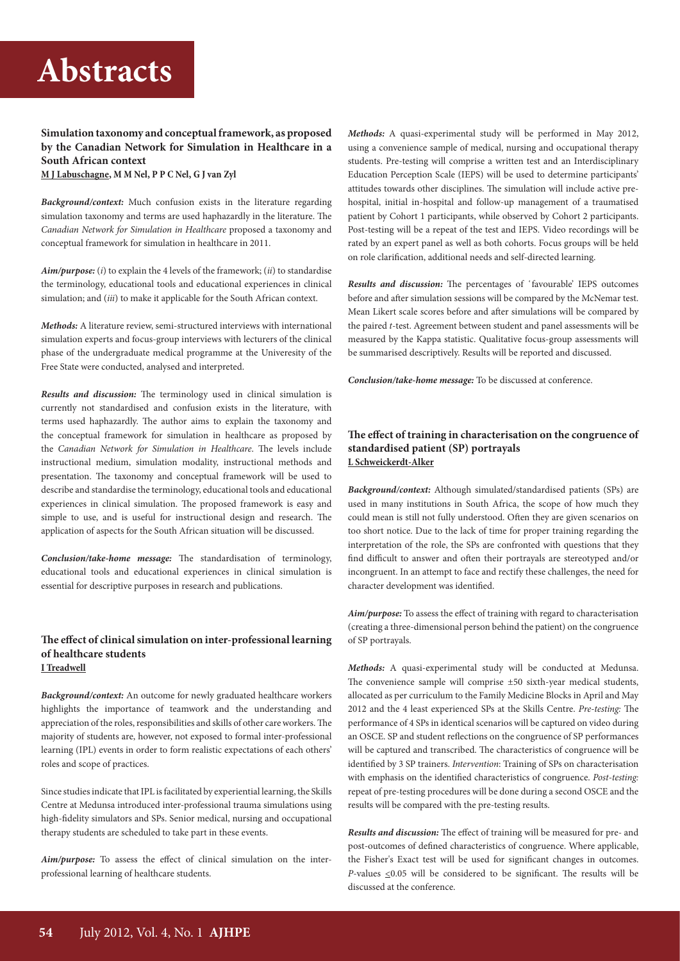### **Simulation taxonomy and conceptual framework, as proposed by the Canadian Network for Simulation in Healthcare in a South African context M J Labuschagne, M M Nel, P P C Nel, G J van Zyl**

*Background/context:* Much confusion exists in the literature regarding simulation taxonomy and terms are used haphazardly in the literature. The *Canadian Network for Simulation in Healthcare* proposed a taxonomy and conceptual framework for simulation in healthcare in 2011.

*Aim/purpose:* (*i*) to explain the 4 levels of the framework; (*ii*) to standardise the terminology, educational tools and educational experiences in clinical simulation; and (*iii*) to make it applicable for the South African context.

*Methods:* A literature review, semi-structured interviews with international simulation experts and focus-group interviews with lecturers of the clinical phase of the undergraduate medical programme at the Univeresity of the Free State were conducted, analysed and interpreted.

*Results and discussion:* The terminology used in clinical simulation is currently not standardised and confusion exists in the literature, with terms used haphazardly. The author aims to explain the taxonomy and the conceptual framework for simulation in healthcare as proposed by the *Canadian Network for Simulation in Healthcare*. The levels include instructional medium, simulation modality, instructional methods and presentation. The taxonomy and conceptual framework will be used to describe and standardise the terminology, educational tools and educational experiences in clinical simulation. The proposed framework is easy and simple to use, and is useful for instructional design and research. The application of aspects for the South African situation will be discussed.

*Conclusion/take-home message:* The standardisation of terminology, educational tools and educational experiences in clinical simulation is essential for descriptive purposes in research and publications.

#### **The effect of clinical simulation on inter-professional learning of healthcare students I Treadwell**

*Background/context:* An outcome for newly graduated healthcare workers highlights the importance of teamwork and the understanding and appreciation of the roles, responsibilities and skills of other care workers. The majority of students are, however, not exposed to formal inter-professional learning (IPL) events in order to form realistic expectations of each others' roles and scope of practices.

Since studies indicate that IPL is facilitated by experiential learning, the Skills Centre at Medunsa introduced inter-professional trauma simulations using high-fidelity simulators and SPs. Senior medical, nursing and occupational therapy students are scheduled to take part in these events.

*Aim/purpose:* To assess the effect of clinical simulation on the interprofessional learning of healthcare students.

*Methods:* A quasi-experimental study will be performed in May 2012, using a convenience sample of medical, nursing and occupational therapy students. Pre-testing will comprise a written test and an Interdisciplinary Education Perception Scale (IEPS) will be used to determine participants' attitudes towards other disciplines. The simulation will include active prehospital, initial in-hospital and follow-up management of a traumatised patient by Cohort 1 participants, while observed by Cohort 2 participants. Post-testing will be a repeat of the test and IEPS. Video recordings will be rated by an expert panel as well as both cohorts. Focus groups will be held on role clarification, additional needs and self-directed learning.

*Results and discussion:* The percentages of ῾favourable' IEPS outcomes before and after simulation sessions will be compared by the McNemar test. Mean Likert scale scores before and after simulations will be compared by the paired *t*-test. Agreement between student and panel assessments will be measured by the Kappa statistic. Qualitative focus-group assessments will be summarised descriptively. Results will be reported and discussed.

*Conclusion/take-home message:* To be discussed at conference.

## **The effect of training in characterisation on the congruence of standardised patient (SP) portrayals L Schweickerdt-Alker**

*Background/context:* Although simulated/standardised patients (SPs) are used in many institutions in South Africa, the scope of how much they could mean is still not fully understood. Often they are given scenarios on too short notice. Due to the lack of time for proper training regarding the interpretation of the role, the SPs are confronted with questions that they find difficult to answer and often their portrayals are stereotyped and/or incongruent. In an attempt to face and rectify these challenges, the need for character development was identified.

*Aim/purpose:* To assess the effect of training with regard to characterisation (creating a three-dimensional person behind the patient) on the congruence of SP portrayals.

*Methods:* A quasi-experimental study will be conducted at Medunsa. The convenience sample will comprise ±50 sixth-year medical students, allocated as per curriculum to the Family Medicine Blocks in April and May 2012 and the 4 least experienced SPs at the Skills Centre. *Pre-testing:* The performance of 4 SPs in identical scenarios will be captured on video during an OSCE. SP and student reflections on the congruence of SP performances will be captured and transcribed. The characteristics of congruence will be identified by 3 SP trainers. *Intervention*: Training of SPs on characterisation with emphasis on the identified characteristics of congruence. *Post-testing:*  repeat of pre-testing procedures will be done during a second OSCE and the results will be compared with the pre-testing results.

*Results and discussion:* The effect of training will be measured for pre- and post-outcomes of defined characteristics of congruence. Where applicable, the Fisher's Exact test will be used for significant changes in outcomes. *P*-values  $\leq 0.05$  will be considered to be significant. The results will be discussed at the conference.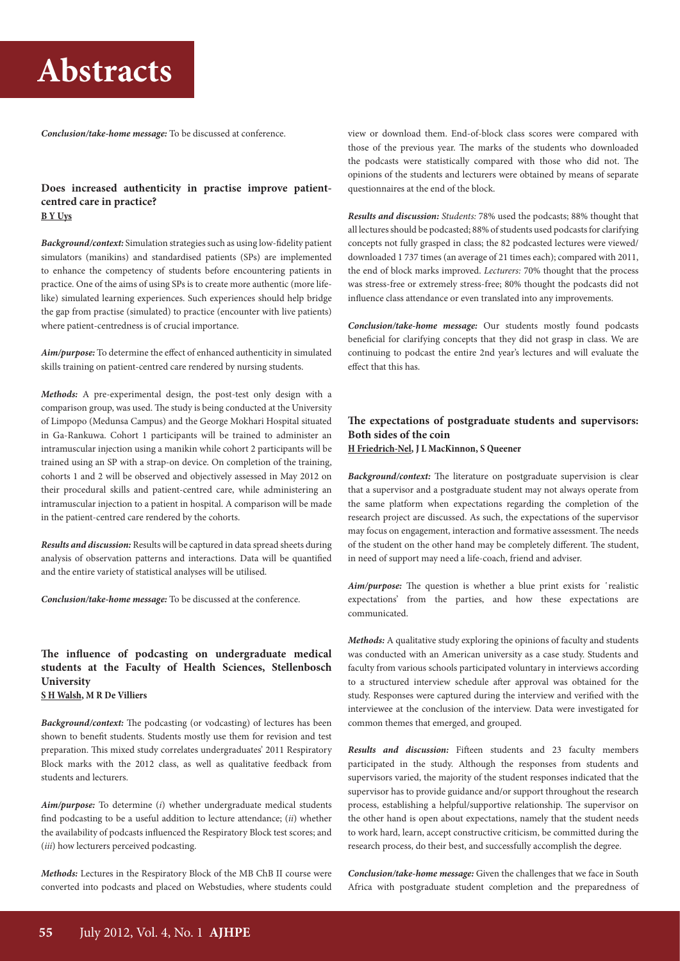

*Conclusion/take-home message:* To be discussed at conference.

#### **Does increased authenticity in practise improve patientcentred care in practice? B Y Uys**

*Background/context:* Simulation strategies such as using low-fidelity patient simulators (manikins) and standardised patients (SPs) are implemented to enhance the competency of students before encountering patients in practice. One of the aims of using SPs is to create more authentic (more lifelike) simulated learning experiences. Such experiences should help bridge the gap from practise (simulated) to practice (encounter with live patients) where patient-centredness is of crucial importance.

*Aim/purpose:* To determine the effect of enhanced authenticity in simulated skills training on patient-centred care rendered by nursing students.

*Methods:* A pre-experimental design, the post-test only design with a comparison group, was used. The study is being conducted at the University of Limpopo (Medunsa Campus) and the George Mokhari Hospital situated in Ga-Rankuwa. Cohort 1 participants will be trained to administer an intramuscular injection using a manikin while cohort 2 participants will be trained using an SP with a strap-on device. On completion of the training, cohorts 1 and 2 will be observed and objectively assessed in May 2012 on their procedural skills and patient-centred care, while administering an intramuscular injection to a patient in hospital. A comparison will be made in the patient-centred care rendered by the cohorts.

*Results and discussion:* Results will be captured in data spread sheets during analysis of observation patterns and interactions. Data will be quantified and the entire variety of statistical analyses will be utilised.

*Conclusion/take-home message:* To be discussed at the conference.

#### **The influence of podcasting on undergraduate medical students at the Faculty of Health Sciences, Stellenbosch University S H Walsh, M R De Villiers**

*Background/context:* The podcasting (or vodcasting) of lectures has been shown to benefit students. Students mostly use them for revision and test preparation. This mixed study correlates undergraduates' 2011 Respiratory Block marks with the 2012 class, as well as qualitative feedback from students and lecturers.

*Aim/purpose:* To determine (*i*) whether undergraduate medical students find podcasting to be a useful addition to lecture attendance; (*ii*) whether the availability of podcasts influenced the Respiratory Block test scores; and (*iii*) how lecturers perceived podcasting.

*Methods:* Lectures in the Respiratory Block of the MB ChB II course were converted into podcasts and placed on Webstudies, where students could view or download them. End-of-block class scores were compared with those of the previous year. The marks of the students who downloaded the podcasts were statistically compared with those who did not. The opinions of the students and lecturers were obtained by means of separate questionnaires at the end of the block.

*Results and discussion: Students:* 78% used the podcasts; 88% thought that all lectures should be podcasted; 88% of students used podcasts for clarifying concepts not fully grasped in class; the 82 podcasted lectures were viewed/ downloaded 1 737 times (an average of 21 times each); compared with 2011, the end of block marks improved. *Lecturers:* 70% thought that the process was stress-free or extremely stress-free; 80% thought the podcasts did not influence class attendance or even translated into any improvements.

*Conclusion/take-home message:* Our students mostly found podcasts beneficial for clarifying concepts that they did not grasp in class. We are continuing to podcast the entire 2nd year's lectures and will evaluate the effect that this has.

#### **The expectations of postgraduate students and supervisors: Both sides of the coin H Friedrich-Nel, J L MacKinnon, S Queener**

*Background/context:* The literature on postgraduate supervision is clear that a supervisor and a postgraduate student may not always operate from the same platform when expectations regarding the completion of the research project are discussed. As such, the expectations of the supervisor may focus on engagement, interaction and formative assessment. The needs of the student on the other hand may be completely different. The student, in need of support may need a life-coach, friend and adviser.

*Aim/purpose:* The question is whether a blue print exists for 'realistic expectations' from the parties, and how these expectations are communicated.

*Methods:* A qualitative study exploring the opinions of faculty and students was conducted with an American university as a case study. Students and faculty from various schools participated voluntary in interviews according to a structured interview schedule after approval was obtained for the study. Responses were captured during the interview and verified with the interviewee at the conclusion of the interview. Data were investigated for common themes that emerged, and grouped.

*Results and discussion:* Fifteen students and 23 faculty members participated in the study. Although the responses from students and supervisors varied, the majority of the student responses indicated that the supervisor has to provide guidance and/or support throughout the research process, establishing a helpful/supportive relationship. The supervisor on the other hand is open about expectations, namely that the student needs to work hard, learn, accept constructive criticism, be committed during the research process, do their best, and successfully accomplish the degree.

*Conclusion/take-home message:* Given the challenges that we face in South Africa with postgraduate student completion and the preparedness of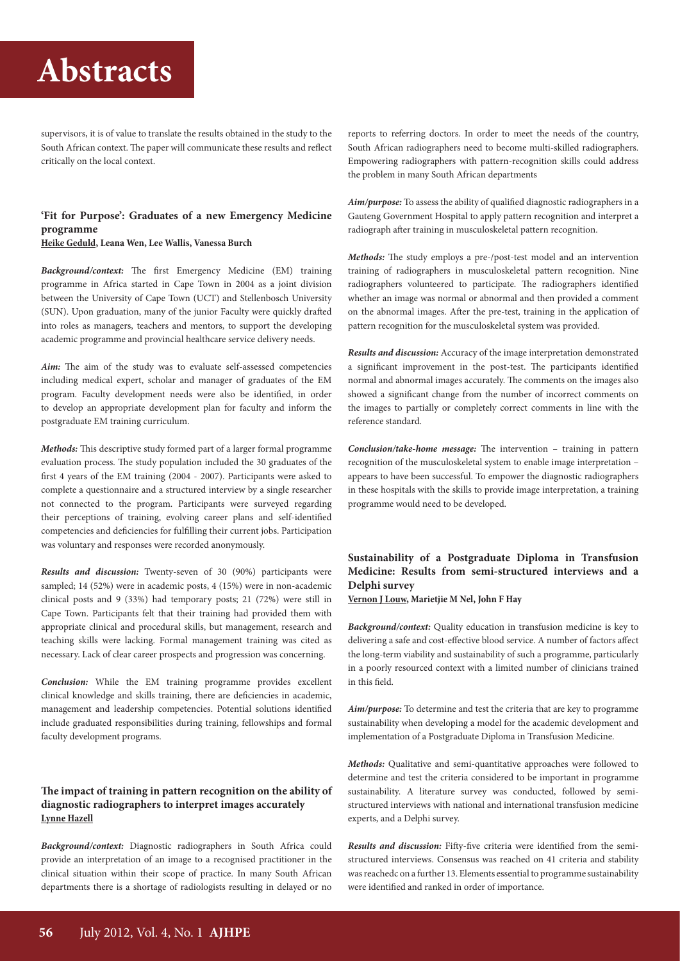supervisors, it is of value to translate the results obtained in the study to the South African context. The paper will communicate these results and reflect critically on the local context.

# **'Fit for Purpose': Graduates of a new Emergency Medicine programme**

**Heike Geduld, Leana Wen, Lee Wallis, Vanessa Burch**

*Background/context:* The first Emergency Medicine (EM) training programme in Africa started in Cape Town in 2004 as a joint division between the University of Cape Town (UCT) and Stellenbosch University (SUN). Upon graduation, many of the junior Faculty were quickly drafted into roles as managers, teachers and mentors, to support the developing academic programme and provincial healthcare service delivery needs.

Aim: The aim of the study was to evaluate self-assessed competencies including medical expert, scholar and manager of graduates of the EM program. Faculty development needs were also be identified, in order to develop an appropriate development plan for faculty and inform the postgraduate EM training curriculum.

*Methods:* This descriptive study formed part of a larger formal programme evaluation process. The study population included the 30 graduates of the first 4 years of the EM training (2004 - 2007). Participants were asked to complete a questionnaire and a structured interview by a single researcher not connected to the program. Participants were surveyed regarding their perceptions of training, evolving career plans and self-identified competencies and deficiencies for fulfilling their current jobs. Participation was voluntary and responses were recorded anonymously.

*Results and discussion:* Twenty-seven of 30 (90%) participants were sampled; 14 (52%) were in academic posts, 4 (15%) were in non-academic clinical posts and 9 (33%) had temporary posts; 21 (72%) were still in Cape Town. Participants felt that their training had provided them with appropriate clinical and procedural skills, but management, research and teaching skills were lacking. Formal management training was cited as necessary. Lack of clear career prospects and progression was concerning.

*Conclusion:* While the EM training programme provides excellent clinical knowledge and skills training, there are deficiencies in academic, management and leadership competencies. Potential solutions identified include graduated responsibilities during training, fellowships and formal faculty development programs.

## **The impact of training in pattern recognition on the ability of diagnostic radiographers to interpret images accurately Lynne Hazell**

*Background/context:* Diagnostic radiographers in South Africa could provide an interpretation of an image to a recognised practitioner in the clinical situation within their scope of practice. In many South African departments there is a shortage of radiologists resulting in delayed or no reports to referring doctors. In order to meet the needs of the country, South African radiographers need to become multi-skilled radiographers. Empowering radiographers with pattern-recognition skills could address the problem in many South African departments

*Aim/purpose:* To assess the ability of qualified diagnostic radiographers in a Gauteng Government Hospital to apply pattern recognition and interpret a radiograph after training in musculoskeletal pattern recognition.

*Methods:* The study employs a pre-/post-test model and an intervention training of radiographers in musculoskeletal pattern recognition. Nine radiographers volunteered to participate. The radiographers identified whether an image was normal or abnormal and then provided a comment on the abnormal images. After the pre-test, training in the application of pattern recognition for the musculoskeletal system was provided.

*Results and discussion:* Accuracy of the image interpretation demonstrated a significant improvement in the post-test. The participants identified normal and abnormal images accurately. The comments on the images also showed a significant change from the number of incorrect comments on the images to partially or completely correct comments in line with the reference standard.

*Conclusion/take-home message:* The intervention – training in pattern recognition of the musculoskeletal system to enable image interpretation – appears to have been successful. To empower the diagnostic radiographers in these hospitals with the skills to provide image interpretation, a training programme would need to be developed.

# **Sustainability of a Postgraduate Diploma in Transfusion Medicine: Results from semi-structured interviews and a Delphi survey**

**Vernon J Louw, Marietjie M Nel, John F Hay**

*Background/context:* Quality education in transfusion medicine is key to delivering a safe and cost-effective blood service. A number of factors affect the long-term viability and sustainability of such a programme, particularly in a poorly resourced context with a limited number of clinicians trained in this field.

*Aim/purpose:* To determine and test the criteria that are key to programme sustainability when developing a model for the academic development and implementation of a Postgraduate Diploma in Transfusion Medicine.

*Methods:* Qualitative and semi-quantitative approaches were followed to determine and test the criteria considered to be important in programme sustainability. A literature survey was conducted, followed by semistructured interviews with national and international transfusion medicine experts, and a Delphi survey.

*Results and discussion:* Fifty-five criteria were identified from the semistructured interviews. Consensus was reached on 41 criteria and stability was reachedc on a further 13. Elements essential to programme sustainability were identified and ranked in order of importance.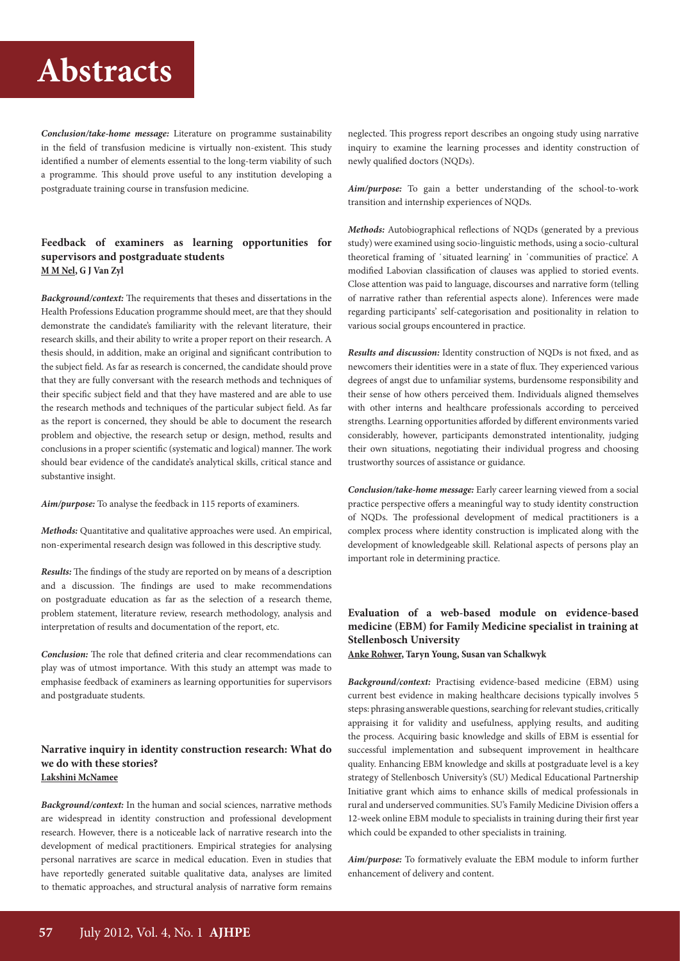*Conclusion/take-home message:* Literature on programme sustainability in the field of transfusion medicine is virtually non-existent. This study identified a number of elements essential to the long-term viability of such a programme. This should prove useful to any institution developing a postgraduate training course in transfusion medicine.

#### **Feedback of examiners as learning opportunities for supervisors and postgraduate students M M Nel, G J Van Zyl**

*Background/context:* The requirements that theses and dissertations in the Health Professions Education programme should meet, are that they should demonstrate the candidate's familiarity with the relevant literature, their research skills, and their ability to write a proper report on their research. A thesis should, in addition, make an original and significant contribution to the subject field. As far as research is concerned, the candidate should prove that they are fully conversant with the research methods and techniques of their specific subject field and that they have mastered and are able to use the research methods and techniques of the particular subject field. As far as the report is concerned, they should be able to document the research problem and objective, the research setup or design, method, results and conclusions in a proper scientific (systematic and logical) manner. The work should bear evidence of the candidate's analytical skills, critical stance and substantive insight.

*Aim/purpose:* To analyse the feedback in 115 reports of examiners.

*Methods:* Quantitative and qualitative approaches were used. An empirical, non-experimental research design was followed in this descriptive study.

*Results:* The findings of the study are reported on by means of a description and a discussion. The findings are used to make recommendations on postgraduate education as far as the selection of a research theme, problem statement, literature review, research methodology, analysis and interpretation of results and documentation of the report, etc.

*Conclusion:* The role that defined criteria and clear recommendations can play was of utmost importance. With this study an attempt was made to emphasise feedback of examiners as learning opportunities for supervisors and postgraduate students.

#### **Narrative inquiry in identity construction research: What do we do with these stories? Lakshini McNamee**

*Background/context:* In the human and social sciences, narrative methods are widespread in identity construction and professional development research. However, there is a noticeable lack of narrative research into the development of medical practitioners. Empirical strategies for analysing personal narratives are scarce in medical education. Even in studies that have reportedly generated suitable qualitative data, analyses are limited to thematic approaches, and structural analysis of narrative form remains neglected. This progress report describes an ongoing study using narrative inquiry to examine the learning processes and identity construction of newly qualified doctors (NQDs).

*Aim/purpose:* To gain a better understanding of the school-to-work transition and internship experiences of NQDs.

*Methods:* Autobiographical reflections of NQDs (generated by a previous study) were examined using socio-linguistic methods, using a socio-cultural theoretical framing of 'situated learning' in 'communities of practice'. A modified Labovian classification of clauses was applied to storied events. Close attention was paid to language, discourses and narrative form (telling of narrative rather than referential aspects alone). Inferences were made regarding participants' self-categorisation and positionality in relation to various social groups encountered in practice.

*Results and discussion:* Identity construction of NQDs is not fixed, and as newcomers their identities were in a state of flux. They experienced various degrees of angst due to unfamiliar systems, burdensome responsibility and their sense of how others perceived them. Individuals aligned themselves with other interns and healthcare professionals according to perceived strengths. Learning opportunities afforded by different environments varied considerably, however, participants demonstrated intentionality, judging their own situations, negotiating their individual progress and choosing trustworthy sources of assistance or guidance.

*Conclusion/take-home message:* Early career learning viewed from a social practice perspective offers a meaningful way to study identity construction of NQDs. The professional development of medical practitioners is a complex process where identity construction is implicated along with the development of knowledgeable skill. Relational aspects of persons play an important role in determining practice.

# **Evaluation of a web-based module on evidence-based medicine (EBM) for Family Medicine specialist in training at Stellenbosch University**

**Anke Rohwer, Taryn Young, Susan van Schalkwyk**

*Background/context:* Practising evidence-based medicine (EBM) using current best evidence in making healthcare decisions typically involves 5 steps: phrasing answerable questions, searching for relevant studies, critically appraising it for validity and usefulness, applying results, and auditing the process. Acquiring basic knowledge and skills of EBM is essential for successful implementation and subsequent improvement in healthcare quality. Enhancing EBM knowledge and skills at postgraduate level is a key strategy of Stellenbosch University's (SU) Medical Educational Partnership Initiative grant which aims to enhance skills of medical professionals in rural and underserved communities. SU's Family Medicine Division offers a 12-week online EBM module to specialists in training during their first year which could be expanded to other specialists in training.

*Aim/purpose:* To formatively evaluate the EBM module to inform further enhancement of delivery and content.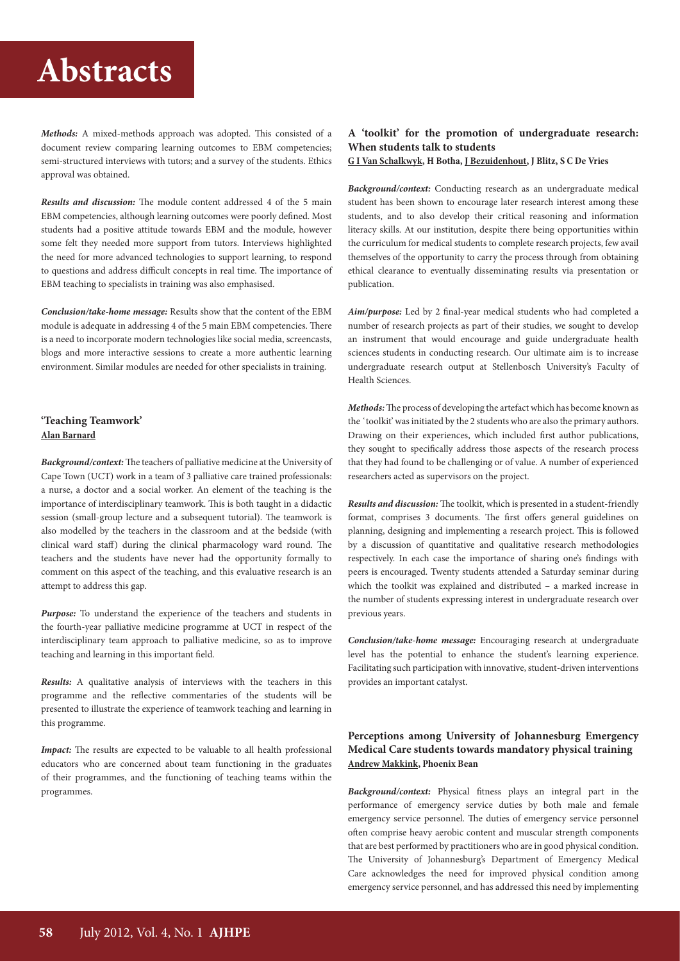*Methods:* A mixed-methods approach was adopted. This consisted of a document review comparing learning outcomes to EBM competencies; semi-structured interviews with tutors; and a survey of the students. Ethics approval was obtained.

*Results and discussion:* The module content addressed 4 of the 5 main EBM competencies, although learning outcomes were poorly defined. Most students had a positive attitude towards EBM and the module, however some felt they needed more support from tutors. Interviews highlighted the need for more advanced technologies to support learning, to respond to questions and address difficult concepts in real time. The importance of EBM teaching to specialists in training was also emphasised.

*Conclusion/take-home message:* Results show that the content of the EBM module is adequate in addressing 4 of the 5 main EBM competencies. There is a need to incorporate modern technologies like social media, screencasts, blogs and more interactive sessions to create a more authentic learning environment. Similar modules are needed for other specialists in training.

### **'Teaching Teamwork' Alan Barnard**

*Background/context:* The teachers of palliative medicine at the University of Cape Town (UCT) work in a team of 3 palliative care trained professionals: a nurse, a doctor and a social worker. An element of the teaching is the importance of interdisciplinary teamwork. This is both taught in a didactic session (small-group lecture and a subsequent tutorial). The teamwork is also modelled by the teachers in the classroom and at the bedside (with clinical ward staff) during the clinical pharmacology ward round. The teachers and the students have never had the opportunity formally to comment on this aspect of the teaching, and this evaluative research is an attempt to address this gap.

*Purpose:* To understand the experience of the teachers and students in the fourth-year palliative medicine programme at UCT in respect of the interdisciplinary team approach to palliative medicine, so as to improve teaching and learning in this important field.

*Results:* A qualitative analysis of interviews with the teachers in this programme and the reflective commentaries of the students will be presented to illustrate the experience of teamwork teaching and learning in this programme.

*Impact:* The results are expected to be valuable to all health professional educators who are concerned about team functioning in the graduates of their programmes, and the functioning of teaching teams within the programmes.

# **A 'toolkit' for the promotion of undergraduate research: When students talk to students**

**G I Van Schalkwyk, H Botha, J Bezuidenhout, J Blitz, S C De Vries**

*Background/context:* Conducting research as an undergraduate medical student has been shown to encourage later research interest among these students, and to also develop their critical reasoning and information literacy skills. At our institution, despite there being opportunities within the curriculum for medical students to complete research projects, few avail themselves of the opportunity to carry the process through from obtaining ethical clearance to eventually disseminating results via presentation or publication.

*Aim/purpose:* Led by 2 final-year medical students who had completed a number of research projects as part of their studies, we sought to develop an instrument that would encourage and guide undergraduate health sciences students in conducting research. Our ultimate aim is to increase undergraduate research output at Stellenbosch University's Faculty of Health Sciences.

*Methods:* The process of developing the artefact which has become known as the 'toolkit' was initiated by the 2 students who are also the primary authors. Drawing on their experiences, which included first author publications, they sought to specifically address those aspects of the research process that they had found to be challenging or of value. A number of experienced researchers acted as supervisors on the project.

*Results and discussion:* The toolkit, which is presented in a student-friendly format, comprises 3 documents. The first offers general guidelines on planning, designing and implementing a research project. This is followed by a discussion of quantitative and qualitative research methodologies respectively. In each case the importance of sharing one's findings with peers is encouraged. Twenty students attended a Saturday seminar during which the toolkit was explained and distributed – a marked increase in the number of students expressing interest in undergraduate research over previous years.

*Conclusion/take-home message:* Encouraging research at undergraduate level has the potential to enhance the student's learning experience. Facilitating such participation with innovative, student-driven interventions provides an important catalyst.

## **Perceptions among University of Johannesburg Emergency Medical Care students towards mandatory physical training Andrew Makkink, Phoenix Bean**

*Background/context:* Physical fitness plays an integral part in the performance of emergency service duties by both male and female emergency service personnel. The duties of emergency service personnel often comprise heavy aerobic content and muscular strength components that are best performed by practitioners who are in good physical condition. The University of Johannesburg's Department of Emergency Medical Care acknowledges the need for improved physical condition among emergency service personnel, and has addressed this need by implementing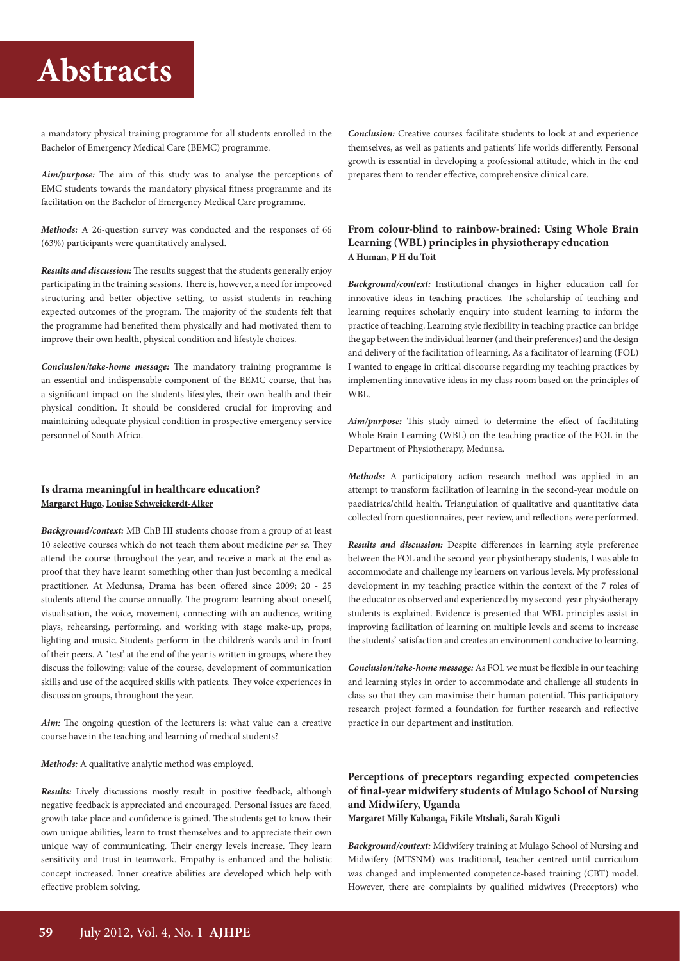a mandatory physical training programme for all students enrolled in the Bachelor of Emergency Medical Care (BEMC) programme.

*Aim/purpose:* The aim of this study was to analyse the perceptions of EMC students towards the mandatory physical fitness programme and its facilitation on the Bachelor of Emergency Medical Care programme.

*Methods:* A 26-question survey was conducted and the responses of 66 (63%) participants were quantitatively analysed.

*Results and discussion:* The results suggest that the students generally enjoy participating in the training sessions. There is, however, a need for improved structuring and better objective setting, to assist students in reaching expected outcomes of the program. The majority of the students felt that the programme had benefited them physically and had motivated them to improve their own health, physical condition and lifestyle choices.

*Conclusion/take-home message:* The mandatory training programme is an essential and indispensable component of the BEMC course, that has a significant impact on the students lifestyles, their own health and their physical condition. It should be considered crucial for improving and maintaining adequate physical condition in prospective emergency service personnel of South Africa.

## **Is drama meaningful in healthcare education? Margaret Hugo, Louise Schweickerdt-Alker**

*Background/context:* MB ChB III students choose from a group of at least 10 selective courses which do not teach them about medicine *per se.* They attend the course throughout the year, and receive a mark at the end as proof that they have learnt something other than just becoming a medical practitioner. At Medunsa, Drama has been offered since 2009; 20 - 25 students attend the course annually. The program: learning about oneself, visualisation, the voice, movement, connecting with an audience, writing plays, rehearsing, performing, and working with stage make-up, props, lighting and music. Students perform in the children's wards and in front of their peers. A 'test' at the end of the year is written in groups, where they discuss the following: value of the course, development of communication skills and use of the acquired skills with patients. They voice experiences in discussion groups, throughout the year.

*Aim:* The ongoing question of the lecturers is: what value can a creative course have in the teaching and learning of medical students?

*Methods:* A qualitative analytic method was employed.

*Results:* Lively discussions mostly result in positive feedback, although negative feedback is appreciated and encouraged. Personal issues are faced, growth take place and confidence is gained. The students get to know their own unique abilities, learn to trust themselves and to appreciate their own unique way of communicating. Their energy levels increase. They learn sensitivity and trust in teamwork. Empathy is enhanced and the holistic concept increased. Inner creative abilities are developed which help with effective problem solving.

*Conclusion:* Creative courses facilitate students to look at and experience themselves, as well as patients and patients' life worlds differently. Personal growth is essential in developing a professional attitude, which in the end prepares them to render effective, comprehensive clinical care.

### **From colour-blind to rainbow-brained: Using Whole Brain Learning (WBL) principles in physiotherapy education A Human, P H du Toit**

*Background/context:* Institutional changes in higher education call for innovative ideas in teaching practices. The scholarship of teaching and learning requires scholarly enquiry into student learning to inform the practice of teaching. Learning style flexibility in teaching practice can bridge the gap between the individual learner (and their preferences) and the design and delivery of the facilitation of learning. As a facilitator of learning (FOL) I wanted to engage in critical discourse regarding my teaching practices by implementing innovative ideas in my class room based on the principles of WBL.

*Aim/purpose:* This study aimed to determine the effect of facilitating Whole Brain Learning (WBL) on the teaching practice of the FOL in the Department of Physiotherapy, Medunsa.

*Methods:* A participatory action research method was applied in an attempt to transform facilitation of learning in the second-year module on paediatrics/child health. Triangulation of qualitative and quantitative data collected from questionnaires, peer-review, and reflections were performed.

*Results and discussion:* Despite differences in learning style preference between the FOL and the second-year physiotherapy students, I was able to accommodate and challenge my learners on various levels. My professional development in my teaching practice within the context of the 7 roles of the educator as observed and experienced by my second-year physiotherapy students is explained. Evidence is presented that WBL principles assist in improving facilitation of learning on multiple levels and seems to increase the students' satisfaction and creates an environment conducive to learning.

*Conclusion/take-home message:* As FOL we must be flexible in our teaching and learning styles in order to accommodate and challenge all students in class so that they can maximise their human potential. This participatory research project formed a foundation for further research and reflective practice in our department and institution.

**Perceptions of preceptors regarding expected competencies of final-year midwifery students of Mulago School of Nursing and Midwifery, Uganda Margaret Milly Kabanga, Fikile Mtshali, Sarah Kiguli**

*Background/context:* Midwifery training at Mulago School of Nursing and Midwifery (MTSNM) was traditional, teacher centred until curriculum was changed and implemented competence-based training (CBT) model. However, there are complaints by qualified midwives (Preceptors) who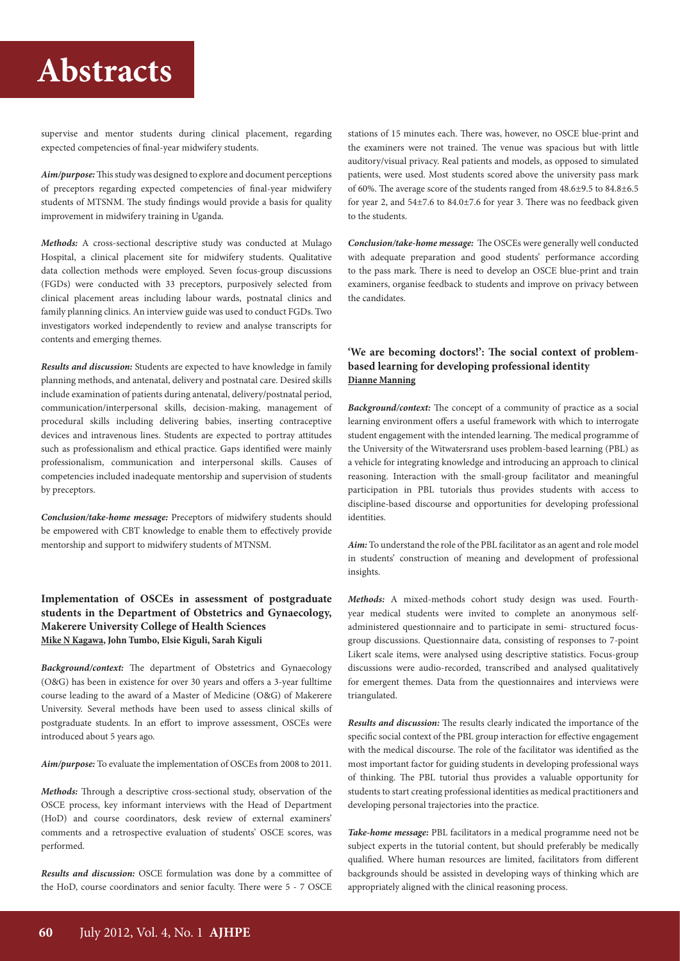supervise and mentor students during clinical placement, regarding expected competencies of final-year midwifery students.

*Aim/purpose:* This study was designed to explore and document perceptions of preceptors regarding expected competencies of final-year midwifery students of MTSNM. The study findings would provide a basis for quality improvement in midwifery training in Uganda.

*Methods:* A cross-sectional descriptive study was conducted at Mulago Hospital, a clinical placement site for midwifery students. Qualitative data collection methods were employed. Seven focus-group discussions (FGDs) were conducted with 33 preceptors, purposively selected from clinical placement areas including labour wards, postnatal clinics and family planning clinics. An interview guide was used to conduct FGDs. Two investigators worked independently to review and analyse transcripts for contents and emerging themes.

*Results and discussion:* Students are expected to have knowledge in family planning methods, and antenatal, delivery and postnatal care. Desired skills include examination of patients during antenatal, delivery/postnatal period, communication/interpersonal skills, decision-making, management of procedural skills including delivering babies, inserting contraceptive devices and intravenous lines. Students are expected to portray attitudes such as professionalism and ethical practice. Gaps identified were mainly professionalism, communication and interpersonal skills. Causes of competencies included inadequate mentorship and supervision of students by preceptors.

*Conclusion/take-home message:* Preceptors of midwifery students should be empowered with CBT knowledge to enable them to effectively provide mentorship and support to midwifery students of MTNSM.

### **Implementation of OSCEs in assessment of postgraduate students in the Department of Obstetrics and Gynaecology, Makerere University College of Health Sciences Mike N Kagawa, John Tumbo, Elsie Kiguli, Sarah Kiguli**

*Background/context:* The department of Obstetrics and Gynaecology (O&G) has been in existence for over 30 years and offers a 3-year fulltime course leading to the award of a Master of Medicine (O&G) of Makerere University. Several methods have been used to assess clinical skills of postgraduate students. In an effort to improve assessment, OSCEs were introduced about 5 years ago.

*Aim/purpose:* To evaluate the implementation of OSCEs from 2008 to 2011.

*Methods:* Through a descriptive cross-sectional study, observation of the OSCE process, key informant interviews with the Head of Department (HoD) and course coordinators, desk review of external examiners' comments and a retrospective evaluation of students' OSCE scores, was performed.

*Results and discussion:* OSCE formulation was done by a committee of the HoD, course coordinators and senior faculty. There were 5 - 7 OSCE

stations of 15 minutes each. There was, however, no OSCE blue-print and the examiners were not trained. The venue was spacious but with little auditory/visual privacy. Real patients and models, as opposed to simulated patients, were used. Most students scored above the university pass mark of 60%. The average score of the students ranged from 48.6±9.5 to 84.8±6.5 for year 2, and 54±7.6 to 84.0±7.6 for year 3. There was no feedback given to the students.

*Conclusion/take-home message:* The OSCEs were generally well conducted with adequate preparation and good students' performance according to the pass mark. There is need to develop an OSCE blue-print and train examiners, organise feedback to students and improve on privacy between the candidates.

## **'We are becoming doctors!': The social context of problembased learning for developing professional identity Dianne Manning**

*Background/context:* The concept of a community of practice as a social learning environment offers a useful framework with which to interrogate student engagement with the intended learning. The medical programme of the University of the Witwatersrand uses problem-based learning (PBL) as a vehicle for integrating knowledge and introducing an approach to clinical reasoning. Interaction with the small-group facilitator and meaningful participation in PBL tutorials thus provides students with access to discipline-based discourse and opportunities for developing professional identities.

*Aim:* To understand the role of the PBL facilitator as an agent and role model in students' construction of meaning and development of professional insights.

*Methods:* A mixed-methods cohort study design was used. Fourthyear medical students were invited to complete an anonymous selfadministered questionnaire and to participate in semi- structured focusgroup discussions. Questionnaire data, consisting of responses to 7-point Likert scale items, were analysed using descriptive statistics. Focus-group discussions were audio-recorded, transcribed and analysed qualitatively for emergent themes. Data from the questionnaires and interviews were triangulated.

*Results and discussion:* The results clearly indicated the importance of the specific social context of the PBL group interaction for effective engagement with the medical discourse. The role of the facilitator was identified as the most important factor for guiding students in developing professional ways of thinking. The PBL tutorial thus provides a valuable opportunity for students to start creating professional identities as medical practitioners and developing personal trajectories into the practice.

*Take-home message:* PBL facilitators in a medical programme need not be subject experts in the tutorial content, but should preferably be medically qualified. Where human resources are limited, facilitators from different backgrounds should be assisted in developing ways of thinking which are appropriately aligned with the clinical reasoning process.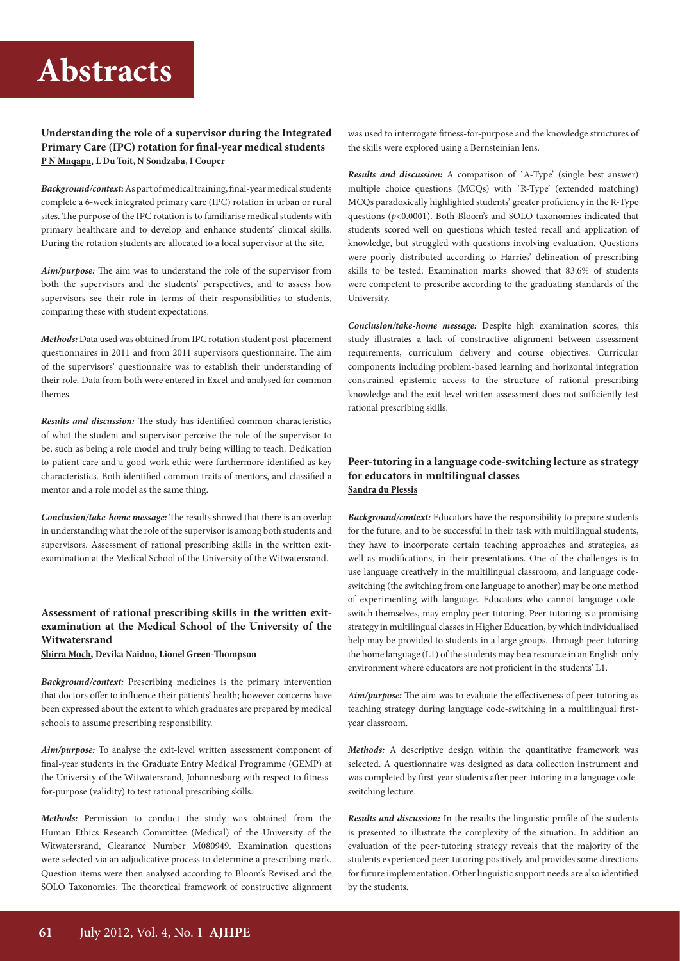#### **Understanding the role of a supervisor during the Integrated Primary Care (IPC) rotation for final-year medical students P N Mnqapu, L Du Toit, N Sondzaba, I Couper**

*Background/context:* As part of medical training, final-year medical students complete a 6-week integrated primary care (IPC) rotation in urban or rural sites. The purpose of the IPC rotation is to familiarise medical students with primary healthcare and to develop and enhance students' clinical skills. During the rotation students are allocated to a local supervisor at the site.

*Aim/purpose:* The aim was to understand the role of the supervisor from both the supervisors and the students' perspectives, and to assess how supervisors see their role in terms of their responsibilities to students, comparing these with student expectations.

*Methods:* Data used was obtained from IPC rotation student post-placement questionnaires in 2011 and from 2011 supervisors questionnaire. The aim of the supervisors' questionnaire was to establish their understanding of their role. Data from both were entered in Excel and analysed for common themes.

*Results and discussion:* The study has identified common characteristics of what the student and supervisor perceive the role of the supervisor to be, such as being a role model and truly being willing to teach. Dedication to patient care and a good work ethic were furthermore identified as key characteristics. Both identified common traits of mentors, and classified a mentor and a role model as the same thing.

*Conclusion/take-home message:* The results showed that there is an overlap in understanding what the role of the supervisor is among both students and supervisors. Assessment of rational prescribing skills in the written exitexamination at the Medical School of the University of the Witwatersrand.

# **Assessment of rational prescribing skills in the written exitexamination at the Medical School of the University of the Witwatersrand**

**Shirra Moch, Devika Naidoo, Lionel Green-Thompson**

*Background/context:* Prescribing medicines is the primary intervention that doctors offer to influence their patients' health; however concerns have been expressed about the extent to which graduates are prepared by medical schools to assume prescribing responsibility.

*Aim/purpose:* To analyse the exit-level written assessment component of final-year students in the Graduate Entry Medical Programme (GEMP) at the University of the Witwatersrand, Johannesburg with respect to fitnessfor-purpose (validity) to test rational prescribing skills.

*Methods:* Permission to conduct the study was obtained from the Human Ethics Research Committee (Medical) of the University of the Witwatersrand, Clearance Number M080949. Examination questions were selected via an adjudicative process to determine a prescribing mark. Question items were then analysed according to Bloom's Revised and the SOLO Taxonomies. The theoretical framework of constructive alignment was used to interrogate fitness-for-purpose and the knowledge structures of the skills were explored using a Bernsteinian lens.

*Results and discussion:* A comparison of 'A-Type' (single best answer) multiple choice questions (MCQs) with 'R-Type' (extended matching) MCQs paradoxically highlighted students' greater proficiency in the R-Type questions (*p*<0.0001). Both Bloom's and SOLO taxonomies indicated that students scored well on questions which tested recall and application of knowledge, but struggled with questions involving evaluation. Questions were poorly distributed according to Harries' delineation of prescribing skills to be tested. Examination marks showed that 83.6% of students were competent to prescribe according to the graduating standards of the University.

*Conclusion/take-home message:* Despite high examination scores, this study illustrates a lack of constructive alignment between assessment requirements, curriculum delivery and course objectives. Curricular components including problem-based learning and horizontal integration constrained epistemic access to the structure of rational prescribing knowledge and the exit-level written assessment does not sufficiently test rational prescribing skills.

#### **Peer-tutoring in a language code-switching lecture as strategy for educators in multilingual classes Sandra du Plessis**

*Background/context:* Educators have the responsibility to prepare students for the future, and to be successful in their task with multilingual students, they have to incorporate certain teaching approaches and strategies, as well as modifications, in their presentations. One of the challenges is to use language creatively in the multilingual classroom, and language codeswitching (the switching from one language to another) may be one method of experimenting with language. Educators who cannot language codeswitch themselves, may employ peer-tutoring. Peer-tutoring is a promising strategy in multilingual classes in Higher Education, by which individualised help may be provided to students in a large groups. Through peer-tutoring the home language (L1) of the students may be a resource in an English-only environment where educators are not proficient in the students' L1.

*Aim/purpose:* The aim was to evaluate the effectiveness of peer-tutoring as teaching strategy during language code-switching in a multilingual firstyear classroom.

*Methods:* A descriptive design within the quantitative framework was selected. A questionnaire was designed as data collection instrument and was completed by first-year students after peer-tutoring in a language codeswitching lecture.

*Results and discussion:* In the results the linguistic profile of the students is presented to illustrate the complexity of the situation. In addition an evaluation of the peer-tutoring strategy reveals that the majority of the students experienced peer-tutoring positively and provides some directions for future implementation. Other linguistic support needs are also identified by the students.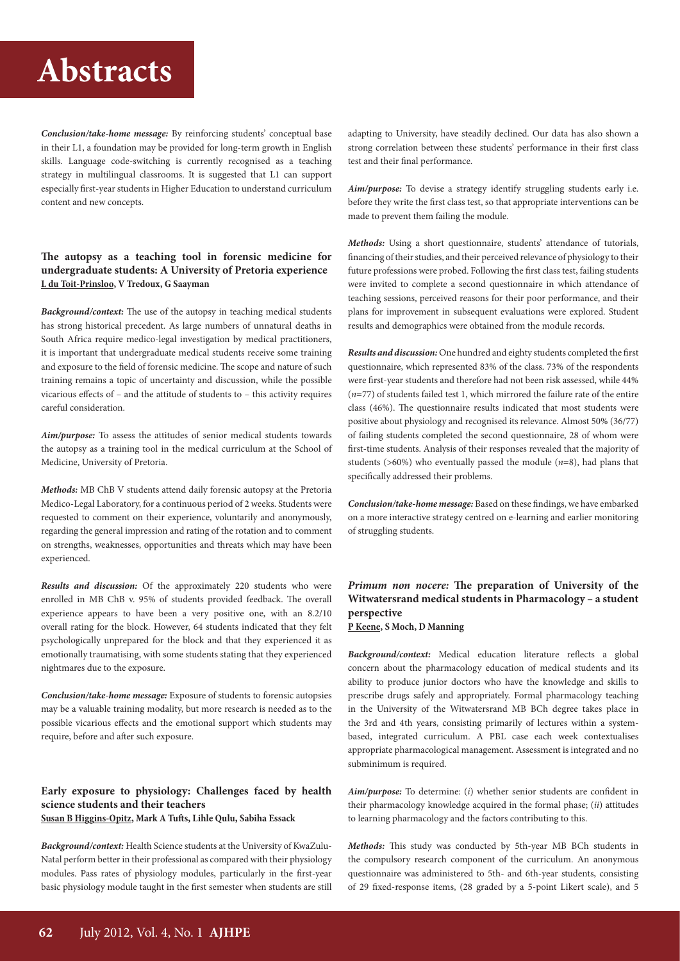*Conclusion/take-home message:* By reinforcing students' conceptual base in their L1, a foundation may be provided for long-term growth in English skills. Language code-switching is currently recognised as a teaching strategy in multilingual classrooms. It is suggested that L1 can support especially first-year students in Higher Education to understand curriculum content and new concepts.

## **The autopsy as a teaching tool in forensic medicine for undergraduate students: A University of Pretoria experience L du Toit-Prinsloo, V Tredoux, G Saayman**

*Background/context:* The use of the autopsy in teaching medical students has strong historical precedent. As large numbers of unnatural deaths in South Africa require medico-legal investigation by medical practitioners, it is important that undergraduate medical students receive some training and exposure to the field of forensic medicine. The scope and nature of such training remains a topic of uncertainty and discussion, while the possible vicarious effects of – and the attitude of students to – this activity requires careful consideration.

*Aim/purpose:* To assess the attitudes of senior medical students towards the autopsy as a training tool in the medical curriculum at the School of Medicine, University of Pretoria.

*Methods:* MB ChB V students attend daily forensic autopsy at the Pretoria Medico-Legal Laboratory, for a continuous period of 2 weeks. Students were requested to comment on their experience, voluntarily and anonymously, regarding the general impression and rating of the rotation and to comment on strengths, weaknesses, opportunities and threats which may have been experienced.

*Results and discussion:* Of the approximately 220 students who were enrolled in MB ChB v. 95% of students provided feedback. The overall experience appears to have been a very positive one, with an 8.2/10 overall rating for the block. However, 64 students indicated that they felt psychologically unprepared for the block and that they experienced it as emotionally traumatising, with some students stating that they experienced nightmares due to the exposure.

*Conclusion/take-home message:* Exposure of students to forensic autopsies may be a valuable training modality, but more research is needed as to the possible vicarious effects and the emotional support which students may require, before and after such exposure.

#### **Early exposure to physiology: Challenges faced by health science students and their teachers Susan B Higgins-Opitz, Mark A Tufts, Lihle Qulu, Sabiha Essack**

*Background/context:* Health Science students at the University of KwaZulu-Natal perform better in their professional as compared with their physiology modules. Pass rates of physiology modules, particularly in the first-year basic physiology module taught in the first semester when students are still adapting to University, have steadily declined. Our data has also shown a strong correlation between these students' performance in their first class test and their final performance.

*Aim/purpose:* To devise a strategy identify struggling students early i.e. before they write the first class test, so that appropriate interventions can be made to prevent them failing the module.

*Methods:* Using a short questionnaire, students' attendance of tutorials, financing of their studies, and their perceived relevance of physiology to their future professions were probed. Following the first class test, failing students were invited to complete a second questionnaire in which attendance of teaching sessions, perceived reasons for their poor performance, and their plans for improvement in subsequent evaluations were explored. Student results and demographics were obtained from the module records.

*Results and discussion:* One hundred and eighty students completed the first questionnaire, which represented 83% of the class. 73% of the respondents were first-year students and therefore had not been risk assessed, while 44% (*n*=77) of students failed test 1, which mirrored the failure rate of the entire class (46%). The questionnaire results indicated that most students were positive about physiology and recognised its relevance. Almost 50% (36/77) of failing students completed the second questionnaire, 28 of whom were first-time students. Analysis of their responses revealed that the majority of students (>60%) who eventually passed the module (*n*=8), had plans that specifically addressed their problems.

*Conclusion/take-home message:* Based on these findings, we have embarked on a more interactive strategy centred on e-learning and earlier monitoring of struggling students.

# *Primum non nocere:* **The preparation of University of the Witwatersrand medical students in Pharmacology – a student perspective**

**P Keene, S Moch, D Manning**

*Background/context:* Medical education literature reflects a global concern about the pharmacology education of medical students and its ability to produce junior doctors who have the knowledge and skills to prescribe drugs safely and appropriately. Formal pharmacology teaching in the University of the Witwatersrand MB BCh degree takes place in the 3rd and 4th years, consisting primarily of lectures within a systembased, integrated curriculum. A PBL case each week contextualises appropriate pharmacological management. Assessment is integrated and no subminimum is required.

*Aim/purpose:* To determine: (*i*) whether senior students are confident in their pharmacology knowledge acquired in the formal phase; (*ii*) attitudes to learning pharmacology and the factors contributing to this.

*Methods:* This study was conducted by 5th-year MB BCh students in the compulsory research component of the curriculum. An anonymous questionnaire was administered to 5th- and 6th-year students, consisting of 29 fixed-response items, (28 graded by a 5-point Likert scale), and 5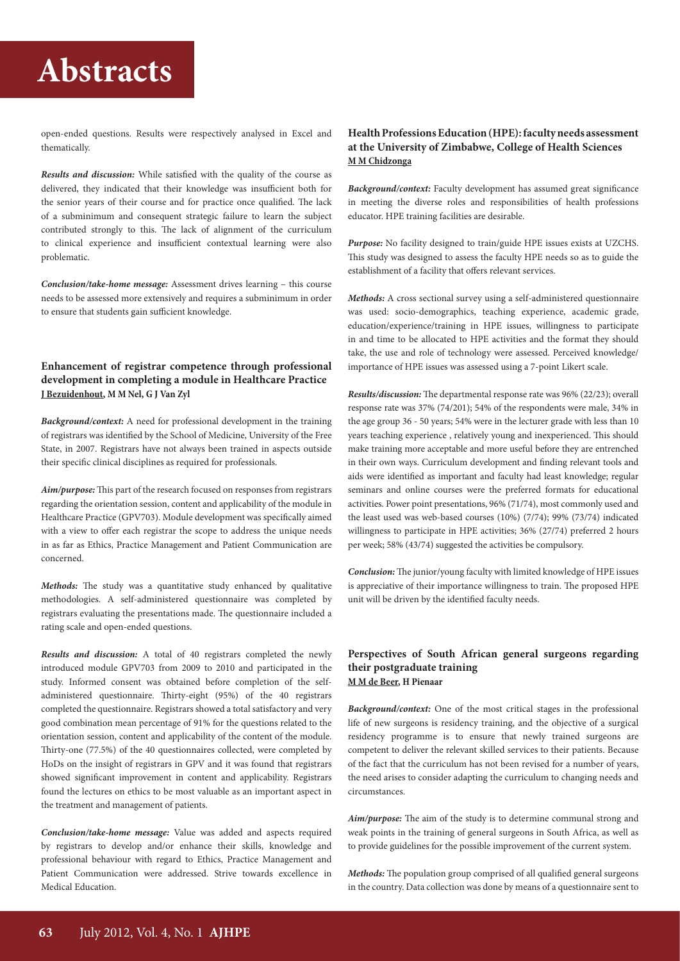open-ended questions. Results were respectively analysed in Excel and thematically.

*Results and discussion:* While satisfied with the quality of the course as delivered, they indicated that their knowledge was insufficient both for the senior years of their course and for practice once qualified. The lack of a subminimum and consequent strategic failure to learn the subject contributed strongly to this. The lack of alignment of the curriculum to clinical experience and insufficient contextual learning were also problematic.

*Conclusion/take-home message:* Assessment drives learning – this course needs to be assessed more extensively and requires a subminimum in order to ensure that students gain sufficient knowledge.

## **Enhancement of registrar competence through professional development in completing a module in Healthcare Practice J Bezuidenhout, M M Nel, G J Van Zyl**

*Background/context:* A need for professional development in the training of registrars was identified by the School of Medicine, University of the Free State, in 2007. Registrars have not always been trained in aspects outside their specific clinical disciplines as required for professionals.

*Aim/purpose:* This part of the research focused on responses from registrars regarding the orientation session, content and applicability of the module in Healthcare Practice (GPV703). Module development was specifically aimed with a view to offer each registrar the scope to address the unique needs in as far as Ethics, Practice Management and Patient Communication are concerned.

*Methods:* The study was a quantitative study enhanced by qualitative methodologies. A self-administered questionnaire was completed by registrars evaluating the presentations made. The questionnaire included a rating scale and open-ended questions.

*Results and discussion:* A total of 40 registrars completed the newly introduced module GPV703 from 2009 to 2010 and participated in the study. Informed consent was obtained before completion of the selfadministered questionnaire. Thirty-eight (95%) of the 40 registrars completed the questionnaire. Registrars showed a total satisfactory and very good combination mean percentage of 91% for the questions related to the orientation session, content and applicability of the content of the module. Thirty-one (77.5%) of the 40 questionnaires collected, were completed by HoDs on the insight of registrars in GPV and it was found that registrars showed significant improvement in content and applicability. Registrars found the lectures on ethics to be most valuable as an important aspect in the treatment and management of patients.

*Conclusion/take-home message:* Value was added and aspects required by registrars to develop and/or enhance their skills, knowledge and professional behaviour with regard to Ethics, Practice Management and Patient Communication were addressed. Strive towards excellence in Medical Education.

### **Health Professions Education (HPE): faculty needs assessment at the University of Zimbabwe, College of Health Sciences M M Chidzonga**

*Background/context:* Faculty development has assumed great significance in meeting the diverse roles and responsibilities of health professions educator. HPE training facilities are desirable.

Purpose: No facility designed to train/guide HPE issues exists at UZCHS. This study was designed to assess the faculty HPE needs so as to guide the establishment of a facility that offers relevant services.

*Methods:* A cross sectional survey using a self-administered questionnaire was used: socio-demographics, teaching experience, academic grade, education/experience/training in HPE issues, willingness to participate in and time to be allocated to HPE activities and the format they should take, the use and role of technology were assessed. Perceived knowledge/ importance of HPE issues was assessed using a 7-point Likert scale.

*Results/discussion:* The departmental response rate was 96% (22/23); overall response rate was 37% (74/201); 54% of the respondents were male, 34% in the age group 36 - 50 years; 54% were in the lecturer grade with less than 10 years teaching experience , relatively young and inexperienced. This should make training more acceptable and more useful before they are entrenched in their own ways. Curriculum development and finding relevant tools and aids were identified as important and faculty had least knowledge; regular seminars and online courses were the preferred formats for educational activities. Power point presentations, 96% (71/74), most commonly used and the least used was web-based courses (10%) (7/74); 99% (73/74) indicated willingness to participate in HPE activities; 36% (27/74) preferred 2 hours per week; 58% (43/74) suggested the activities be compulsory.

*Conclusion:* The junior/young faculty with limited knowledge of HPE issues is appreciative of their importance willingness to train. The proposed HPE unit will be driven by the identified faculty needs.

#### **Perspectives of South African general surgeons regarding their postgraduate training M M de Beer, H Pienaar**

*Background/context:* One of the most critical stages in the professional life of new surgeons is residency training, and the objective of a surgical residency programme is to ensure that newly trained surgeons are competent to deliver the relevant skilled services to their patients. Because of the fact that the curriculum has not been revised for a number of years, the need arises to consider adapting the curriculum to changing needs and circumstances.

*Aim/purpose:* The aim of the study is to determine communal strong and weak points in the training of general surgeons in South Africa, as well as to provide guidelines for the possible improvement of the current system.

*Methods:* The population group comprised of all qualified general surgeons in the country. Data collection was done by means of a questionnaire sent to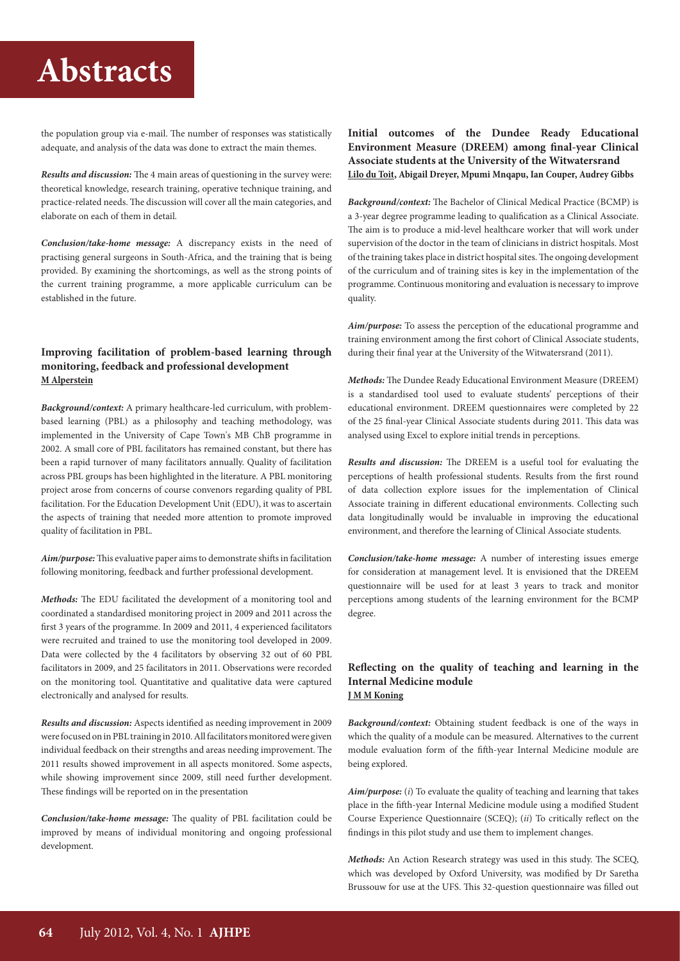the population group via e-mail. The number of responses was statistically adequate, and analysis of the data was done to extract the main themes.

*Results and discussion:* The 4 main areas of questioning in the survey were: theoretical knowledge, research training, operative technique training, and practice-related needs. The discussion will cover all the main categories, and elaborate on each of them in detail.

*Conclusion/take-home message:* A discrepancy exists in the need of practising general surgeons in South-Africa, and the training that is being provided. By examining the shortcomings, as well as the strong points of the current training programme, a more applicable curriculum can be established in the future.

## **Improving facilitation of problem-based learning through monitoring, feedback and professional development M Alperstein**

*Background/context:* A primary healthcare-led curriculum, with problembased learning (PBL) as a philosophy and teaching methodology, was implemented in the University of Cape Town's MB ChB programme in 2002. A small core of PBL facilitators has remained constant, but there has been a rapid turnover of many facilitators annually. Quality of facilitation across PBL groups has been highlighted in the literature. A PBL monitoring project arose from concerns of course convenors regarding quality of PBL facilitation. For the Education Development Unit (EDU), it was to ascertain the aspects of training that needed more attention to promote improved quality of facilitation in PBL.

*Aim/purpose:* This evaluative paper aims to demonstrate shifts in facilitation following monitoring, feedback and further professional development.

*Methods:* The EDU facilitated the development of a monitoring tool and coordinated a standardised monitoring project in 2009 and 2011 across the first 3 years of the programme. In 2009 and 2011, 4 experienced facilitators were recruited and trained to use the monitoring tool developed in 2009. Data were collected by the 4 facilitators by observing 32 out of 60 PBL facilitators in 2009, and 25 facilitators in 2011. Observations were recorded on the monitoring tool. Quantitative and qualitative data were captured electronically and analysed for results.

*Results and discussion:* Aspects identified as needing improvement in 2009 were focused on in PBL training in 2010. All facilitators monitored were given individual feedback on their strengths and areas needing improvement. The 2011 results showed improvement in all aspects monitored. Some aspects, while showing improvement since 2009, still need further development. These findings will be reported on in the presentation

*Conclusion/take-home message:* The quality of PBL facilitation could be improved by means of individual monitoring and ongoing professional development.

### **Initial outcomes of the Dundee Ready Educational Environment Measure (DREEM) among final-year Clinical Associate students at the University of the Witwatersrand Lilo du Toit, Abigail Dreyer, Mpumi Mnqapu, Ian Couper, Audrey Gibbs**

*Background/context:* The Bachelor of Clinical Medical Practice (BCMP) is a 3-year degree programme leading to qualification as a Clinical Associate. The aim is to produce a mid-level healthcare worker that will work under supervision of the doctor in the team of clinicians in district hospitals. Most of the training takes place in district hospital sites. The ongoing development of the curriculum and of training sites is key in the implementation of the programme. Continuous monitoring and evaluation is necessary to improve quality.

*Aim/purpose:* To assess the perception of the educational programme and training environment among the first cohort of Clinical Associate students, during their final year at the University of the Witwatersrand (2011).

*Methods:* The Dundee Ready Educational Environment Measure (DREEM) is a standardised tool used to evaluate students' perceptions of their educational environment. DREEM questionnaires were completed by 22 of the 25 final-year Clinical Associate students during 2011. This data was analysed using Excel to explore initial trends in perceptions.

*Results and discussion:* The DREEM is a useful tool for evaluating the perceptions of health professional students. Results from the first round of data collection explore issues for the implementation of Clinical Associate training in different educational environments. Collecting such data longitudinally would be invaluable in improving the educational environment, and therefore the learning of Clinical Associate students.

*Conclusion/take-home message:* A number of interesting issues emerge for consideration at management level. It is envisioned that the DREEM questionnaire will be used for at least 3 years to track and monitor perceptions among students of the learning environment for the BCMP degree.

## **Reflecting on the quality of teaching and learning in the Internal Medicine module J M M Koning**

*Background/context:* Obtaining student feedback is one of the ways in which the quality of a module can be measured. Alternatives to the current module evaluation form of the fifth-year Internal Medicine module are being explored.

*Aim/purpose:* (*i*) To evaluate the quality of teaching and learning that takes place in the fifth-year Internal Medicine module using a modified Student Course Experience Questionnaire (SCEQ); (*ii*) To critically reflect on the findings in this pilot study and use them to implement changes.

*Methods:* An Action Research strategy was used in this study. The SCEQ, which was developed by Oxford University, was modified by Dr Saretha Brussouw for use at the UFS. This 32-question questionnaire was filled out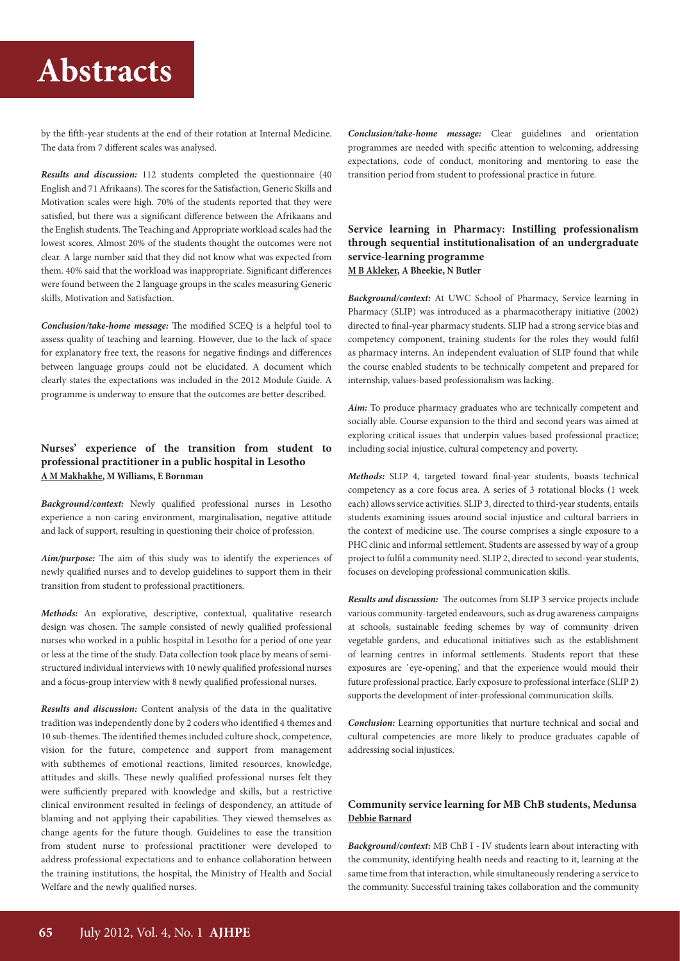by the fifth-year students at the end of their rotation at Internal Medicine. The data from 7 different scales was analysed.

*Results and discussion:* 112 students completed the questionnaire (40 English and 71 Afrikaans). The scores for the Satisfaction, Generic Skills and Motivation scales were high. 70% of the students reported that they were satisfied, but there was a significant difference between the Afrikaans and the English students. The Teaching and Appropriate workload scales had the lowest scores. Almost 20% of the students thought the outcomes were not clear. A large number said that they did not know what was expected from them. 40% said that the workload was inappropriate. Significant differences were found between the 2 language groups in the scales measuring Generic skills, Motivation and Satisfaction.

*Conclusion/take-home message:* The modified SCEQ is a helpful tool to assess quality of teaching and learning. However, due to the lack of space for explanatory free text, the reasons for negative findings and differences between language groups could not be elucidated. A document which clearly states the expectations was included in the 2012 Module Guide. A programme is underway to ensure that the outcomes are better described.

### **Nurses' experience of the transition from student to professional practitioner in a public hospital in Lesotho A M Makhakhe, M Williams, E Bornman**

*Background/context:* Newly qualified professional nurses in Lesotho experience a non-caring environment, marginalisation, negative attitude and lack of support, resulting in questioning their choice of profession.

*Aim/purpose:* The aim of this study was to identify the experiences of newly qualified nurses and to develop guidelines to support them in their transition from student to professional practitioners.

*Methods:* An explorative, descriptive, contextual, qualitative research design was chosen. The sample consisted of newly qualified professional nurses who worked in a public hospital in Lesotho for a period of one year or less at the time of the study. Data collection took place by means of semistructured individual interviews with 10 newly qualified professional nurses and a focus-group interview with 8 newly qualified professional nurses.

*Results and discussion:* Content analysis of the data in the qualitative tradition was independently done by 2 coders who identified 4 themes and 10 sub-themes. The identified themes included culture shock, competence, vision for the future, competence and support from management with subthemes of emotional reactions, limited resources, knowledge, attitudes and skills. These newly qualified professional nurses felt they were sufficiently prepared with knowledge and skills, but a restrictive clinical environment resulted in feelings of despondency, an attitude of blaming and not applying their capabilities. They viewed themselves as change agents for the future though. Guidelines to ease the transition from student nurse to professional practitioner were developed to address professional expectations and to enhance collaboration between the training institutions, the hospital, the Ministry of Health and Social Welfare and the newly qualified nurses.

*Conclusion/take-home message:* Clear guidelines and orientation programmes are needed with specific attention to welcoming, addressing expectations, code of conduct, monitoring and mentoring to ease the transition period from student to professional practice in future.

### **Service learning in Pharmacy: Instilling professionalism through sequential institutionalisation of an undergraduate service-learning programme M B Akleker, A Bheekie, N Butler**

*Background/context:* At UWC School of Pharmacy, Service learning in Pharmacy (SLIP) was introduced as a pharmacotherapy initiative (2002) directed to final-year pharmacy students. SLIP had a strong service bias and competency component, training students for the roles they would fulfil as pharmacy interns. An independent evaluation of SLIP found that while the course enabled students to be technically competent and prepared for internship, values-based professionalism was lacking.

*Aim:* To produce pharmacy graduates who are technically competent and socially able. Course expansion to the third and second years was aimed at exploring critical issues that underpin values-based professional practice; including social injustice, cultural competency and poverty.

*Methods:* SLIP 4, targeted toward final-year students, boasts technical competency as a core focus area. A series of 3 rotational blocks (1 week each) allows service activities. SLIP 3, directed to third-year students, entails students examining issues around social injustice and cultural barriers in the context of medicine use. The course comprises a single exposure to a PHC clinic and informal settlement. Students are assessed by way of a group project to fulfil a community need. SLIP 2, directed to second-year students, focuses on developing professional communication skills.

*Results and discussion:* The outcomes from SLIP 3 service projects include various community-targeted endeavours, such as drug awareness campaigns at schools, sustainable feeding schemes by way of community driven vegetable gardens, and educational initiatives such as the establishment of learning centres in informal settlements. Students report that these exposures are 'eye-opening,' and that the experience would mould their future professional practice. Early exposure to professional interface (SLIP 2) supports the development of inter-professional communication skills.

*Conclusion:* Learning opportunities that nurture technical and social and cultural competencies are more likely to produce graduates capable of addressing social injustices.

# **Community service learning for MB ChB students, Medunsa Debbie Barnard**

*Background/context:* MB ChB I - IV students learn about interacting with the community, identifying health needs and reacting to it, learning at the same time from that interaction, while simultaneously rendering a service to the community. Successful training takes collaboration and the community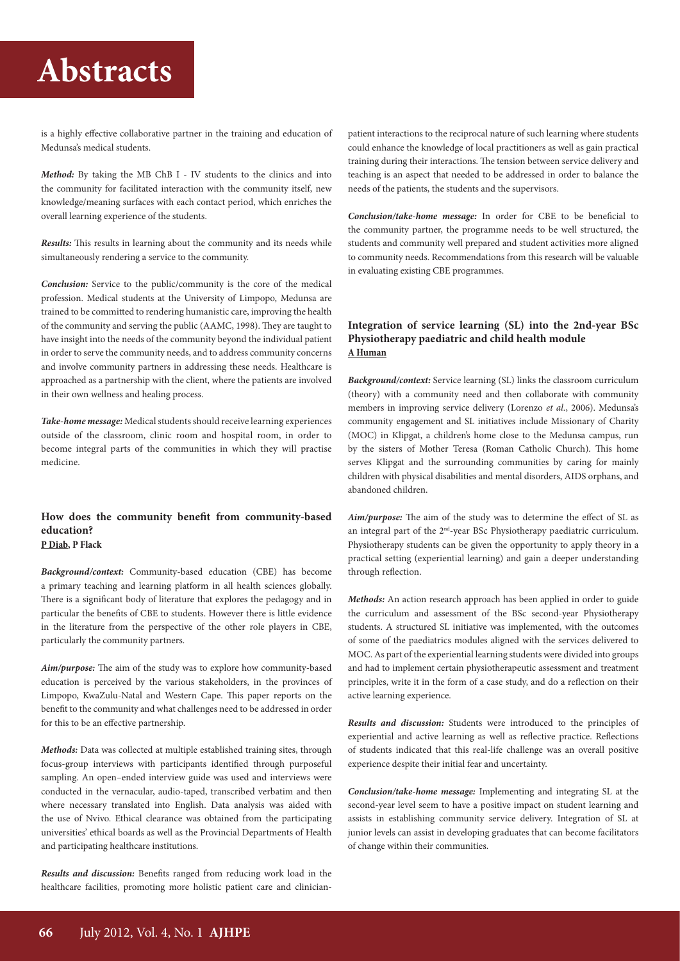is a highly effective collaborative partner in the training and education of Medunsa's medical students.

*Method:* By taking the MB ChB I - IV students to the clinics and into the community for facilitated interaction with the community itself, new knowledge/meaning surfaces with each contact period, which enriches the overall learning experience of the students.

*Results:* This results in learning about the community and its needs while simultaneously rendering a service to the community.

*Conclusion:* Service to the public/community is the core of the medical profession. Medical students at the University of Limpopo, Medunsa are trained to be committed to rendering humanistic care, improving the health of the community and serving the public (AAMC, 1998). They are taught to have insight into the needs of the community beyond the individual patient in order to serve the community needs, and to address community concerns and involve community partners in addressing these needs. Healthcare is approached as a partnership with the client, where the patients are involved in their own wellness and healing process.

*Take-home message:* Medical students should receive learning experiences outside of the classroom, clinic room and hospital room, in order to become integral parts of the communities in which they will practise medicine.

#### **How does the community benefit from community-based education? P Diab, P Flack**

*Background/context:* Community-based education (CBE) has become a primary teaching and learning platform in all health sciences globally. There is a significant body of literature that explores the pedagogy and in particular the benefits of CBE to students. However there is little evidence in the literature from the perspective of the other role players in CBE, particularly the community partners.

*Aim/purpose:* The aim of the study was to explore how community-based education is perceived by the various stakeholders, in the provinces of Limpopo, KwaZulu-Natal and Western Cape. This paper reports on the benefit to the community and what challenges need to be addressed in order for this to be an effective partnership.

*Methods:* Data was collected at multiple established training sites, through focus-group interviews with participants identified through purposeful sampling. An open–ended interview guide was used and interviews were conducted in the vernacular, audio-taped, transcribed verbatim and then where necessary translated into English. Data analysis was aided with the use of Nvivo. Ethical clearance was obtained from the participating universities' ethical boards as well as the Provincial Departments of Health and participating healthcare institutions.

*Results and discussion:* Benefits ranged from reducing work load in the healthcare facilities, promoting more holistic patient care and clinician-

patient interactions to the reciprocal nature of such learning where students could enhance the knowledge of local practitioners as well as gain practical training during their interactions. The tension between service delivery and teaching is an aspect that needed to be addressed in order to balance the needs of the patients, the students and the supervisors.

*Conclusion/take-home message:* In order for CBE to be beneficial to the community partner, the programme needs to be well structured, the students and community well prepared and student activities more aligned to community needs. Recommendations from this research will be valuable in evaluating existing CBE programmes.

# **Integration of service learning (SL) into the 2nd-year BSc Physiotherapy paediatric and child health module A Human**

*Background/context:* Service learning (SL) links the classroom curriculum (theory) with a community need and then collaborate with community members in improving service delivery (Lorenzo *et al.*, 2006). Medunsa's community engagement and SL initiatives include Missionary of Charity (MOC) in Klipgat, a children's home close to the Medunsa campus, run by the sisters of Mother Teresa (Roman Catholic Church). This home serves Klipgat and the surrounding communities by caring for mainly children with physical disabilities and mental disorders, AIDS orphans, and abandoned children.

*Aim/purpose:* The aim of the study was to determine the effect of SL as an integral part of the 2<sup>nd</sup>-year BSc Physiotherapy paediatric curriculum. Physiotherapy students can be given the opportunity to apply theory in a practical setting (experiential learning) and gain a deeper understanding through reflection.

*Methods:* An action research approach has been applied in order to guide the curriculum and assessment of the BSc second-year Physiotherapy students. A structured SL initiative was implemented, with the outcomes of some of the paediatrics modules aligned with the services delivered to MOC. As part of the experiential learning students were divided into groups and had to implement certain physiotherapeutic assessment and treatment principles, write it in the form of a case study, and do a reflection on their active learning experience.

*Results and discussion:* Students were introduced to the principles of experiential and active learning as well as reflective practice. Reflections of students indicated that this real-life challenge was an overall positive experience despite their initial fear and uncertainty.

*Conclusion/take-home message:* Implementing and integrating SL at the second-year level seem to have a positive impact on student learning and assists in establishing community service delivery. Integration of SL at junior levels can assist in developing graduates that can become facilitators of change within their communities.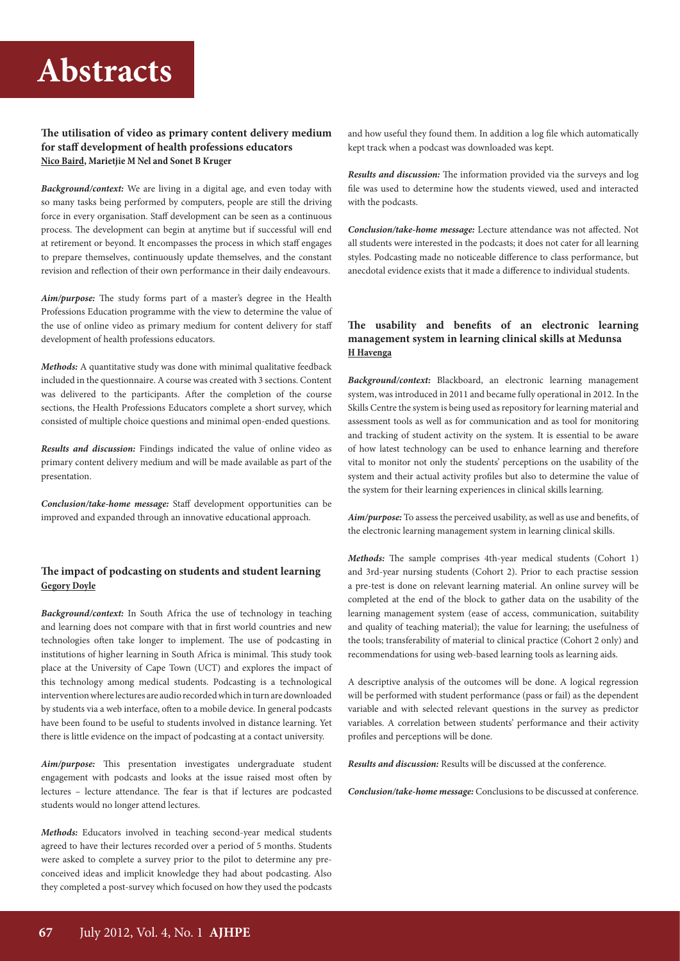**The utilisation of video as primary content delivery medium for staff development of health professions educators Nico Baird, Marietjie M Nel and Sonet B Kruger**

*Background/context:* We are living in a digital age, and even today with so many tasks being performed by computers, people are still the driving force in every organisation. Staff development can be seen as a continuous process. The development can begin at anytime but if successful will end at retirement or beyond. It encompasses the process in which staff engages to prepare themselves, continuously update themselves, and the constant revision and reflection of their own performance in their daily endeavours.

*Aim/purpose:* The study forms part of a master's degree in the Health Professions Education programme with the view to determine the value of the use of online video as primary medium for content delivery for staff development of health professions educators.

*Methods:* A quantitative study was done with minimal qualitative feedback included in the questionnaire. A course was created with 3 sections. Content was delivered to the participants. After the completion of the course sections, the Health Professions Educators complete a short survey, which consisted of multiple choice questions and minimal open-ended questions.

*Results and discussion:* Findings indicated the value of online video as primary content delivery medium and will be made available as part of the presentation.

*Conclusion/take-home message:* Staff development opportunities can be improved and expanded through an innovative educational approach.

### **The impact of podcasting on students and student learning Gegory Doyle**

*Background/context:* In South Africa the use of technology in teaching and learning does not compare with that in first world countries and new technologies often take longer to implement. The use of podcasting in institutions of higher learning in South Africa is minimal. This study took place at the University of Cape Town (UCT) and explores the impact of this technology among medical students. Podcasting is a technological intervention where lectures are audio recorded which in turn are downloaded by students via a web interface, often to a mobile device. In general podcasts have been found to be useful to students involved in distance learning. Yet there is little evidence on the impact of podcasting at a contact university.

*Aim/purpose:* This presentation investigates undergraduate student engagement with podcasts and looks at the issue raised most often by lectures – lecture attendance. The fear is that if lectures are podcasted students would no longer attend lectures.

*Methods:* Educators involved in teaching second-year medical students agreed to have their lectures recorded over a period of 5 months. Students were asked to complete a survey prior to the pilot to determine any preconceived ideas and implicit knowledge they had about podcasting. Also they completed a post-survey which focused on how they used the podcasts

and how useful they found them. In addition a log file which automatically kept track when a podcast was downloaded was kept.

*Results and discussion:* The information provided via the surveys and log file was used to determine how the students viewed, used and interacted with the podcasts.

*Conclusion/take-home message:* Lecture attendance was not affected. Not all students were interested in the podcasts; it does not cater for all learning styles. Podcasting made no noticeable difference to class performance, but anecdotal evidence exists that it made a difference to individual students.

# **The usability and benefits of an electronic learning management system in learning clinical skills at Medunsa H Havenga**

*Background/context:* Blackboard, an electronic learning management system, was introduced in 2011 and became fully operational in 2012. In the Skills Centre the system is being used as repository for learning material and assessment tools as well as for communication and as tool for monitoring and tracking of student activity on the system. It is essential to be aware of how latest technology can be used to enhance learning and therefore vital to monitor not only the students' perceptions on the usability of the system and their actual activity profiles but also to determine the value of the system for their learning experiences in clinical skills learning.

*Aim/purpose:* To assess the perceived usability, as well as use and benefits, of the electronic learning management system in learning clinical skills.

*Methods:* The sample comprises 4th-year medical students (Cohort 1) and 3rd-year nursing students (Cohort 2). Prior to each practise session a pre-test is done on relevant learning material. An online survey will be completed at the end of the block to gather data on the usability of the learning management system (ease of access, communication, suitability and quality of teaching material); the value for learning; the usefulness of the tools; transferability of material to clinical practice (Cohort 2 only) and recommendations for using web-based learning tools as learning aids.

A descriptive analysis of the outcomes will be done. A logical regression will be performed with student performance (pass or fail) as the dependent variable and with selected relevant questions in the survey as predictor variables. A correlation between students' performance and their activity profiles and perceptions will be done.

*Results and discussion:* Results will be discussed at the conference.

*Conclusion/take-home message:* Conclusions to be discussed at conference.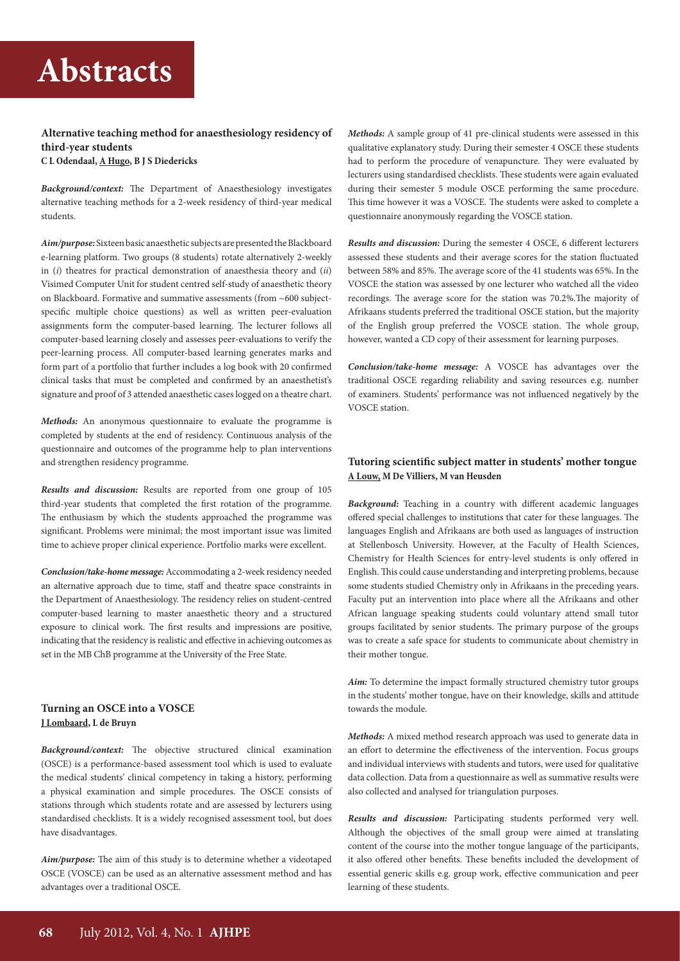#### **Alternative teaching method for anaesthesiology residency of third-year students C L Odendaal, A Hugo, B J S Diedericks**

*Background/context:* The Department of Anaesthesiology investigates alternative teaching methods for a 2-week residency of third-year medical students.

*Aim/purpose:* Sixteen basic anaesthetic subjects are presented the Blackboard e-learning platform. Two groups (8 students) rotate alternatively 2-weekly in (*i*) theatres for practical demonstration of anaesthesia theory and (*ii*) Visimed Computer Unit for student centred self-study of anaesthetic theory on Blackboard. Formative and summative assessments (from ~600 subjectspecific multiple choice questions) as well as written peer-evaluation assignments form the computer-based learning. The lecturer follows all computer-based learning closely and assesses peer-evaluations to verify the peer-learning process. All computer-based learning generates marks and form part of a portfolio that further includes a log book with 20 confirmed clinical tasks that must be completed and confirmed by an anaesthetist's signature and proof of 3 attended anaesthetic cases logged on a theatre chart.

*Methods:* An anonymous questionnaire to evaluate the programme is completed by students at the end of residency. Continuous analysis of the questionnaire and outcomes of the programme help to plan interventions and strengthen residency programme.

*Results and discussion:* Results are reported from one group of 105 third-year students that completed the first rotation of the programme. The enthusiasm by which the students approached the programme was significant. Problems were minimal; the most important issue was limited time to achieve proper clinical experience. Portfolio marks were excellent.

*Conclusion/take-home message:* Accommodating a 2-week residency needed an alternative approach due to time, staff and theatre space constraints in the Department of Anaesthesiology. The residency relies on student-centred computer-based learning to master anaesthetic theory and a structured exposure to clinical work. The first results and impressions are positive, indicating that the residency is realistic and effective in achieving outcomes as set in the MB ChB programme at the University of the Free State.

## **Turning an OSCE into a VOSCE J Lombaard, L de Bruyn**

*Background/context:* The objective structured clinical examination (OSCE) is a performance-based assessment tool which is used to evaluate the medical students' clinical competency in taking a history, performing a physical examination and simple procedures. The OSCE consists of stations through which students rotate and are assessed by lecturers using standardised checklists. It is a widely recognised assessment tool, but does have disadvantages.

*Aim/purpose:* The aim of this study is to determine whether a videotaped OSCE (VOSCE) can be used as an alternative assessment method and has advantages over a traditional OSCE.

*Methods:* A sample group of 41 pre-clinical students were assessed in this qualitative explanatory study. During their semester 4 OSCE these students had to perform the procedure of venapuncture. They were evaluated by lecturers using standardised checklists. These students were again evaluated during their semester 5 module OSCE performing the same procedure. This time however it was a VOSCE. The students were asked to complete a questionnaire anonymously regarding the VOSCE station.

*Results and discussion:* During the semester 4 OSCE, 6 different lecturers assessed these students and their average scores for the station fluctuated between 58% and 85%. The average score of the 41 students was 65%. In the VOSCE the station was assessed by one lecturer who watched all the video recordings. The average score for the station was 70.2%.The majority of Afrikaans students preferred the traditional OSCE station, but the majority of the English group preferred the VOSCE station. The whole group, however, wanted a CD copy of their assessment for learning purposes.

*Conclusion/take-home message:* A VOSCE has advantages over the traditional OSCE regarding reliability and saving resources e.g. number of examiners. Students' performance was not influenced negatively by the VOSCE station.

#### **Tutoring scientific subject matter in students' mother tongue A Louw, M De Villiers, M van Heusden**

*Background:* Teaching in a country with different academic languages offered special challenges to institutions that cater for these languages. The languages English and Afrikaans are both used as languages of instruction at Stellenbosch University. However, at the Faculty of Health Sciences, Chemistry for Health Sciences for entry-level students is only offered in English. This could cause understanding and interpreting problems, because some students studied Chemistry only in Afrikaans in the preceding years. Faculty put an intervention into place where all the Afrikaans and other African language speaking students could voluntary attend small tutor groups facilitated by senior students. The primary purpose of the groups was to create a safe space for students to communicate about chemistry in their mother tongue.

*Aim:* To determine the impact formally structured chemistry tutor groups in the students' mother tongue, have on their knowledge, skills and attitude towards the module.

*Methods:* A mixed method research approach was used to generate data in an effort to determine the effectiveness of the intervention. Focus groups and individual interviews with students and tutors, were used for qualitative data collection. Data from a questionnaire as well as summative results were also collected and analysed for triangulation purposes.

*Results and discussion:* Participating students performed very well. Although the objectives of the small group were aimed at translating content of the course into the mother tongue language of the participants, it also offered other benefits. These benefits included the development of essential generic skills e.g. group work, effective communication and peer learning of these students.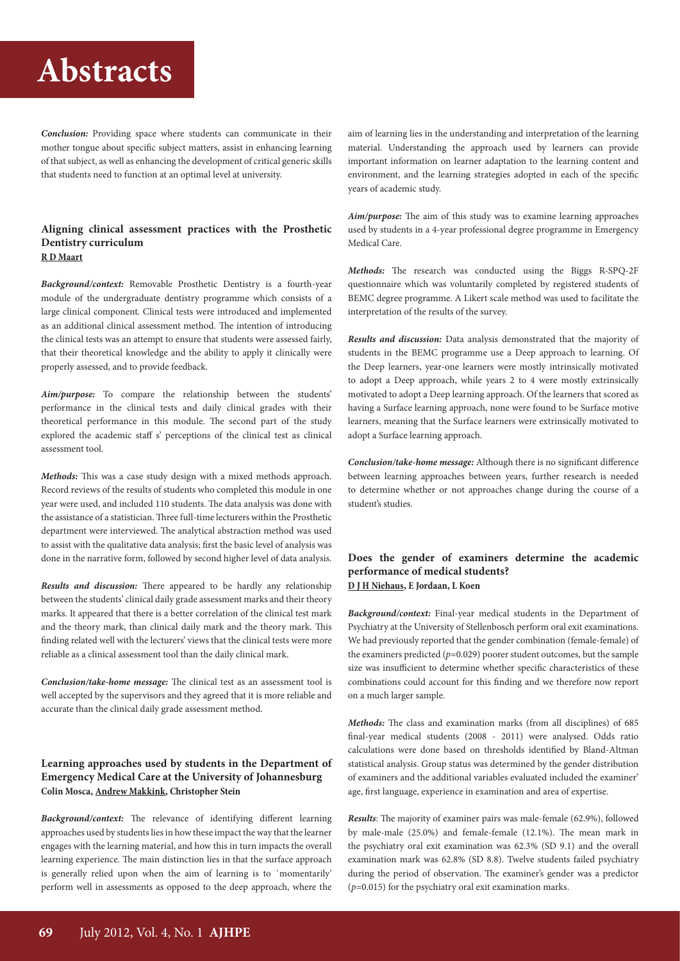*Conclusion:* Providing space where students can communicate in their mother tongue about specific subject matters, assist in enhancing learning of that subject, as well as enhancing the development of critical generic skills that students need to function at an optimal level at university.

#### **Aligning clinical assessment practices with the Prosthetic Dentistry curriculum R D Maart**

*Background/context:* Removable Prosthetic Dentistry is a fourth-year module of the undergraduate dentistry programme which consists of a large clinical component. Clinical tests were introduced and implemented as an additional clinical assessment method. The intention of introducing the clinical tests was an attempt to ensure that students were assessed fairly, that their theoretical knowledge and the ability to apply it clinically were properly assessed, and to provide feedback.

*Aim/purpose:* To compare the relationship between the students' performance in the clinical tests and daily clinical grades with their theoretical performance in this module. The second part of the study explored the academic staff s' perceptions of the clinical test as clinical assessment tool.

*Methods:* This was a case study design with a mixed methods approach. Record reviews of the results of students who completed this module in one year were used, and included 110 students. The data analysis was done with the assistance of a statistician. Three full-time lecturers within the Prosthetic department were interviewed. The analytical abstraction method was used to assist with the qualitative data analysis; first the basic level of analysis was done in the narrative form, followed by second higher level of data analysis.

*Results and discussion:* There appeared to be hardly any relationship between the students' clinical daily grade assessment marks and their theory marks. It appeared that there is a better correlation of the clinical test mark and the theory mark, than clinical daily mark and the theory mark. This finding related well with the lecturers' views that the clinical tests were more reliable as a clinical assessment tool than the daily clinical mark.

*Conclusion/take-home message:* The clinical test as an assessment tool is well accepted by the supervisors and they agreed that it is more reliable and accurate than the clinical daily grade assessment method.

## **Learning approaches used by students in the Department of Emergency Medical Care at the University of Johannesburg Colin Mosca, Andrew Makkink, Christopher Stein**

*Background/context:* The relevance of identifying different learning approaches used by students lies in how these impact the way that the learner engages with the learning material, and how this in turn impacts the overall learning experience. The main distinction lies in that the surface approach is generally relied upon when the aim of learning is to 'momentarily' perform well in assessments as opposed to the deep approach, where the

aim of learning lies in the understanding and interpretation of the learning material. Understanding the approach used by learners can provide important information on learner adaptation to the learning content and environment, and the learning strategies adopted in each of the specific years of academic study.

*Aim/purpose:* The aim of this study was to examine learning approaches used by students in a 4-year professional degree programme in Emergency Medical Care.

*Methods:* The research was conducted using the Biggs R-SPQ-2F questionnaire which was voluntarily completed by registered students of BEMC degree programme. A Likert scale method was used to facilitate the interpretation of the results of the survey.

*Results and discussion:* Data analysis demonstrated that the majority of students in the BEMC programme use a Deep approach to learning. Of the Deep learners, year-one learners were mostly intrinsically motivated to adopt a Deep approach, while years 2 to 4 were mostly extrinsically motivated to adopt a Deep learning approach. Of the learners that scored as having a Surface learning approach, none were found to be Surface motive learners, meaning that the Surface learners were extrinsically motivated to adopt a Surface learning approach.

*Conclusion/take-home message:* Although there is no significant difference between learning approaches between years, further research is needed to determine whether or not approaches change during the course of a student's studies.

## **Does the gender of examiners determine the academic performance of medical students? D J H Niehaus, E Jordaan, L Koen**

*Background/context:* Final-year medical students in the Department of Psychiatry at the University of Stellenbosch perform oral exit examinations. We had previously reported that the gender combination (female-female) of the examiners predicted  $(p=0.029)$  poorer student outcomes, but the sample size was insufficient to determine whether specific characteristics of these combinations could account for this finding and we therefore now report on a much larger sample.

*Methods:* The class and examination marks (from all disciplines) of 685 final-year medical students (2008 - 2011) were analysed. Odds ratio calculations were done based on thresholds identified by Bland-Altman statistical analysis. Group status was determined by the gender distribution of examiners and the additional variables evaluated included the examiner' age, first language, experience in examination and area of expertise.

*Results*: The majority of examiner pairs was male-female (62.9%), followed by male-male (25.0%) and female-female (12.1%). The mean mark in the psychiatry oral exit examination was 62.3% (SD 9.1) and the overall examination mark was 62.8% (SD 8.8). Twelve students failed psychiatry during the period of observation. The examiner's gender was a predictor (*p*=0.015) for the psychiatry oral exit examination marks.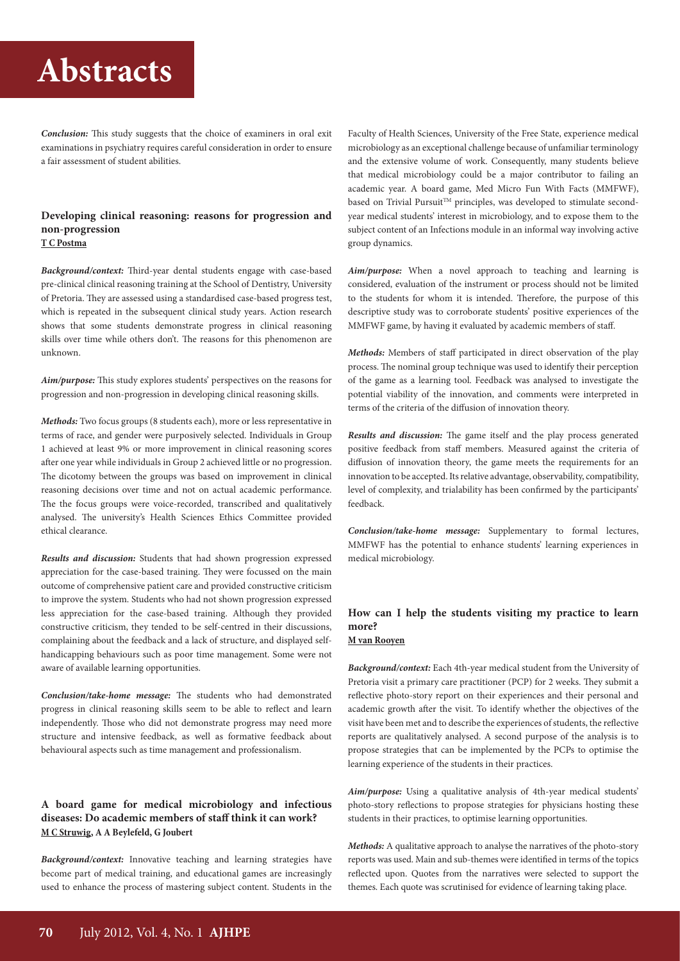*Conclusion:* This study suggests that the choice of examiners in oral exit examinations in psychiatry requires careful consideration in order to ensure a fair assessment of student abilities.

# **Developing clinical reasoning: reasons for progression and non-progression**

#### **T C Postma**

*Background/context:* Third-year dental students engage with case-based pre-clinical clinical reasoning training at the School of Dentistry, University of Pretoria. They are assessed using a standardised case-based progress test, which is repeated in the subsequent clinical study years. Action research shows that some students demonstrate progress in clinical reasoning skills over time while others don't. The reasons for this phenomenon are unknown.

*Aim/purpose:* This study explores students' perspectives on the reasons for progression and non-progression in developing clinical reasoning skills.

*Methods:* Two focus groups (8 students each), more or less representative in terms of race, and gender were purposively selected. Individuals in Group 1 achieved at least 9% or more improvement in clinical reasoning scores after one year while individuals in Group 2 achieved little or no progression. The dicotomy between the groups was based on improvement in clinical reasoning decisions over time and not on actual academic performance. The the focus groups were voice-recorded, transcribed and qualitatively analysed. The university's Health Sciences Ethics Committee provided ethical clearance.

*Results and discussion:* Students that had shown progression expressed appreciation for the case-based training. They were focussed on the main outcome of comprehensive patient care and provided constructive criticism to improve the system. Students who had not shown progression expressed less appreciation for the case-based training. Although they provided constructive criticism, they tended to be self-centred in their discussions, complaining about the feedback and a lack of structure, and displayed selfhandicapping behaviours such as poor time management. Some were not aware of available learning opportunities.

*Conclusion/take-home message:* The students who had demonstrated progress in clinical reasoning skills seem to be able to reflect and learn independently. Those who did not demonstrate progress may need more structure and intensive feedback, as well as formative feedback about behavioural aspects such as time management and professionalism.

## **A board game for medical microbiology and infectious diseases: Do academic members of staff think it can work? M C Struwig, A A Beylefeld, G Joubert**

*Background/context:* Innovative teaching and learning strategies have become part of medical training, and educational games are increasingly used to enhance the process of mastering subject content. Students in the

Faculty of Health Sciences, University of the Free State, experience medical microbiology as an exceptional challenge because of unfamiliar terminology and the extensive volume of work. Consequently, many students believe that medical microbiology could be a major contributor to failing an academic year. A board game, Med Micro Fun With Facts (MMFWF), based on Trivial Pursuit<sup>TM</sup> principles, was developed to stimulate secondyear medical students' interest in microbiology, and to expose them to the subject content of an Infections module in an informal way involving active group dynamics.

*Aim/purpose:* When a novel approach to teaching and learning is considered, evaluation of the instrument or process should not be limited to the students for whom it is intended. Therefore, the purpose of this descriptive study was to corroborate students' positive experiences of the MMFWF game, by having it evaluated by academic members of staff.

*Methods:* Members of staff participated in direct observation of the play process. The nominal group technique was used to identify their perception of the game as a learning tool. Feedback was analysed to investigate the potential viability of the innovation, and comments were interpreted in terms of the criteria of the diffusion of innovation theory.

*Results and discussion:* The game itself and the play process generated positive feedback from staff members. Measured against the criteria of diffusion of innovation theory, the game meets the requirements for an innovation to be accepted. Its relative advantage, observability, compatibility, level of complexity, and trialability has been confirmed by the participants' feedback.

*Conclusion/take-home message:* Supplementary to formal lectures, MMFWF has the potential to enhance students' learning experiences in medical microbiology.

#### **How can I help the students visiting my practice to learn more? M van Rooyen**

*Background/context:* Each 4th-year medical student from the University of Pretoria visit a primary care practitioner (PCP) for 2 weeks. They submit a reflective photo-story report on their experiences and their personal and academic growth after the visit. To identify whether the objectives of the visit have been met and to describe the experiences of students, the reflective reports are qualitatively analysed. A second purpose of the analysis is to propose strategies that can be implemented by the PCPs to optimise the learning experience of the students in their practices.

*Aim/purpose:* Using a qualitative analysis of 4th-year medical students' photo-story reflections to propose strategies for physicians hosting these students in their practices, to optimise learning opportunities.

*Methods:* A qualitative approach to analyse the narratives of the photo-story reports was used. Main and sub-themes were identified in terms of the topics reflected upon. Quotes from the narratives were selected to support the themes. Each quote was scrutinised for evidence of learning taking place.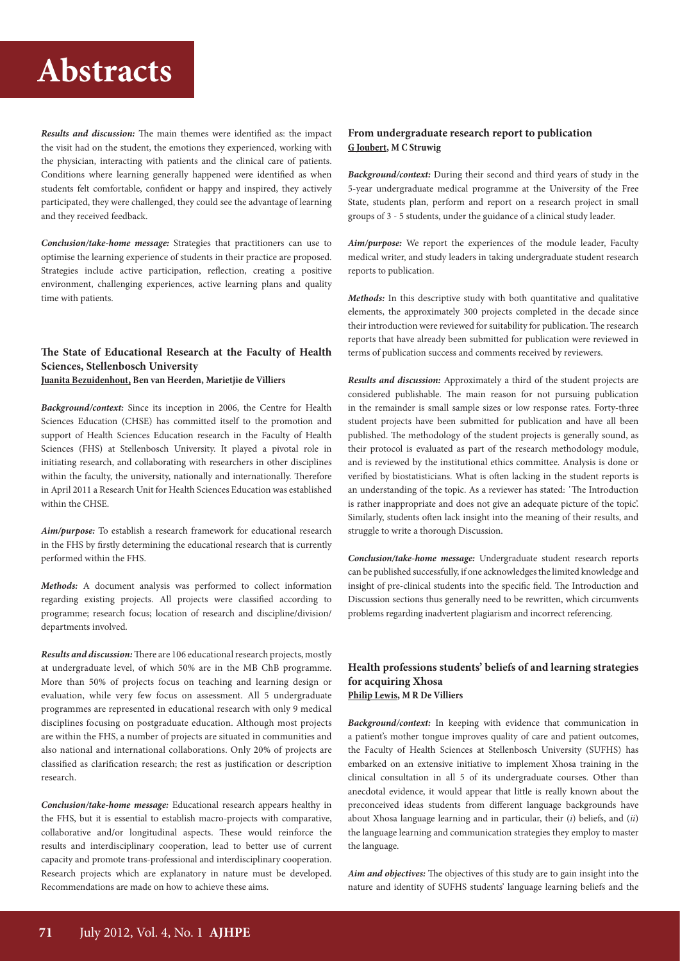*Results and discussion:* The main themes were identified as: the impact the visit had on the student, the emotions they experienced, working with the physician, interacting with patients and the clinical care of patients. Conditions where learning generally happened were identified as when students felt comfortable, confident or happy and inspired, they actively participated, they were challenged, they could see the advantage of learning and they received feedback.

*Conclusion/take-home message:* Strategies that practitioners can use to optimise the learning experience of students in their practice are proposed. Strategies include active participation, reflection, creating a positive environment, challenging experiences, active learning plans and quality time with patients.

### **The State of Educational Research at the Faculty of Health Sciences, Stellenbosch University Juanita Bezuidenhout, Ben van Heerden, Marietjie de Villiers**

*Background/context:* Since its inception in 2006, the Centre for Health Sciences Education (CHSE) has committed itself to the promotion and support of Health Sciences Education research in the Faculty of Health Sciences (FHS) at Stellenbosch University. It played a pivotal role in initiating research, and collaborating with researchers in other disciplines within the faculty, the university, nationally and internationally. Therefore in April 2011 a Research Unit for Health Sciences Education was established within the CHSE.

*Aim/purpose:* To establish a research framework for educational research in the FHS by firstly determining the educational research that is currently performed within the FHS.

*Methods:* A document analysis was performed to collect information regarding existing projects. All projects were classified according to programme; research focus; location of research and discipline/division/ departments involved.

*Results and discussion:* There are 106 educational research projects, mostly at undergraduate level, of which 50% are in the MB ChB programme. More than 50% of projects focus on teaching and learning design or evaluation, while very few focus on assessment. All 5 undergraduate programmes are represented in educational research with only 9 medical disciplines focusing on postgraduate education. Although most projects are within the FHS, a number of projects are situated in communities and also national and international collaborations. Only 20% of projects are classified as clarification research; the rest as justification or description research.

*Conclusion/take-home message:* Educational research appears healthy in the FHS, but it is essential to establish macro-projects with comparative, collaborative and/or longitudinal aspects. These would reinforce the results and interdisciplinary cooperation, lead to better use of current capacity and promote trans-professional and interdisciplinary cooperation. Research projects which are explanatory in nature must be developed. Recommendations are made on how to achieve these aims.

### **From undergraduate research report to publication G Joubert, M C Struwig**

*Background/context:* During their second and third years of study in the 5-year undergraduate medical programme at the University of the Free State, students plan, perform and report on a research project in small groups of 3 - 5 students, under the guidance of a clinical study leader.

*Aim/purpose:* We report the experiences of the module leader, Faculty medical writer, and study leaders in taking undergraduate student research reports to publication.

*Methods:* In this descriptive study with both quantitative and qualitative elements, the approximately 300 projects completed in the decade since their introduction were reviewed for suitability for publication. The research reports that have already been submitted for publication were reviewed in terms of publication success and comments received by reviewers.

*Results and discussion:* Approximately a third of the student projects are considered publishable. The main reason for not pursuing publication in the remainder is small sample sizes or low response rates. Forty-three student projects have been submitted for publication and have all been published. The methodology of the student projects is generally sound, as their protocol is evaluated as part of the research methodology module, and is reviewed by the institutional ethics committee. Analysis is done or verified by biostatisticians. What is often lacking in the student reports is an understanding of the topic. As a reviewer has stated: 'The Introduction is rather inappropriate and does not give an adequate picture of the topic'. Similarly, students often lack insight into the meaning of their results, and struggle to write a thorough Discussion.

*Conclusion/take-home message:* Undergraduate student research reports can be published successfully, if one acknowledges the limited knowledge and insight of pre-clinical students into the specific field. The Introduction and Discussion sections thus generally need to be rewritten, which circumvents problems regarding inadvertent plagiarism and incorrect referencing.

## **Health professions students' beliefs of and learning strategies for acquiring Xhosa Philip Lewis, M R De Villiers**

*Background/context:* In keeping with evidence that communication in a patient's mother tongue improves quality of care and patient outcomes, the Faculty of Health Sciences at Stellenbosch University (SUFHS) has embarked on an extensive initiative to implement Xhosa training in the clinical consultation in all 5 of its undergraduate courses. Other than anecdotal evidence, it would appear that little is really known about the preconceived ideas students from different language backgrounds have about Xhosa language learning and in particular, their (*i*) beliefs, and (*ii*) the language learning and communication strategies they employ to master the language.

*Aim and objectives:* The objectives of this study are to gain insight into the nature and identity of SUFHS students' language learning beliefs and the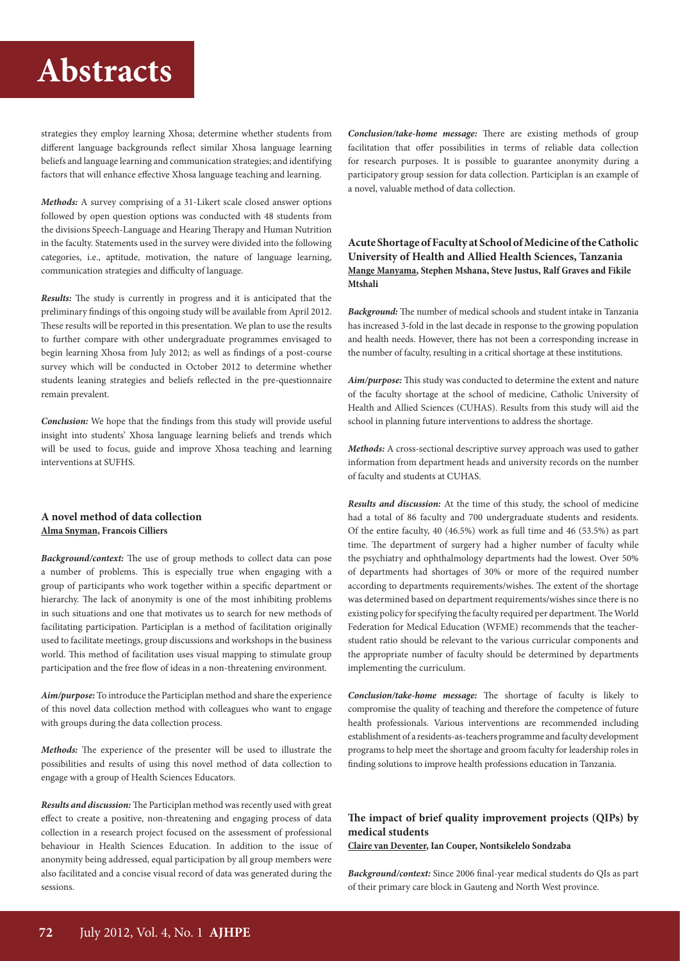strategies they employ learning Xhosa; determine whether students from different language backgrounds reflect similar Xhosa language learning beliefs and language learning and communication strategies; and identifying factors that will enhance effective Xhosa language teaching and learning.

*Methods:* A survey comprising of a 31-Likert scale closed answer options followed by open question options was conducted with 48 students from the divisions Speech-Language and Hearing Therapy and Human Nutrition in the faculty. Statements used in the survey were divided into the following categories, i.e., aptitude, motivation, the nature of language learning, communication strategies and difficulty of language.

*Results:* The study is currently in progress and it is anticipated that the preliminary findings of this ongoing study will be available from April 2012. These results will be reported in this presentation. We plan to use the results to further compare with other undergraduate programmes envisaged to begin learning Xhosa from July 2012; as well as findings of a post-course survey which will be conducted in October 2012 to determine whether students leaning strategies and beliefs reflected in the pre-questionnaire remain prevalent.

*Conclusion:* We hope that the findings from this study will provide useful insight into students' Xhosa language learning beliefs and trends which will be used to focus, guide and improve Xhosa teaching and learning interventions at SUFHS.

## **A novel method of data collection Alma Snyman, Francois Cilliers**

*Background/context:* The use of group methods to collect data can pose a number of problems. This is especially true when engaging with a group of participants who work together within a specific department or hierarchy. The lack of anonymity is one of the most inhibiting problems in such situations and one that motivates us to search for new methods of facilitating participation. Participlan is a method of facilitation originally used to facilitate meetings, group discussions and workshops in the business world. This method of facilitation uses visual mapping to stimulate group participation and the free flow of ideas in a non-threatening environment.

*Aim/purpose:* To introduce the Participlan method and share the experience of this novel data collection method with colleagues who want to engage with groups during the data collection process.

*Methods:* The experience of the presenter will be used to illustrate the possibilities and results of using this novel method of data collection to engage with a group of Health Sciences Educators.

*Results and discussion:* The Participlan method was recently used with great effect to create a positive, non-threatening and engaging process of data collection in a research project focused on the assessment of professional behaviour in Health Sciences Education. In addition to the issue of anonymity being addressed, equal participation by all group members were also facilitated and a concise visual record of data was generated during the sessions.

*Conclusion/take-home message:* There are existing methods of group facilitation that offer possibilities in terms of reliable data collection for research purposes. It is possible to guarantee anonymity during a participatory group session for data collection. Participlan is an example of a novel, valuable method of data collection.

## **Acute Shortage of Faculty at School of Medicine of the Catholic University of Health and Allied Health Sciences, Tanzania Mange Manyama, Stephen Mshana, Steve Justus, Ralf Graves and Fikile Mtshali**

*Background:* The number of medical schools and student intake in Tanzania has increased 3-fold in the last decade in response to the growing population and health needs. However, there has not been a corresponding increase in the number of faculty, resulting in a critical shortage at these institutions.

*Aim/purpose:* This study was conducted to determine the extent and nature of the faculty shortage at the school of medicine, Catholic University of Health and Allied Sciences (CUHAS). Results from this study will aid the school in planning future interventions to address the shortage.

*Methods:* A cross-sectional descriptive survey approach was used to gather information from department heads and university records on the number of faculty and students at CUHAS.

*Results and discussion:* At the time of this study, the school of medicine had a total of 86 faculty and 700 undergraduate students and residents. Of the entire faculty, 40 (46.5%) work as full time and 46 (53.5%) as part time. The department of surgery had a higher number of faculty while the psychiatry and ophthalmology departments had the lowest. Over 50% of departments had shortages of 30% or more of the required number according to departments requirements/wishes. The extent of the shortage was determined based on department requirements/wishes since there is no existing policy for specifying the faculty required per department. The World Federation for Medical Education (WFME) recommends that the teacherstudent ratio should be relevant to the various curricular components and the appropriate number of faculty should be determined by departments implementing the curriculum.

*Conclusion/take-home message:* The shortage of faculty is likely to compromise the quality of teaching and therefore the competence of future health professionals. Various interventions are recommended including establishment of a residents-as-teachers programme and faculty development programs to help meet the shortage and groom faculty for leadership roles in finding solutions to improve health professions education in Tanzania.

# **The impact of brief quality improvement projects (QIPs) by medical students**

**Claire van Deventer, Ian Couper, Nontsikelelo Sondzaba**

*Background/context:* Since 2006 final-year medical students do QIs as part of their primary care block in Gauteng and North West province.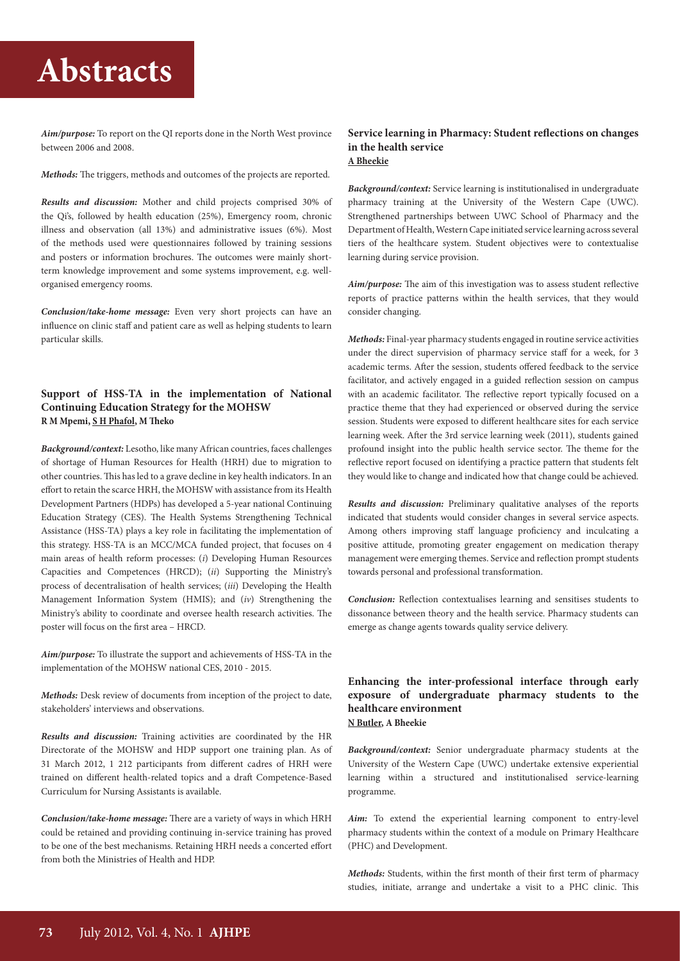*Aim/purpose:* To report on the QI reports done in the North West province between 2006 and 2008.

*Methods:* The triggers, methods and outcomes of the projects are reported.

*Results and discussion:* Mother and child projects comprised 30% of the Qi's, followed by health education (25%), Emergency room, chronic illness and observation (all 13%) and administrative issues (6%). Most of the methods used were questionnaires followed by training sessions and posters or information brochures. The outcomes were mainly shortterm knowledge improvement and some systems improvement, e.g. wellorganised emergency rooms.

*Conclusion/take-home message:* Even very short projects can have an influence on clinic staff and patient care as well as helping students to learn particular skills.

## **Support of HSS-TA in the implementation of National Continuing Education Strategy for the MOHSW R M Mpemi, S H Phafol, M Theko**

*Background/context:* Lesotho, like many African countries, faces challenges of shortage of Human Resources for Health (HRH) due to migration to other countries. This has led to a grave decline in key health indicators. In an effort to retain the scarce HRH, the MOHSW with assistance from its Health Development Partners (HDPs) has developed a 5-year national Continuing Education Strategy (CES). The Health Systems Strengthening Technical Assistance (HSS-TA) plays a key role in facilitating the implementation of this strategy. HSS-TA is an MCC/MCA funded project, that focuses on 4 main areas of health reform processes: (*i*) Developing Human Resources Capacities and Competences (HRCD); (*ii*) Supporting the Ministry's process of decentralisation of health services; (*iii*) Developing the Health Management Information System (HMIS); and (*iv*) Strengthening the Ministry's ability to coordinate and oversee health research activities. The poster will focus on the first area – HRCD.

*Aim/purpose:* To illustrate the support and achievements of HSS-TA in the implementation of the MOHSW national CES, 2010 - 2015.

*Methods:* Desk review of documents from inception of the project to date, stakeholders' interviews and observations.

*Results and discussion:* Training activities are coordinated by the HR Directorate of the MOHSW and HDP support one training plan. As of 31 March 2012, 1 212 participants from different cadres of HRH were trained on different health-related topics and a draft Competence-Based Curriculum for Nursing Assistants is available.

*Conclusion/take-home message:* There are a variety of ways in which HRH could be retained and providing continuing in-service training has proved to be one of the best mechanisms. Retaining HRH needs a concerted effort from both the Ministries of Health and HDP.

#### **Service learning in Pharmacy: Student reflections on changes in the health service A Bheekie**

*Background/context:* Service learning is institutionalised in undergraduate pharmacy training at the University of the Western Cape (UWC). Strengthened partnerships between UWC School of Pharmacy and the Department of Health, Western Cape initiated service learning across several tiers of the healthcare system. Student objectives were to contextualise learning during service provision.

*Aim/purpose:* The aim of this investigation was to assess student reflective reports of practice patterns within the health services, that they would consider changing.

*Methods:* Final-year pharmacy students engaged in routine service activities under the direct supervision of pharmacy service staff for a week, for 3 academic terms. After the session, students offered feedback to the service facilitator, and actively engaged in a guided reflection session on campus with an academic facilitator. The reflective report typically focused on a practice theme that they had experienced or observed during the service session. Students were exposed to different healthcare sites for each service learning week. After the 3rd service learning week (2011), students gained profound insight into the public health service sector. The theme for the reflective report focused on identifying a practice pattern that students felt they would like to change and indicated how that change could be achieved.

*Results and discussion:* Preliminary qualitative analyses of the reports indicated that students would consider changes in several service aspects. Among others improving staff language proficiency and inculcating a positive attitude, promoting greater engagement on medication therapy management were emerging themes. Service and reflection prompt students towards personal and professional transformation.

*Conclusion:* Reflection contextualises learning and sensitises students to dissonance between theory and the health service. Pharmacy students can emerge as change agents towards quality service delivery.

### **Enhancing the inter-professional interface through early exposure of undergraduate pharmacy students to the healthcare environment N Butler, A Bheekie**

*Background/context:* Senior undergraduate pharmacy students at the University of the Western Cape (UWC) undertake extensive experiential learning within a structured and institutionalised service-learning programme.

*Aim:* To extend the experiential learning component to entry-level pharmacy students within the context of a module on Primary Healthcare (PHC) and Development.

*Methods:* Students, within the first month of their first term of pharmacy studies, initiate, arrange and undertake a visit to a PHC clinic. This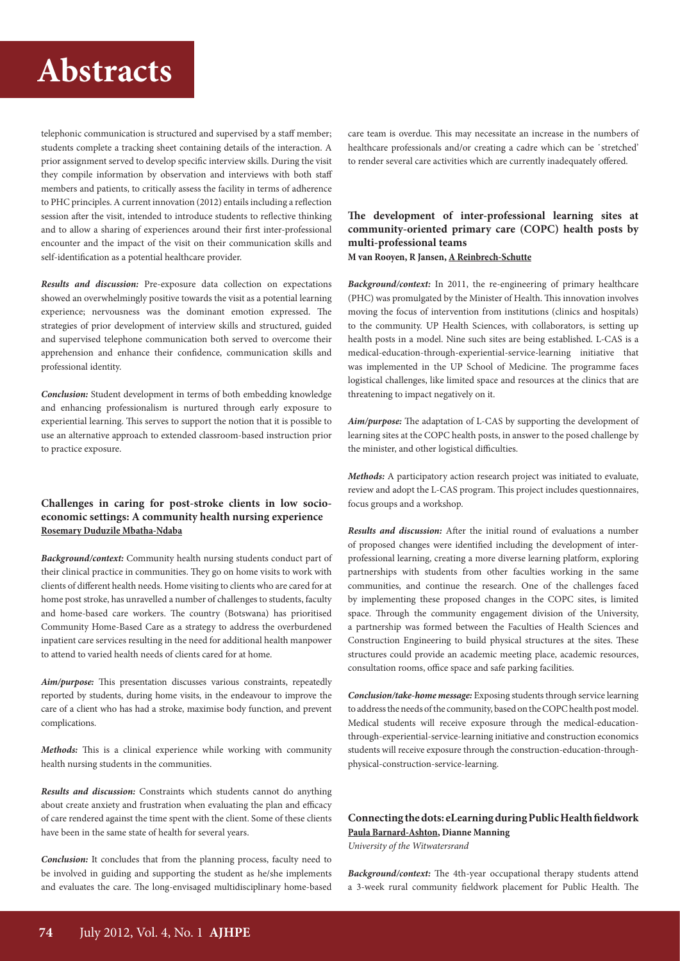telephonic communication is structured and supervised by a staff member; students complete a tracking sheet containing details of the interaction. A prior assignment served to develop specific interview skills. During the visit they compile information by observation and interviews with both staff members and patients, to critically assess the facility in terms of adherence to PHC principles. A current innovation (2012) entails including a reflection session after the visit, intended to introduce students to reflective thinking and to allow a sharing of experiences around their first inter-professional encounter and the impact of the visit on their communication skills and self-identification as a potential healthcare provider.

*Results and discussion:* Pre-exposure data collection on expectations showed an overwhelmingly positive towards the visit as a potential learning experience; nervousness was the dominant emotion expressed. The strategies of prior development of interview skills and structured, guided and supervised telephone communication both served to overcome their apprehension and enhance their confidence, communication skills and professional identity.

*Conclusion:* Student development in terms of both embedding knowledge and enhancing professionalism is nurtured through early exposure to experiential learning. This serves to support the notion that it is possible to use an alternative approach to extended classroom-based instruction prior to practice exposure.

# **Challenges in caring for post-stroke clients in low socioeconomic settings: A community health nursing experience Rosemary Duduzile Mbatha-Ndaba**

*Background/context:* Community health nursing students conduct part of their clinical practice in communities. They go on home visits to work with clients of different health needs. Home visiting to clients who are cared for at home post stroke, has unravelled a number of challenges to students, faculty and home-based care workers. The country (Botswana) has prioritised Community Home-Based Care as a strategy to address the overburdened inpatient care services resulting in the need for additional health manpower to attend to varied health needs of clients cared for at home.

*Aim/purpose:* This presentation discusses various constraints, repeatedly reported by students, during home visits, in the endeavour to improve the care of a client who has had a stroke, maximise body function, and prevent complications.

*Methods:* This is a clinical experience while working with community health nursing students in the communities.

*Results and discussion:* Constraints which students cannot do anything about create anxiety and frustration when evaluating the plan and efficacy of care rendered against the time spent with the client. Some of these clients have been in the same state of health for several years.

*Conclusion:* It concludes that from the planning process, faculty need to be involved in guiding and supporting the student as he/she implements and evaluates the care. The long-envisaged multidisciplinary home-based care team is overdue. This may necessitate an increase in the numbers of healthcare professionals and/or creating a cadre which can be 'stretched' to render several care activities which are currently inadequately offered.

### **The development of inter-professional learning sites at community-oriented primary care (COPC) health posts by multi-professional teams M van Rooyen, R Jansen, A Reinbrech-Schutte**

*Background/context:* In 2011, the re-engineering of primary healthcare (PHC) was promulgated by the Minister of Health. This innovation involves moving the focus of intervention from institutions (clinics and hospitals) to the community. UP Health Sciences, with collaborators, is setting up health posts in a model. Nine such sites are being established. L-CAS is a medical-education-through-experiential-service-learning initiative that was implemented in the UP School of Medicine. The programme faces logistical challenges, like limited space and resources at the clinics that are threatening to impact negatively on it.

*Aim/purpose:* The adaptation of L-CAS by supporting the development of learning sites at the COPC health posts, in answer to the posed challenge by the minister, and other logistical difficulties.

*Methods:* A participatory action research project was initiated to evaluate, review and adopt the L-CAS program. This project includes questionnaires, focus groups and a workshop.

*Results and discussion:* After the initial round of evaluations a number of proposed changes were identified including the development of interprofessional learning, creating a more diverse learning platform, exploring partnerships with students from other faculties working in the same communities, and continue the research. One of the challenges faced by implementing these proposed changes in the COPC sites, is limited space. Through the community engagement division of the University, a partnership was formed between the Faculties of Health Sciences and Construction Engineering to build physical structures at the sites. These structures could provide an academic meeting place, academic resources, consultation rooms, office space and safe parking facilities.

*Conclusion/take-home message:* Exposing students through service learning to address the needs of the community, based on the COPC health post model. Medical students will receive exposure through the medical-educationthrough-experiential-service-learning initiative and construction economics students will receive exposure through the construction-education-throughphysical-construction-service-learning.

#### **Connecting the dots: eLearning during Public Health fieldwork Paula Barnard-Ashton, Dianne Manning**  *University of the Witwatersrand*

*Background/context:* The 4th-year occupational therapy students attend a 3-week rural community fieldwork placement for Public Health. The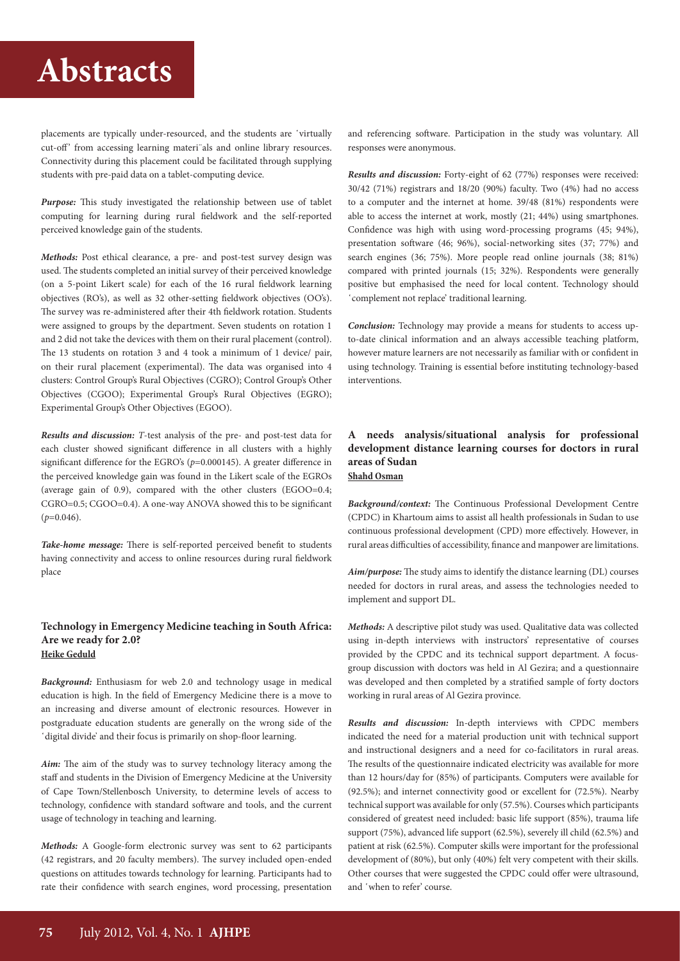placements are typically under-resourced, and the students are 'virtually cut-off' from accessing learning materi als and online library resources. Connectivity during this placement could be facilitated through supplying students with pre-paid data on a tablet-computing device.

*Purpose:* This study investigated the relationship between use of tablet computing for learning during rural fieldwork and the self-reported perceived knowledge gain of the students.

*Methods:* Post ethical clearance, a pre- and post-test survey design was used. The students completed an initial survey of their perceived knowledge (on a 5-point Likert scale) for each of the 16 rural fieldwork learning objectives (RO's), as well as 32 other-setting fieldwork objectives (OO's). The survey was re-administered after their 4th fieldwork rotation. Students were assigned to groups by the department. Seven students on rotation 1 and 2 did not take the devices with them on their rural placement (control). The 13 students on rotation 3 and 4 took a minimum of 1 device/ pair, on their rural placement (experimental). The data was organised into 4 clusters: Control Group's Rural Objectives (CGRO); Control Group's Other Objectives (CGOO); Experimental Group's Rural Objectives (EGRO); Experimental Group's Other Objectives (EGOO).

*Results and discussion: T*-test analysis of the pre- and post-test data for each cluster showed significant difference in all clusters with a highly significant difference for the EGRO's (*p*=0.000145). A greater difference in the perceived knowledge gain was found in the Likert scale of the EGROs (average gain of 0.9), compared with the other clusters (EGOO=0.4; CGRO=0.5; CGOO=0.4). A one-way ANOVA showed this to be significant  $(p=0.046)$ .

*Take-home message:* There is self-reported perceived benefit to students having connectivity and access to online resources during rural fieldwork place

### **Technology in Emergency Medicine teaching in South Africa: Are we ready for 2.0? Heike Geduld**

*Background:* Enthusiasm for web 2.0 and technology usage in medical education is high. In the field of Emergency Medicine there is a move to an increasing and diverse amount of electronic resources. However in postgraduate education students are generally on the wrong side of the 'digital divide' and their focus is primarily on shop-floor learning.

*Aim:* The aim of the study was to survey technology literacy among the staff and students in the Division of Emergency Medicine at the University of Cape Town/Stellenbosch University, to determine levels of access to technology, confidence with standard software and tools, and the current usage of technology in teaching and learning.

*Methods:* A Google-form electronic survey was sent to 62 participants (42 registrars, and 20 faculty members). The survey included open-ended questions on attitudes towards technology for learning. Participants had to rate their confidence with search engines, word processing, presentation

and referencing software. Participation in the study was voluntary. All responses were anonymous.

*Results and discussion:* Forty-eight of 62 (77%) responses were received: 30/42 (71%) registrars and 18/20 (90%) faculty. Two (4%) had no access to a computer and the internet at home. 39/48 (81%) respondents were able to access the internet at work, mostly (21; 44%) using smartphones. Confidence was high with using word-processing programs (45; 94%), presentation software (46; 96%), social-networking sites (37; 77%) and search engines (36; 75%). More people read online journals (38; 81%) compared with printed journals (15; 32%). Respondents were generally positive but emphasised the need for local content. Technology should 'complement not replace' traditional learning.

*Conclusion:* Technology may provide a means for students to access upto-date clinical information and an always accessible teaching platform, however mature learners are not necessarily as familiar with or confident in using technology. Training is essential before instituting technology-based interventions.

### **A needs analysis/situational analysis for professional development distance learning courses for doctors in rural areas of Sudan Shahd Osman**

*Background/context:* The Continuous Professional Development Centre (CPDC) in Khartoum aims to assist all health professionals in Sudan to use continuous professional development (CPD) more effectively. However, in rural areas difficulties of accessibility, finance and manpower are limitations.

*Aim/purpose:* The study aims to identify the distance learning (DL) courses needed for doctors in rural areas, and assess the technologies needed to implement and support DL.

*Methods:* A descriptive pilot study was used. Qualitative data was collected using in-depth interviews with instructors' representative of courses provided by the CPDC and its technical support department. A focusgroup discussion with doctors was held in Al Gezira; and a questionnaire was developed and then completed by a stratified sample of forty doctors working in rural areas of Al Gezira province.

*Results and discussion:* In-depth interviews with CPDC members indicated the need for a material production unit with technical support and instructional designers and a need for co-facilitators in rural areas. The results of the questionnaire indicated electricity was available for more than 12 hours/day for (85%) of participants. Computers were available for (92.5%); and internet connectivity good or excellent for (72.5%). Nearby technical support was available for only (57.5%). Courses which participants considered of greatest need included: basic life support (85%), trauma life support (75%), advanced life support (62.5%), severely ill child (62.5%) and patient at risk (62.5%). Computer skills were important for the professional development of (80%), but only (40%) felt very competent with their skills. Other courses that were suggested the CPDC could offer were ultrasound, and 'when to refer' course.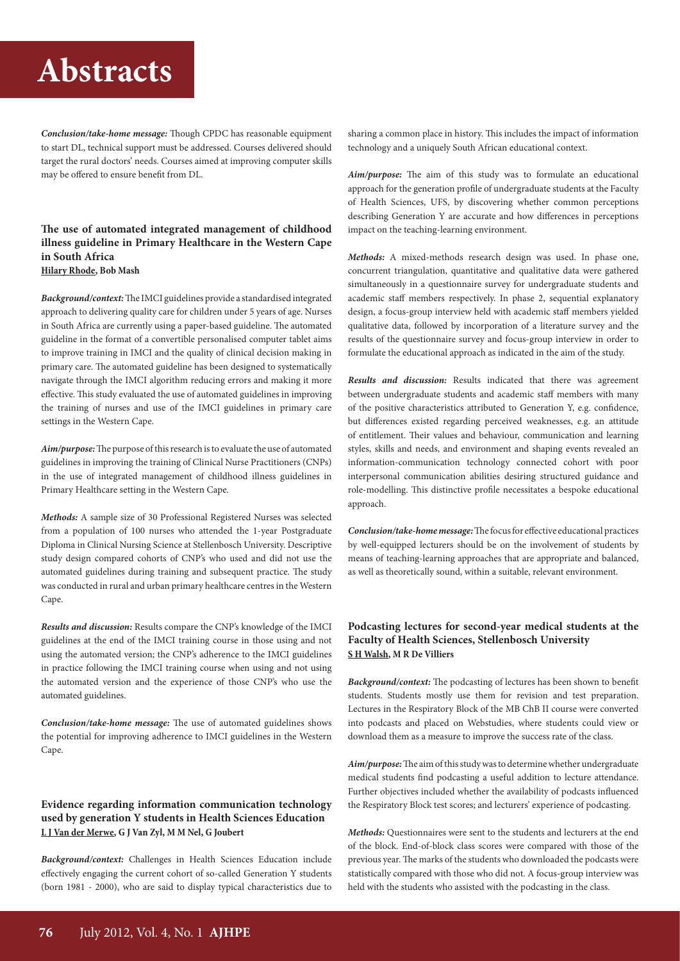*Conclusion/take-home message:* Though CPDC has reasonable equipment to start DL, technical support must be addressed. Courses delivered should target the rural doctors' needs. Courses aimed at improving computer skills may be offered to ensure benefit from DL.

### **The use of automated integrated management of childhood illness guideline in Primary Healthcare in the Western Cape in South Africa Hilary Rhode, Bob Mash**

*Background/context:* The IMCI guidelines provide a standardised integrated approach to delivering quality care for children under 5 years of age. Nurses in South Africa are currently using a paper-based guideline. The automated guideline in the format of a convertible personalised computer tablet aims to improve training in IMCI and the quality of clinical decision making in primary care. The automated guideline has been designed to systematically navigate through the IMCI algorithm reducing errors and making it more effective. This study evaluated the use of automated guidelines in improving the training of nurses and use of the IMCI guidelines in primary care settings in the Western Cape.

*Aim/purpose:* The purpose of this research is to evaluate the use of automated guidelines in improving the training of Clinical Nurse Practitioners (CNPs) in the use of integrated management of childhood illness guidelines in Primary Healthcare setting in the Western Cape.

*Methods:* A sample size of 30 Professional Registered Nurses was selected from a population of 100 nurses who attended the 1-year Postgraduate Diploma in Clinical Nursing Science at Stellenbosch University. Descriptive study design compared cohorts of CNP's who used and did not use the automated guidelines during training and subsequent practice. The study was conducted in rural and urban primary healthcare centres in the Western Cape.

*Results and discussion:* Results compare the CNP's knowledge of the IMCI guidelines at the end of the IMCI training course in those using and not using the automated version; the CNP's adherence to the IMCI guidelines in practice following the IMCI training course when using and not using the automated version and the experience of those CNP's who use the automated guidelines.

*Conclusion/take-home message:* The use of automated guidelines shows the potential for improving adherence to IMCI guidelines in the Western Cape.

## **Evidence regarding information communication technology used by generation Y students in Health Sciences Education L J Van der Merwe, G J Van Zyl, M M Nel, G Joubert**

*Background/context:* Challenges in Health Sciences Education include effectively engaging the current cohort of so-called Generation Y students (born 1981 - 2000), who are said to display typical characteristics due to sharing a common place in history. This includes the impact of information technology and a uniquely South African educational context.

*Aim/purpose:* The aim of this study was to formulate an educational approach for the generation profile of undergraduate students at the Faculty of Health Sciences, UFS, by discovering whether common perceptions describing Generation Y are accurate and how differences in perceptions impact on the teaching-learning environment.

*Methods:* A mixed-methods research design was used. In phase one, concurrent triangulation, quantitative and qualitative data were gathered simultaneously in a questionnaire survey for undergraduate students and academic staff members respectively. In phase 2, sequential explanatory design, a focus-group interview held with academic staff members yielded qualitative data, followed by incorporation of a literature survey and the results of the questionnaire survey and focus-group interview in order to formulate the educational approach as indicated in the aim of the study.

*Results and discussion:* Results indicated that there was agreement between undergraduate students and academic staff members with many of the positive characteristics attributed to Generation Y, e.g. confidence, but differences existed regarding perceived weaknesses, e.g. an attitude of entitlement. Their values and behaviour, communication and learning styles, skills and needs, and environment and shaping events revealed an information-communication technology connected cohort with poor interpersonal communication abilities desiring structured guidance and role-modelling. This distinctive profile necessitates a bespoke educational approach.

*Conclusion/take-home message:* The focus for effective educational practices by well-equipped lecturers should be on the involvement of students by means of teaching-learning approaches that are appropriate and balanced, as well as theoretically sound, within a suitable, relevant environment.

### **Podcasting lectures for second-year medical students at the Faculty of Health Sciences, Stellenbosch University S H Walsh, M R De Villiers**

*Background/context:* The podcasting of lectures has been shown to benefit students. Students mostly use them for revision and test preparation. Lectures in the Respiratory Block of the MB ChB II course were converted into podcasts and placed on Webstudies, where students could view or download them as a measure to improve the success rate of the class.

*Aim/purpose:* The aim of this study was to determine whether undergraduate medical students find podcasting a useful addition to lecture attendance. Further objectives included whether the availability of podcasts influenced the Respiratory Block test scores; and lecturers' experience of podcasting.

*Methods:* Questionnaires were sent to the students and lecturers at the end of the block. End-of-block class scores were compared with those of the previous year. The marks of the students who downloaded the podcasts were statistically compared with those who did not. A focus-group interview was held with the students who assisted with the podcasting in the class.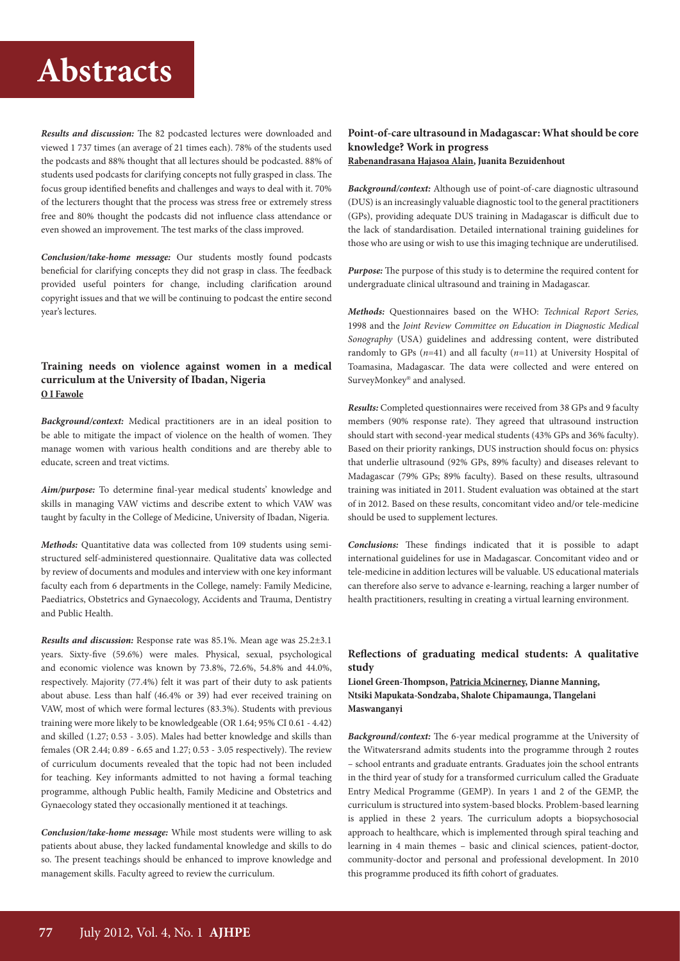*Results and discussion:* The 82 podcasted lectures were downloaded and viewed 1 737 times (an average of 21 times each). 78% of the students used the podcasts and 88% thought that all lectures should be podcasted. 88% of students used podcasts for clarifying concepts not fully grasped in class. The focus group identified benefits and challenges and ways to deal with it. 70% of the lecturers thought that the process was stress free or extremely stress free and 80% thought the podcasts did not influence class attendance or even showed an improvement. The test marks of the class improved.

*Conclusion/take-home message:* Our students mostly found podcasts beneficial for clarifying concepts they did not grasp in class. The feedback provided useful pointers for change, including clarification around copyright issues and that we will be continuing to podcast the entire second year's lectures.

### **Training needs on violence against women in a medical curriculum at the University of Ibadan, Nigeria O I Fawole**

*Background/context:* Medical practitioners are in an ideal position to be able to mitigate the impact of violence on the health of women. They manage women with various health conditions and are thereby able to educate, screen and treat victims.

*Aim/purpose:* To determine final-year medical students' knowledge and skills in managing VAW victims and describe extent to which VAW was taught by faculty in the College of Medicine, University of Ibadan, Nigeria.

*Methods:* Quantitative data was collected from 109 students using semistructured self-administered questionnaire. Qualitative data was collected by review of documents and modules and interview with one key informant faculty each from 6 departments in the College, namely: Family Medicine, Paediatrics, Obstetrics and Gynaecology, Accidents and Trauma, Dentistry and Public Health.

*Results and discussion:* Response rate was 85.1%. Mean age was 25.2±3.1 years. Sixty-five (59.6%) were males. Physical, sexual, psychological and economic violence was known by 73.8%, 72.6%, 54.8% and 44.0%, respectively. Majority (77.4%) felt it was part of their duty to ask patients about abuse. Less than half (46.4% or 39) had ever received training on VAW, most of which were formal lectures (83.3%). Students with previous training were more likely to be knowledgeable (OR 1.64; 95% CI 0.61 - 4.42) and skilled (1.27; 0.53 - 3.05). Males had better knowledge and skills than females (OR 2.44; 0.89 - 6.65 and 1.27; 0.53 - 3.05 respectively). The review of curriculum documents revealed that the topic had not been included for teaching. Key informants admitted to not having a formal teaching programme, although Public health, Family Medicine and Obstetrics and Gynaecology stated they occasionally mentioned it at teachings.

*Conclusion/take-home message:* While most students were willing to ask patients about abuse, they lacked fundamental knowledge and skills to do so. The present teachings should be enhanced to improve knowledge and management skills. Faculty agreed to review the curriculum.

#### **Point-of-care ultrasound in Madagascar: What should be core knowledge? Work in progress Rabenandrasana Hajasoa Alain, Juanita Bezuidenhout**

*Background/context:* Although use of point-of-care diagnostic ultrasound (DUS) is an increasingly valuable diagnostic tool to the general practitioners (GPs), providing adequate DUS training in Madagascar is difficult due to the lack of standardisation. Detailed international training guidelines for those who are using or wish to use this imaging technique are underutilised.

*Purpose:* The purpose of this study is to determine the required content for undergraduate clinical ultrasound and training in Madagascar.

*Methods:* Questionnaires based on the WHO: *Technical Report Series,* 1998 and the *Joint Review Committee on Education in Diagnostic Medical Sonography* (USA) guidelines and addressing content, were distributed randomly to GPs (*n*=41) and all faculty (*n*=11) at University Hospital of Toamasina, Madagascar. The data were collected and were entered on SurveyMonkey® and analysed.

*Results:* Completed questionnaires were received from 38 GPs and 9 faculty members (90% response rate). They agreed that ultrasound instruction should start with second-year medical students (43% GPs and 36% faculty). Based on their priority rankings, DUS instruction should focus on: physics that underlie ultrasound (92% GPs, 89% faculty) and diseases relevant to Madagascar (79% GPs; 89% faculty). Based on these results, ultrasound training was initiated in 2011. Student evaluation was obtained at the start of in 2012. Based on these results, concomitant video and/or tele-medicine should be used to supplement lectures.

*Conclusions:* These findings indicated that it is possible to adapt international guidelines for use in Madagascar. Concomitant video and or tele-medicine in addition lectures will be valuable. US educational materials can therefore also serve to advance e-learning, reaching a larger number of health practitioners, resulting in creating a virtual learning environment.

### **Reflections of graduating medical students: A qualitative study**

**Lionel Green-Thompson, Patricia Mcinerney, Dianne Manning, Ntsiki Mapukata-Sondzaba, Shalote Chipamaunga, Tlangelani Maswanganyi**

*Background/context:* The 6-year medical programme at the University of the Witwatersrand admits students into the programme through 2 routes – school entrants and graduate entrants. Graduates join the school entrants in the third year of study for a transformed curriculum called the Graduate Entry Medical Programme (GEMP). In years 1 and 2 of the GEMP, the curriculum is structured into system-based blocks. Problem-based learning is applied in these 2 years. The curriculum adopts a biopsychosocial approach to healthcare, which is implemented through spiral teaching and learning in 4 main themes – basic and clinical sciences, patient-doctor, community-doctor and personal and professional development. In 2010 this programme produced its fifth cohort of graduates.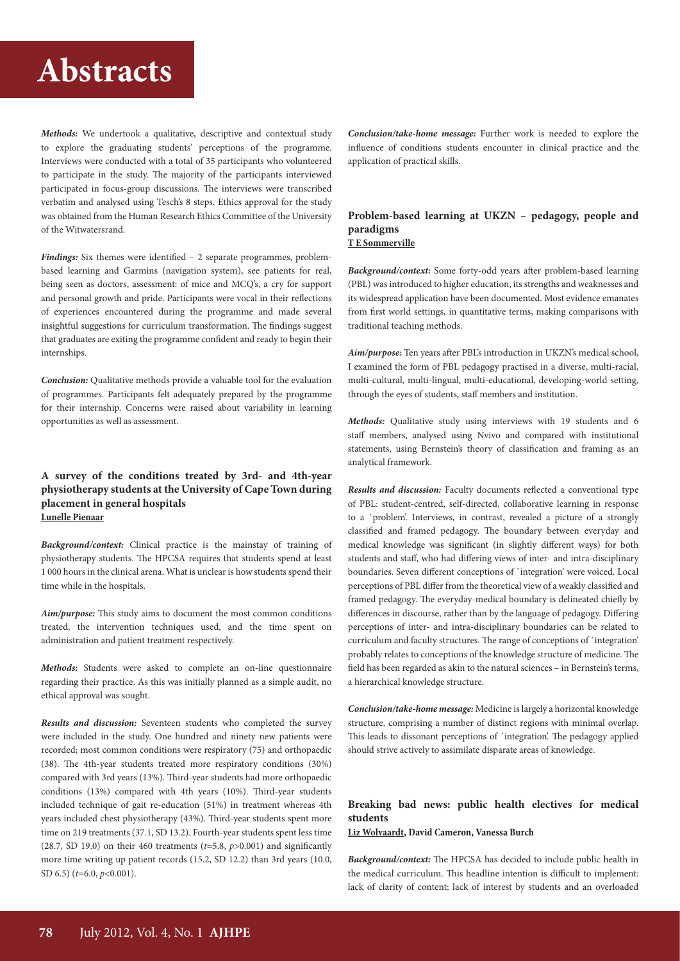*Methods:* We undertook a qualitative, descriptive and contextual study to explore the graduating students' perceptions of the programme. Interviews were conducted with a total of 35 participants who volunteered to participate in the study. The majority of the participants interviewed participated in focus-group discussions. The interviews were transcribed verbatim and analysed using Tesch's 8 steps. Ethics approval for the study was obtained from the Human Research Ethics Committee of the University of the Witwatersrand.

*Findings:* Six themes were identified – 2 separate programmes, problembased learning and Garmins (navigation system), see patients for real, being seen as doctors, assessment: of mice and MCQ's, a cry for support and personal growth and pride. Participants were vocal in their reflections of experiences encountered during the programme and made several insightful suggestions for curriculum transformation. The findings suggest that graduates are exiting the programme confident and ready to begin their internships.

*Conclusion:* Qualitative methods provide a valuable tool for the evaluation of programmes. Participants felt adequately prepared by the programme for their internship. Concerns were raised about variability in learning opportunities as well as assessment.

### **A survey of the conditions treated by 3rd- and 4th-year physiotherapy students at the University of Cape Town during placement in general hospitals Lunelle Pienaar**

*Background/context:* Clinical practice is the mainstay of training of physiotherapy students. The HPCSA requires that students spend at least 1 000 hours in the clinical arena. What is unclear is how students spend their time while in the hospitals.

*Aim/purpose:* This study aims to document the most common conditions treated, the intervention techniques used, and the time spent on administration and patient treatment respectively.

*Methods:* Students were asked to complete an on-line questionnaire regarding their practice. As this was initially planned as a simple audit, no ethical approval was sought.

*Results and discussion:* Seventeen students who completed the survey were included in the study. One hundred and ninety new patients were recorded; most common conditions were respiratory (75) and orthopaedic (38). The 4th-year students treated more respiratory conditions (30%) compared with 3rd years (13%). Third-year students had more orthopaedic conditions (13%) compared with 4th years (10%). Third-year students included technique of gait re-education (51%) in treatment whereas 4th years included chest physiotherapy (43%). Third-year students spent more time on 219 treatments (37.1, SD 13.2). Fourth-year students spent less time (28.7, SD 19.0) on their 460 treatments  $(t=5.8, p>0.001)$  and significantly more time writing up patient records (15.2, SD 12.2) than 3rd years (10.0, SD 6.5) (*t*=6.0, *p*<0.001).

*Conclusion/take-home message:* Further work is needed to explore the influence of conditions students encounter in clinical practice and the application of practical skills.

# **Problem-based learning at UKZN – pedagogy, people and paradigms**

**T E Sommerville**

*Background/context:* Some forty-odd years after problem-based learning (PBL) was introduced to higher education, its strengths and weaknesses and its widespread application have been documented. Most evidence emanates from first world settings, in quantitative terms, making comparisons with traditional teaching methods.

*Aim/purpose:* Ten years after PBL's introduction in UKZN's medical school, I examined the form of PBL pedagogy practised in a diverse, multi-racial, multi-cultural, multi-lingual, multi-educational, developing-world setting, through the eyes of students, staff members and institution.

*Methods:* Qualitative study using interviews with 19 students and 6 staff members, analysed using Nvivo and compared with institutional statements, using Bernstein's theory of classification and framing as an analytical framework.

*Results and discussion:* Faculty documents reflected a conventional type of PBL: student-centred, self-directed, collaborative learning in response to a 'problem'. Interviews, in contrast, revealed a picture of a strongly classified and framed pedagogy. The boundary between everyday and medical knowledge was significant (in slightly different ways) for both students and staff, who had differing views of inter- and intra-disciplinary boundaries. Seven different conceptions of 'integration' were voiced. Local perceptions of PBL differ from the theoretical view of a weakly classified and framed pedagogy. The everyday-medical boundary is delineated chiefly by differences in discourse, rather than by the language of pedagogy. Differing perceptions of inter- and intra-disciplinary boundaries can be related to curriculum and faculty structures. The range of conceptions of 'integration' probably relates to conceptions of the knowledge structure of medicine. The field has been regarded as akin to the natural sciences – in Bernstein's terms, a hierarchical knowledge structure.

*Conclusion/take-home message:* Medicine is largely a horizontal knowledge structure, comprising a number of distinct regions with minimal overlap. This leads to dissonant perceptions of 'integration'. The pedagogy applied should strive actively to assimilate disparate areas of knowledge.

# **Breaking bad news: public health electives for medical students**

**Liz Wolvaardt, David Cameron, Vanessa Burch** 

*Background/context:* The HPCSA has decided to include public health in the medical curriculum. This headline intention is difficult to implement: lack of clarity of content; lack of interest by students and an overloaded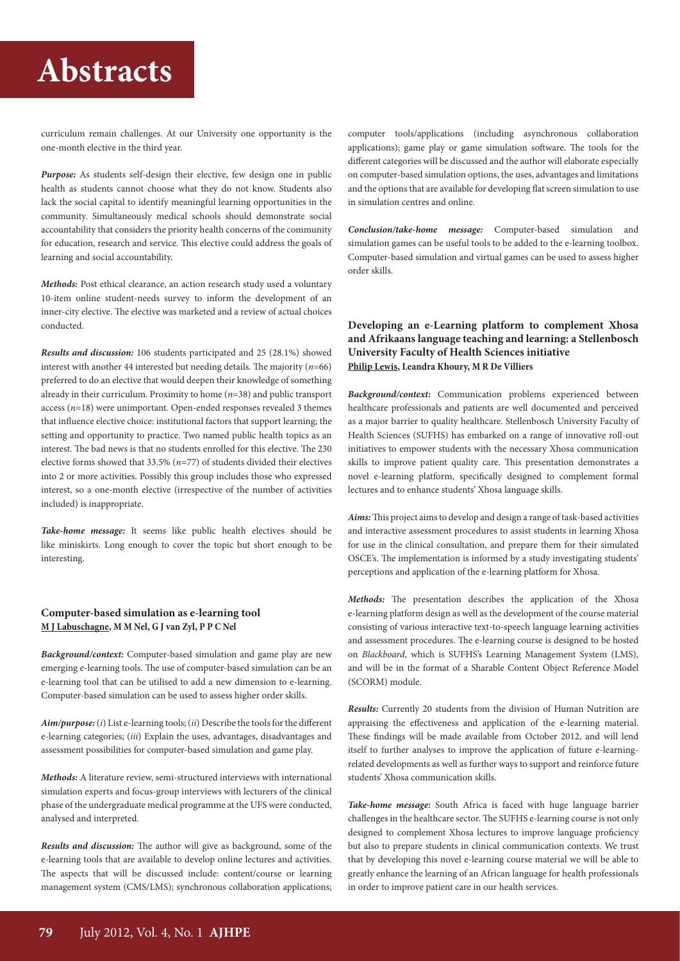curriculum remain challenges. At our University one opportunity is the one-month elective in the third year.

Purpose: As students self-design their elective, few design one in public health as students cannot choose what they do not know. Students also lack the social capital to identify meaningful learning opportunities in the community. Simultaneously medical schools should demonstrate social accountability that considers the priority health concerns of the community for education, research and service. This elective could address the goals of learning and social accountability.

*Methods:* Post ethical clearance, an action research study used a voluntary 10-item online student-needs survey to inform the development of an inner-city elective. The elective was marketed and a review of actual choices conducted.

*Results and discussion:* 106 students participated and 25 (28.1%) showed interest with another 44 interested but needing details. The majority (*n*=66) preferred to do an elective that would deepen their knowledge of something already in their curriculum. Proximity to home (*n*=38) and public transport access (*n*=18) were unimportant. Open-ended responses revealed 3 themes that influence elective choice: institutional factors that support learning; the setting and opportunity to practice. Two named public health topics as an interest. The bad news is that no students enrolled for this elective. The 230 elective forms showed that 33.5% (*n*=77) of students divided their electives into 2 or more activities. Possibly this group includes those who expressed interest, so a one-month elective (irrespective of the number of activities included) is inappropriate.

*Take-home message:* It seems like public health electives should be like miniskirts. Long enough to cover the topic but short enough to be interesting.

### **Computer-based simulation as e-learning tool M J Labuschagne, M M Nel, G J van Zyl, P P C Nel**

*Background/context:* Computer-based simulation and game play are new emerging e-learning tools. The use of computer-based simulation can be an e-learning tool that can be utilised to add a new dimension to e-learning. Computer-based simulation can be used to assess higher order skills.

*Aim/purpose:* (*i*) List e-learning tools; (*ii*) Describe the tools for the different e-learning categories; (*iii*) Explain the uses, advantages, disadvantages and assessment possibilities for computer-based simulation and game play.

*Methods:* A literature review, semi-structured interviews with international simulation experts and focus-group interviews with lecturers of the clinical phase of the undergraduate medical programme at the UFS were conducted, analysed and interpreted.

*Results and discussion:* The author will give as background, some of the e-learning tools that are available to develop online lectures and activities. The aspects that will be discussed include: content/course or learning management system (CMS/LMS); synchronous collaboration applications;

computer tools/applications (including asynchronous collaboration applications); game play or game simulation software. The tools for the different categories will be discussed and the author will elaborate especially on computer-based simulation options, the uses, advantages and limitations and the options that are available for developing flat screen simulation to use in simulation centres and online.

*Conclusion/take-home message:* Computer-based simulation and simulation games can be useful tools to be added to the e-learning toolbox. Computer-based simulation and virtual games can be used to assess higher order skills.

## **Developing an e-Learning platform to complement Xhosa and Afrikaans language teaching and learning: a Stellenbosch University Faculty of Health Sciences initiative Philip Lewis, Leandra Khoury, M R De Villiers**

*Background/context:* Communication problems experienced between healthcare professionals and patients are well documented and perceived as a major barrier to quality healthcare. Stellenbosch University Faculty of Health Sciences (SUFHS) has embarked on a range of innovative roll-out initiatives to empower students with the necessary Xhosa communication skills to improve patient quality care. This presentation demonstrates a novel e-learning platform, specifically designed to complement formal lectures and to enhance students' Xhosa language skills.

*Aims:* This project aims to develop and design a range of task-based activities and interactive assessment procedures to assist students in learning Xhosa for use in the clinical consultation, and prepare them for their simulated OSCE's. The implementation is informed by a study investigating students' perceptions and application of the e-learning platform for Xhosa.

*Methods:* The presentation describes the application of the Xhosa e-learning platform design as well as the development of the course material consisting of various interactive text-to-speech language learning activities and assessment procedures. The e-learning course is designed to be hosted on *Blackboard*, which is SUFHS's Learning Management System (LMS), and will be in the format of a Sharable Content Object Reference Model (SCORM) module.

*Results:* Currently 20 students from the division of Human Nutrition are appraising the effectiveness and application of the e-learning material. These findings will be made available from October 2012, and will lend itself to further analyses to improve the application of future e-learningrelated developments as well as further ways to support and reinforce future students' Xhosa communication skills.

*Take-home message:* South Africa is faced with huge language barrier challenges in the healthcare sector. The SUFHS e-learning course is not only designed to complement Xhosa lectures to improve language proficiency but also to prepare students in clinical communication contexts. We trust that by developing this novel e-learning course material we will be able to greatly enhance the learning of an African language for health professionals in order to improve patient care in our health services.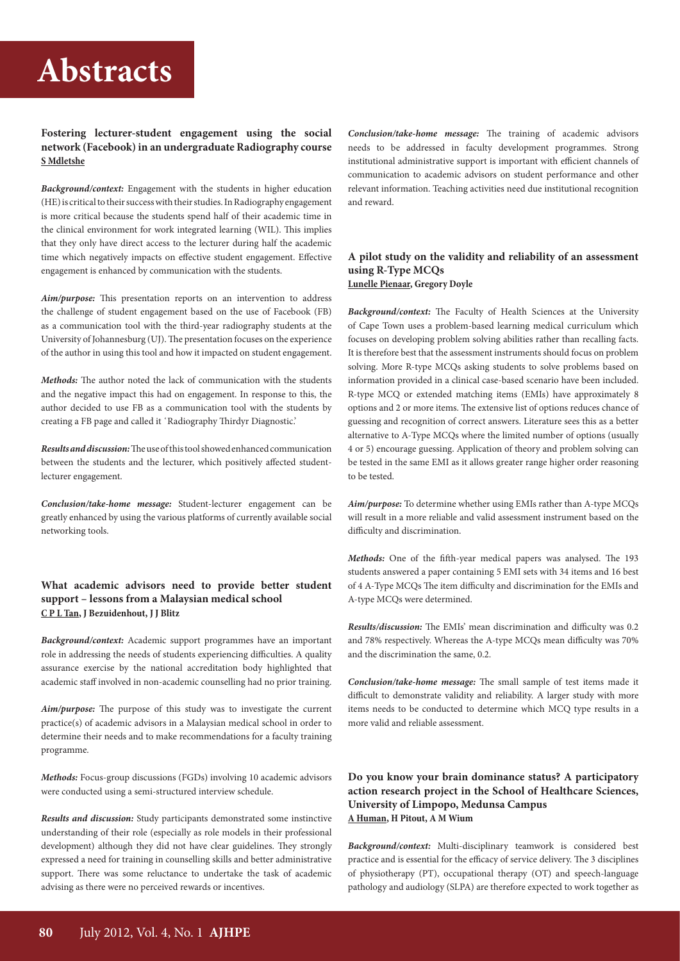### **Fostering lecturer-student engagement using the social network (Facebook) in an undergraduate Radiography course S Mdletshe**

*Background/context:* Engagement with the students in higher education (HE) is critical to their success with their studies. In Radiography engagement is more critical because the students spend half of their academic time in the clinical environment for work integrated learning (WIL). This implies that they only have direct access to the lecturer during half the academic time which negatively impacts on effective student engagement. Effective engagement is enhanced by communication with the students.

*Aim/purpose:* This presentation reports on an intervention to address the challenge of student engagement based on the use of Facebook (FB) as a communication tool with the third-year radiography students at the University of Johannesburg (UJ). The presentation focuses on the experience of the author in using this tool and how it impacted on student engagement.

*Methods:* The author noted the lack of communication with the students and the negative impact this had on engagement. In response to this, the author decided to use FB as a communication tool with the students by creating a FB page and called it 'Radiography Thirdyr Diagnostic.'

*Results and discussion:* The use of this tool showed enhanced communication between the students and the lecturer, which positively affected studentlecturer engagement.

*Conclusion/take-home message:* Student-lecturer engagement can be greatly enhanced by using the various platforms of currently available social networking tools.

## **What academic advisors need to provide better student support – lessons from a Malaysian medical school C P L Tan, J Bezuidenhout, J J Blitz**

*Background/context:* Academic support programmes have an important role in addressing the needs of students experiencing difficulties. A quality assurance exercise by the national accreditation body highlighted that academic staff involved in non-academic counselling had no prior training.

*Aim/purpose:* The purpose of this study was to investigate the current practice(s) of academic advisors in a Malaysian medical school in order to determine their needs and to make recommendations for a faculty training programme.

*Methods:* Focus-group discussions (FGDs) involving 10 academic advisors were conducted using a semi-structured interview schedule.

*Results and discussion:* Study participants demonstrated some instinctive understanding of their role (especially as role models in their professional development) although they did not have clear guidelines. They strongly expressed a need for training in counselling skills and better administrative support. There was some reluctance to undertake the task of academic advising as there were no perceived rewards or incentives.

*Conclusion/take-home message:* The training of academic advisors needs to be addressed in faculty development programmes. Strong institutional administrative support is important with efficient channels of communication to academic advisors on student performance and other relevant information. Teaching activities need due institutional recognition and reward.

### **A pilot study on the validity and reliability of an assessment using R-Type MCQs Lunelle Pienaar, Gregory Doyle**

*Background/context:* The Faculty of Health Sciences at the University of Cape Town uses a problem-based learning medical curriculum which focuses on developing problem solving abilities rather than recalling facts. It is therefore best that the assessment instruments should focus on problem solving. More R-type MCQs asking students to solve problems based on information provided in a clinical case-based scenario have been included. R-type MCQ or extended matching items (EMIs) have approximately 8 options and 2 or more items. The extensive list of options reduces chance of guessing and recognition of correct answers. Literature sees this as a better alternative to A-Type MCQs where the limited number of options (usually 4 or 5) encourage guessing. Application of theory and problem solving can be tested in the same EMI as it allows greater range higher order reasoning to be tested.

*Aim/purpose:* To determine whether using EMIs rather than A-type MCQs will result in a more reliable and valid assessment instrument based on the difficulty and discrimination.

*Methods:* One of the fifth-year medical papers was analysed. The 193 students answered a paper containing 5 EMI sets with 34 items and 16 best of 4 A-Type MCQs The item difficulty and discrimination for the EMIs and A-type MCQs were determined.

*Results/discussion:* The EMIs' mean discrimination and difficulty was 0.2 and 78% respectively. Whereas the A-type MCQs mean difficulty was 70% and the discrimination the same, 0.2.

*Conclusion/take-home message:* The small sample of test items made it difficult to demonstrate validity and reliability. A larger study with more items needs to be conducted to determine which MCQ type results in a more valid and reliable assessment.

## **Do you know your brain dominance status? A participatory action research project in the School of Healthcare Sciences, University of Limpopo, Medunsa Campus A Human, H Pitout, A M Wium**

*Background/context:* Multi-disciplinary teamwork is considered best practice and is essential for the efficacy of service delivery. The 3 disciplines of physiotherapy (PT), occupational therapy (OT) and speech-language pathology and audiology (SLPA) are therefore expected to work together as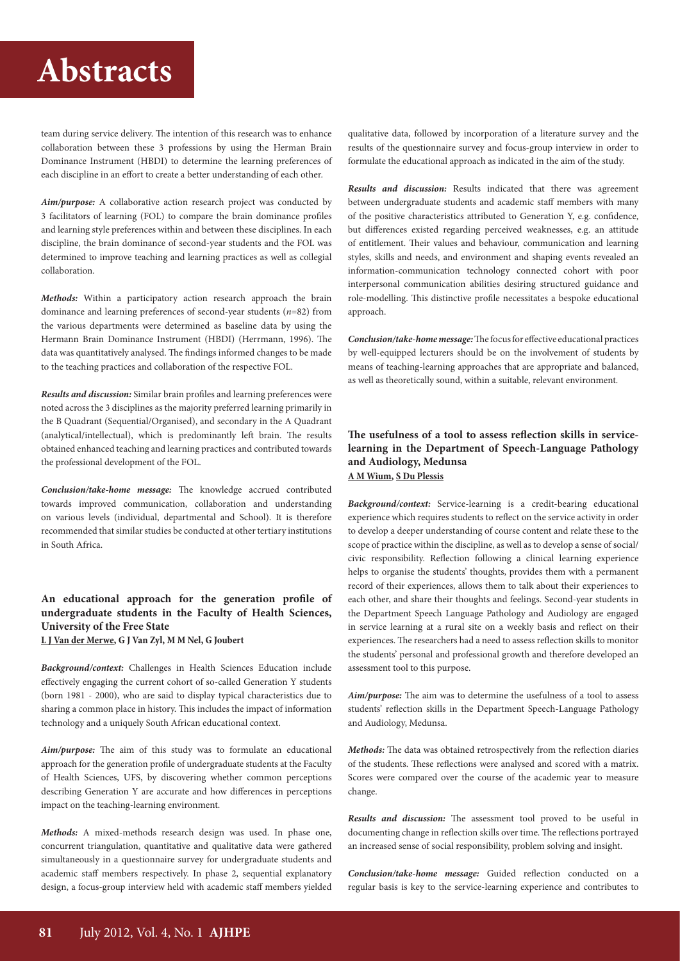team during service delivery. The intention of this research was to enhance collaboration between these 3 professions by using the Herman Brain Dominance Instrument (HBDI) to determine the learning preferences of each discipline in an effort to create a better understanding of each other.

*Aim/purpose:* A collaborative action research project was conducted by 3 facilitators of learning (FOL) to compare the brain dominance profiles and learning style preferences within and between these disciplines. In each discipline, the brain dominance of second-year students and the FOL was determined to improve teaching and learning practices as well as collegial collaboration.

*Methods:* Within a participatory action research approach the brain dominance and learning preferences of second-year students (*n*=82) from the various departments were determined as baseline data by using the Hermann Brain Dominance Instrument (HBDI) (Herrmann, 1996). The data was quantitatively analysed. The findings informed changes to be made to the teaching practices and collaboration of the respective FOL.

*Results and discussion:* Similar brain profiles and learning preferences were noted across the 3 disciplines as the majority preferred learning primarily in the B Quadrant (Sequential/Organised), and secondary in the A Quadrant (analytical/intellectual), which is predominantly left brain. The results obtained enhanced teaching and learning practices and contributed towards the professional development of the FOL.

*Conclusion/take-home message:* The knowledge accrued contributed towards improved communication, collaboration and understanding on various levels (individual, departmental and School). It is therefore recommended that similar studies be conducted at other tertiary institutions in South Africa.

### **An educational approach for the generation profile of undergraduate students in the Faculty of Health Sciences, University of the Free State L J Van der Merwe, G J Van Zyl, M M Nel, G Joubert**

*Background/context:* Challenges in Health Sciences Education include effectively engaging the current cohort of so-called Generation Y students (born 1981 - 2000), who are said to display typical characteristics due to sharing a common place in history. This includes the impact of information technology and a uniquely South African educational context.

*Aim/purpose:* The aim of this study was to formulate an educational approach for the generation profile of undergraduate students at the Faculty of Health Sciences, UFS, by discovering whether common perceptions describing Generation Y are accurate and how differences in perceptions impact on the teaching-learning environment.

*Methods:* A mixed-methods research design was used. In phase one, concurrent triangulation, quantitative and qualitative data were gathered simultaneously in a questionnaire survey for undergraduate students and academic staff members respectively. In phase 2, sequential explanatory design, a focus-group interview held with academic staff members yielded qualitative data, followed by incorporation of a literature survey and the results of the questionnaire survey and focus-group interview in order to formulate the educational approach as indicated in the aim of the study.

*Results and discussion:* Results indicated that there was agreement between undergraduate students and academic staff members with many of the positive characteristics attributed to Generation Y, e.g. confidence, but differences existed regarding perceived weaknesses, e.g. an attitude of entitlement. Their values and behaviour, communication and learning styles, skills and needs, and environment and shaping events revealed an information-communication technology connected cohort with poor interpersonal communication abilities desiring structured guidance and role-modelling. This distinctive profile necessitates a bespoke educational approach.

*Conclusion/take-home message:* The focus for effective educational practices by well-equipped lecturers should be on the involvement of students by means of teaching-learning approaches that are appropriate and balanced, as well as theoretically sound, within a suitable, relevant environment.

### **The usefulness of a tool to assess reflection skills in servicelearning in the Department of Speech-Language Pathology and Audiology, Medunsa A M Wium, S Du Plessis**

*Background/context:* Service-learning is a credit-bearing educational experience which requires students to reflect on the service activity in order to develop a deeper understanding of course content and relate these to the scope of practice within the discipline, as well as to develop a sense of social/ civic responsibility. Reflection following a clinical learning experience helps to organise the students' thoughts, provides them with a permanent record of their experiences, allows them to talk about their experiences to each other, and share their thoughts and feelings. Second-year students in the Department Speech Language Pathology and Audiology are engaged in service learning at a rural site on a weekly basis and reflect on their experiences. The researchers had a need to assess reflection skills to monitor the students' personal and professional growth and therefore developed an assessment tool to this purpose.

*Aim/purpose:* The aim was to determine the usefulness of a tool to assess students' reflection skills in the Department Speech-Language Pathology and Audiology, Medunsa.

*Methods:* The data was obtained retrospectively from the reflection diaries of the students. These reflections were analysed and scored with a matrix. Scores were compared over the course of the academic year to measure change.

*Results and discussion:* The assessment tool proved to be useful in documenting change in reflection skills over time. The reflections portrayed an increased sense of social responsibility, problem solving and insight.

*Conclusion/take-home message:* Guided reflection conducted on a regular basis is key to the service-learning experience and contributes to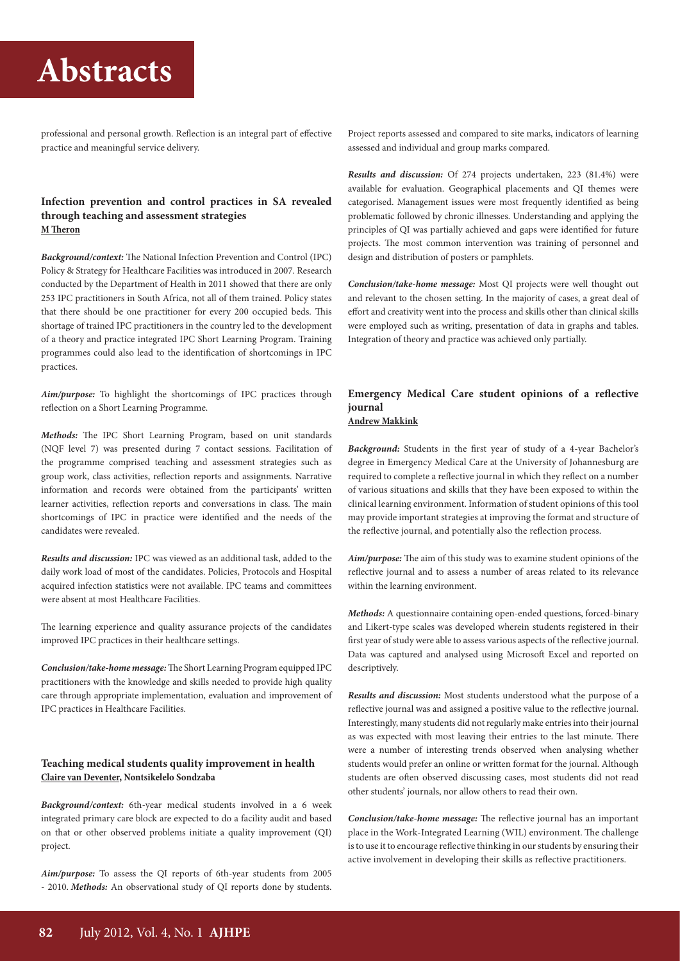professional and personal growth. Reflection is an integral part of effective practice and meaningful service delivery.

### **Infection prevention and control practices in SA revealed through teaching and assessment strategies M Theron**

*Background/context:* The National Infection Prevention and Control (IPC) Policy & Strategy for Healthcare Facilities was introduced in 2007. Research conducted by the Department of Health in 2011 showed that there are only 253 IPC practitioners in South Africa, not all of them trained. Policy states that there should be one practitioner for every 200 occupied beds. This shortage of trained IPC practitioners in the country led to the development of a theory and practice integrated IPC Short Learning Program. Training programmes could also lead to the identification of shortcomings in IPC practices.

*Aim/purpose:* To highlight the shortcomings of IPC practices through reflection on a Short Learning Programme.

*Methods:* The IPC Short Learning Program, based on unit standards (NQF level 7) was presented during 7 contact sessions. Facilitation of the programme comprised teaching and assessment strategies such as group work, class activities, reflection reports and assignments. Narrative information and records were obtained from the participants' written learner activities, reflection reports and conversations in class. The main shortcomings of IPC in practice were identified and the needs of the candidates were revealed.

*Results and discussion:* IPC was viewed as an additional task, added to the daily work load of most of the candidates. Policies, Protocols and Hospital acquired infection statistics were not available. IPC teams and committees were absent at most Healthcare Facilities.

The learning experience and quality assurance projects of the candidates improved IPC practices in their healthcare settings.

*Conclusion/take-home message:* The Short Learning Program equipped IPC practitioners with the knowledge and skills needed to provide high quality care through appropriate implementation, evaluation and improvement of IPC practices in Healthcare Facilities.

### **Teaching medical students quality improvement in health Claire van Deventer, Nontsikelelo Sondzaba**

*Background/context:* 6th-year medical students involved in a 6 week integrated primary care block are expected to do a facility audit and based on that or other observed problems initiate a quality improvement (QI) project.

*Aim/purpose:* To assess the QI reports of 6th-year students from 2005 - 2010. *Methods:* An observational study of QI reports done by students. Project reports assessed and compared to site marks, indicators of learning assessed and individual and group marks compared.

*Results and discussion:* Of 274 projects undertaken, 223 (81.4%) were available for evaluation. Geographical placements and QI themes were categorised. Management issues were most frequently identified as being problematic followed by chronic illnesses. Understanding and applying the principles of QI was partially achieved and gaps were identified for future projects. The most common intervention was training of personnel and design and distribution of posters or pamphlets.

*Conclusion/take-home message:* Most QI projects were well thought out and relevant to the chosen setting. In the majority of cases, a great deal of effort and creativity went into the process and skills other than clinical skills were employed such as writing, presentation of data in graphs and tables. Integration of theory and practice was achieved only partially.

# **Emergency Medical Care student opinions of a reflective journal**

## **Andrew Makkink**

*Background:* Students in the first year of study of a 4-year Bachelor's degree in Emergency Medical Care at the University of Johannesburg are required to complete a reflective journal in which they reflect on a number of various situations and skills that they have been exposed to within the clinical learning environment. Information of student opinions of this tool may provide important strategies at improving the format and structure of the reflective journal, and potentially also the reflection process.

*Aim/purpose:* The aim of this study was to examine student opinions of the reflective journal and to assess a number of areas related to its relevance within the learning environment.

*Methods:* A questionnaire containing open-ended questions, forced-binary and Likert-type scales was developed wherein students registered in their first year of study were able to assess various aspects of the reflective journal. Data was captured and analysed using Microsoft Excel and reported on descriptively.

*Results and discussion:* Most students understood what the purpose of a reflective journal was and assigned a positive value to the reflective journal. Interestingly, many students did not regularly make entries into their journal as was expected with most leaving their entries to the last minute. There were a number of interesting trends observed when analysing whether students would prefer an online or written format for the journal. Although students are often observed discussing cases, most students did not read other students' journals, nor allow others to read their own.

*Conclusion/take-home message:* The reflective journal has an important place in the Work-Integrated Learning (WIL) environment. The challenge is to use it to encourage reflective thinking in our students by ensuring their active involvement in developing their skills as reflective practitioners.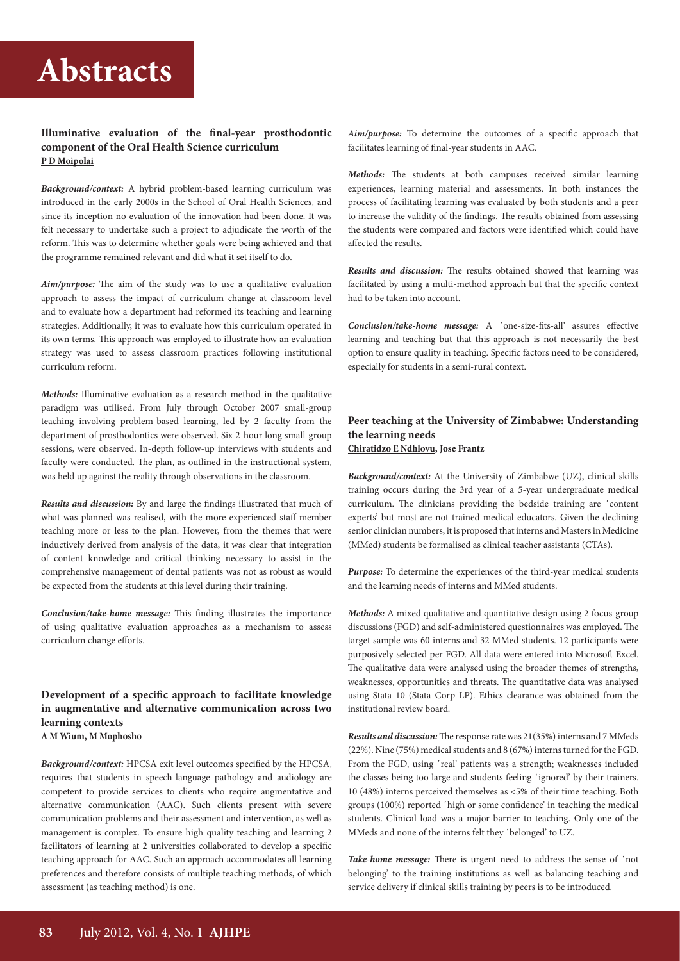### **Illuminative evaluation of the final-year prosthodontic component of the Oral Health Science curriculum P D Moipolai**

*Background/context:* A hybrid problem-based learning curriculum was introduced in the early 2000s in the School of Oral Health Sciences, and since its inception no evaluation of the innovation had been done. It was felt necessary to undertake such a project to adjudicate the worth of the reform. This was to determine whether goals were being achieved and that the programme remained relevant and did what it set itself to do.

*Aim/purpose:* The aim of the study was to use a qualitative evaluation approach to assess the impact of curriculum change at classroom level and to evaluate how a department had reformed its teaching and learning strategies. Additionally, it was to evaluate how this curriculum operated in its own terms. This approach was employed to illustrate how an evaluation strategy was used to assess classroom practices following institutional curriculum reform.

*Methods:* Illuminative evaluation as a research method in the qualitative paradigm was utilised. From July through October 2007 small-group teaching involving problem-based learning, led by 2 faculty from the department of prosthodontics were observed. Six 2-hour long small-group sessions, were observed. In-depth follow-up interviews with students and faculty were conducted. The plan, as outlined in the instructional system, was held up against the reality through observations in the classroom.

*Results and discussion:* By and large the findings illustrated that much of what was planned was realised, with the more experienced staff member teaching more or less to the plan. However, from the themes that were inductively derived from analysis of the data, it was clear that integration of content knowledge and critical thinking necessary to assist in the comprehensive management of dental patients was not as robust as would be expected from the students at this level during their training.

*Conclusion/take-home message:* This finding illustrates the importance of using qualitative evaluation approaches as a mechanism to assess curriculum change efforts.

### **Development of a specific approach to facilitate knowledge in augmentative and alternative communication across two learning contexts A M Wium, M Mophosho**

*Background/context:* HPCSA exit level outcomes specified by the HPCSA, requires that students in speech-language pathology and audiology are competent to provide services to clients who require augmentative and alternative communication (AAC). Such clients present with severe communication problems and their assessment and intervention, as well as management is complex. To ensure high quality teaching and learning 2 facilitators of learning at 2 universities collaborated to develop a specific teaching approach for AAC. Such an approach accommodates all learning preferences and therefore consists of multiple teaching methods, of which assessment (as teaching method) is one.

*Aim/purpose:* To determine the outcomes of a specific approach that facilitates learning of final-year students in AAC.

*Methods:* The students at both campuses received similar learning experiences, learning material and assessments. In both instances the process of facilitating learning was evaluated by both students and a peer to increase the validity of the findings. The results obtained from assessing the students were compared and factors were identified which could have affected the results.

*Results and discussion:* The results obtained showed that learning was facilitated by using a multi-method approach but that the specific context had to be taken into account.

*Conclusion/take-home message:* A ῾one-size-fits-all' assures effective learning and teaching but that this approach is not necessarily the best option to ensure quality in teaching. Specific factors need to be considered, especially for students in a semi-rural context.

#### **Peer teaching at the University of Zimbabwe: Understanding the learning needs Chiratidzo E Ndhlovu, Jose Frantz**

*Background/context:* At the University of Zimbabwe (UZ), clinical skills training occurs during the 3rd year of a 5-year undergraduate medical curriculum. The clinicians providing the bedside training are 'content experts' but most are not trained medical educators. Given the declining senior clinician numbers, it is proposed that interns and Masters in Medicine (MMed) students be formalised as clinical teacher assistants (CTAs).

*Purpose:* To determine the experiences of the third-year medical students and the learning needs of interns and MMed students.

*Methods:* A mixed qualitative and quantitative design using 2 focus-group discussions (FGD) and self-administered questionnaires was employed. The target sample was 60 interns and 32 MMed students. 12 participants were purposively selected per FGD. All data were entered into Microsoft Excel. The qualitative data were analysed using the broader themes of strengths, weaknesses, opportunities and threats. The quantitative data was analysed using Stata 10 (Stata Corp LP). Ethics clearance was obtained from the institutional review board.

*Results and discussion:* The response rate was 21(35%) interns and 7 MMeds (22%). Nine (75%) medical students and 8 (67%) interns turned for the FGD. From the FGD, using 'real' patients was a strength; weaknesses included the classes being too large and students feeling 'ignored' by their trainers. 10 (48%) interns perceived themselves as <5% of their time teaching. Both groups (100%) reported 'high or some confidence' in teaching the medical students. Clinical load was a major barrier to teaching. Only one of the MMeds and none of the interns felt they 'belonged' to UZ.

Take-home message: There is urgent need to address the sense of 'not belonging' to the training institutions as well as balancing teaching and service delivery if clinical skills training by peers is to be introduced.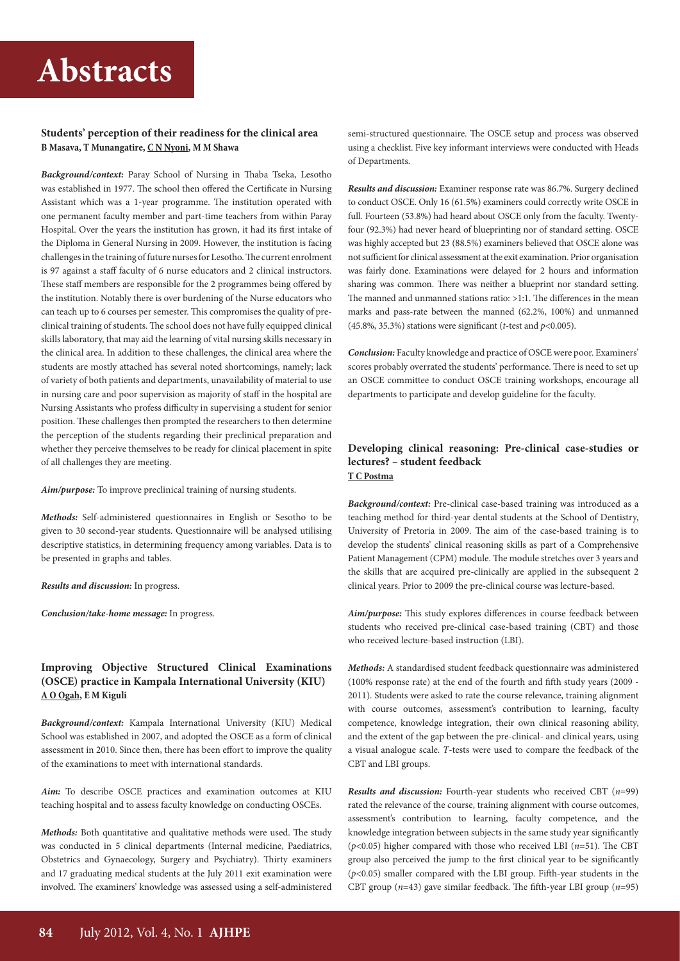#### **Students' perception of their readiness for the clinical area B Masava, T Munangatire, C N Nyoni, M M Shawa**

*Background/context:* Paray School of Nursing in Thaba Tseka, Lesotho was established in 1977. The school then offered the Certificate in Nursing Assistant which was a 1-year programme. The institution operated with one permanent faculty member and part-time teachers from within Paray Hospital. Over the years the institution has grown, it had its first intake of the Diploma in General Nursing in 2009. However, the institution is facing challenges in the training of future nurses for Lesotho. The current enrolment is 97 against a staff faculty of 6 nurse educators and 2 clinical instructors. These staff members are responsible for the 2 programmes being offered by the institution. Notably there is over burdening of the Nurse educators who can teach up to 6 courses per semester. This compromises the quality of preclinical training of students. The school does not have fully equipped clinical skills laboratory, that may aid the learning of vital nursing skills necessary in the clinical area. In addition to these challenges, the clinical area where the students are mostly attached has several noted shortcomings, namely; lack of variety of both patients and departments, unavailability of material to use in nursing care and poor supervision as majority of staff in the hospital are Nursing Assistants who profess difficulty in supervising a student for senior position. These challenges then prompted the researchers to then determine the perception of the students regarding their preclinical preparation and whether they perceive themselves to be ready for clinical placement in spite of all challenges they are meeting.

*Aim/purpose:* To improve preclinical training of nursing students.

*Methods:* Self-administered questionnaires in English or Sesotho to be given to 30 second-year students. Questionnaire will be analysed utilising descriptive statistics, in determining frequency among variables. Data is to be presented in graphs and tables.

*Results and discussion:* In progress.

*Conclusion/take-home message:* In progress.

### **Improving Objective Structured Clinical Examinations (OSCE) practice in Kampala International University (KIU) A O Ogah, E M Kiguli**

*Background/context:* Kampala International University (KIU) Medical School was established in 2007, and adopted the OSCE as a form of clinical assessment in 2010. Since then, there has been effort to improve the quality of the examinations to meet with international standards.

*Aim:* To describe OSCE practices and examination outcomes at KIU teaching hospital and to assess faculty knowledge on conducting OSCEs.

*Methods:* Both quantitative and qualitative methods were used. The study was conducted in 5 clinical departments (Internal medicine, Paediatrics, Obstetrics and Gynaecology, Surgery and Psychiatry). Thirty examiners and 17 graduating medical students at the July 2011 exit examination were involved. The examiners' knowledge was assessed using a self-administered

semi-structured questionnaire. The OSCE setup and process was observed using a checklist. Five key informant interviews were conducted with Heads of Departments.

*Results and discussion:* Examiner response rate was 86.7%. Surgery declined to conduct OSCE. Only 16 (61.5%) examiners could correctly write OSCE in full. Fourteen (53.8%) had heard about OSCE only from the faculty. Twentyfour (92.3%) had never heard of blueprinting nor of standard setting. OSCE was highly accepted but 23 (88.5%) examiners believed that OSCE alone was not sufficient for clinical assessment at the exit examination. Prior organisation was fairly done. Examinations were delayed for 2 hours and information sharing was common. There was neither a blueprint nor standard setting. The manned and unmanned stations ratio: >1:1. The differences in the mean marks and pass-rate between the manned (62.2%, 100%) and unmanned (45.8%, 35.3%) stations were significant (*t*-test and *p*<0.005).

*Conclusion:* Faculty knowledge and practice of OSCE were poor. Examiners' scores probably overrated the students' performance. There is need to set up an OSCE committee to conduct OSCE training workshops, encourage all departments to participate and develop guideline for the faculty.

#### **Developing clinical reasoning: Pre-clinical case-studies or lectures? – student feedback T C Postma**

*Background/context:* Pre-clinical case-based training was introduced as a teaching method for third-year dental students at the School of Dentistry, University of Pretoria in 2009. The aim of the case-based training is to develop the students' clinical reasoning skills as part of a Comprehensive Patient Management (CPM) module. The module stretches over 3 years and the skills that are acquired pre-clinically are applied in the subsequent 2 clinical years. Prior to 2009 the pre-clinical course was lecture-based.

*Aim/purpose:* This study explores differences in course feedback between students who received pre-clinical case-based training (CBT) and those who received lecture-based instruction (LBI).

*Methods:* A standardised student feedback questionnaire was administered (100% response rate) at the end of the fourth and fifth study years (2009 - 2011). Students were asked to rate the course relevance, training alignment with course outcomes, assessment's contribution to learning, faculty competence, knowledge integration, their own clinical reasoning ability, and the extent of the gap between the pre-clinical- and clinical years, using a visual analogue scale. *T*-tests were used to compare the feedback of the CBT and LBI groups.

*Results and discussion:* Fourth-year students who received CBT (*n*=99) rated the relevance of the course, training alignment with course outcomes, assessment's contribution to learning, faculty competence, and the knowledge integration between subjects in the same study year significantly (*p*<0.05) higher compared with those who received LBI (*n*=51). The CBT group also perceived the jump to the first clinical year to be significantly  $(p<0.05)$  smaller compared with the LBI group. Fifth-year students in the CBT group (*n*=43) gave similar feedback. The fifth-year LBI group (*n*=95)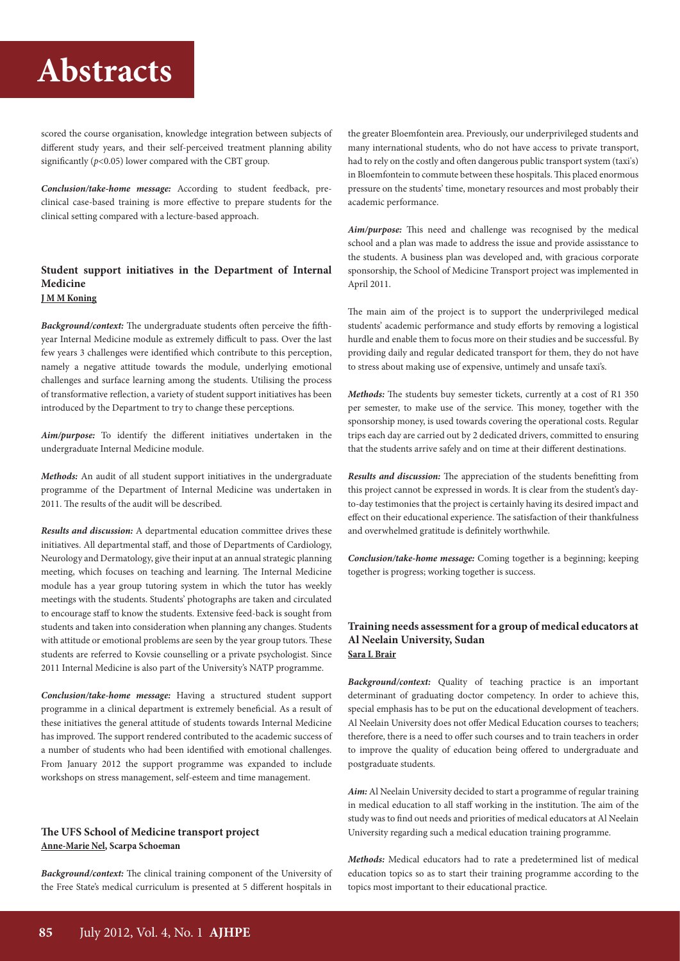scored the course organisation, knowledge integration between subjects of different study years, and their self-perceived treatment planning ability significantly ( $p$ <0.05) lower compared with the CBT group.

*Conclusion/take-home message:* According to student feedback, preclinical case-based training is more effective to prepare students for the clinical setting compared with a lecture-based approach.

#### **Student support initiatives in the Department of Internal Medicine J M M Koning**

*Background/context:* The undergraduate students often perceive the fifthyear Internal Medicine module as extremely difficult to pass. Over the last few years 3 challenges were identified which contribute to this perception, namely a negative attitude towards the module, underlying emotional challenges and surface learning among the students. Utilising the process of transformative reflection, a variety of student support initiatives has been introduced by the Department to try to change these perceptions.

*Aim/purpose:* To identify the different initiatives undertaken in the undergraduate Internal Medicine module.

*Methods:* An audit of all student support initiatives in the undergraduate programme of the Department of Internal Medicine was undertaken in 2011. The results of the audit will be described.

*Results and discussion:* A departmental education committee drives these initiatives. All departmental staff, and those of Departments of Cardiology, Neurology and Dermatology, give their input at an annual strategic planning meeting, which focuses on teaching and learning. The Internal Medicine module has a year group tutoring system in which the tutor has weekly meetings with the students. Students' photographs are taken and circulated to encourage staff to know the students. Extensive feed-back is sought from students and taken into consideration when planning any changes. Students with attitude or emotional problems are seen by the year group tutors. These students are referred to Kovsie counselling or a private psychologist. Since 2011 Internal Medicine is also part of the University's NATP programme.

*Conclusion/take-home message:* Having a structured student support programme in a clinical department is extremely beneficial. As a result of these initiatives the general attitude of students towards Internal Medicine has improved. The support rendered contributed to the academic success of a number of students who had been identified with emotional challenges. From January 2012 the support programme was expanded to include workshops on stress management, self-esteem and time management.

#### **The UFS School of Medicine transport project Anne-Marie Nel, Scarpa Schoeman**

*Background/context:* The clinical training component of the University of the Free State's medical curriculum is presented at 5 different hospitals in

the greater Bloemfontein area. Previously, our underprivileged students and many international students, who do not have access to private transport, had to rely on the costly and often dangerous public transport system (taxi's) in Bloemfontein to commute between these hospitals. This placed enormous pressure on the students' time, monetary resources and most probably their academic performance.

*Aim/purpose:* This need and challenge was recognised by the medical school and a plan was made to address the issue and provide assisstance to the students. A business plan was developed and, with gracious corporate sponsorship, the School of Medicine Transport project was implemented in April 2011.

The main aim of the project is to support the underprivileged medical students' academic performance and study efforts by removing a logistical hurdle and enable them to focus more on their studies and be successful. By providing daily and regular dedicated transport for them, they do not have to stress about making use of expensive, untimely and unsafe taxi's.

*Methods:* The students buy semester tickets, currently at a cost of R1 350 per semester, to make use of the service. This money, together with the sponsorship money, is used towards covering the operational costs. Regular trips each day are carried out by 2 dedicated drivers, committed to ensuring that the students arrive safely and on time at their different destinations.

*Results and discussion:* The appreciation of the students benefitting from this project cannot be expressed in words. It is clear from the student's dayto-day testimonies that the project is certainly having its desired impact and effect on their educational experience. The satisfaction of their thankfulness and overwhelmed gratitude is definitely worthwhile.

*Conclusion/take-home message:* Coming together is a beginning; keeping together is progress; working together is success.

#### **Training needs assessment for a group of medical educators at Al Neelain University, Sudan Sara L Brair**

*Background/context:* Quality of teaching practice is an important determinant of graduating doctor competency. In order to achieve this, special emphasis has to be put on the educational development of teachers. Al Neelain University does not offer Medical Education courses to teachers; therefore, there is a need to offer such courses and to train teachers in order to improve the quality of education being offered to undergraduate and postgraduate students.

*Aim:* Al Neelain University decided to start a programme of regular training in medical education to all staff working in the institution. The aim of the study was to find out needs and priorities of medical educators at Al Neelain University regarding such a medical education training programme.

*Methods:* Medical educators had to rate a predetermined list of medical education topics so as to start their training programme according to the topics most important to their educational practice.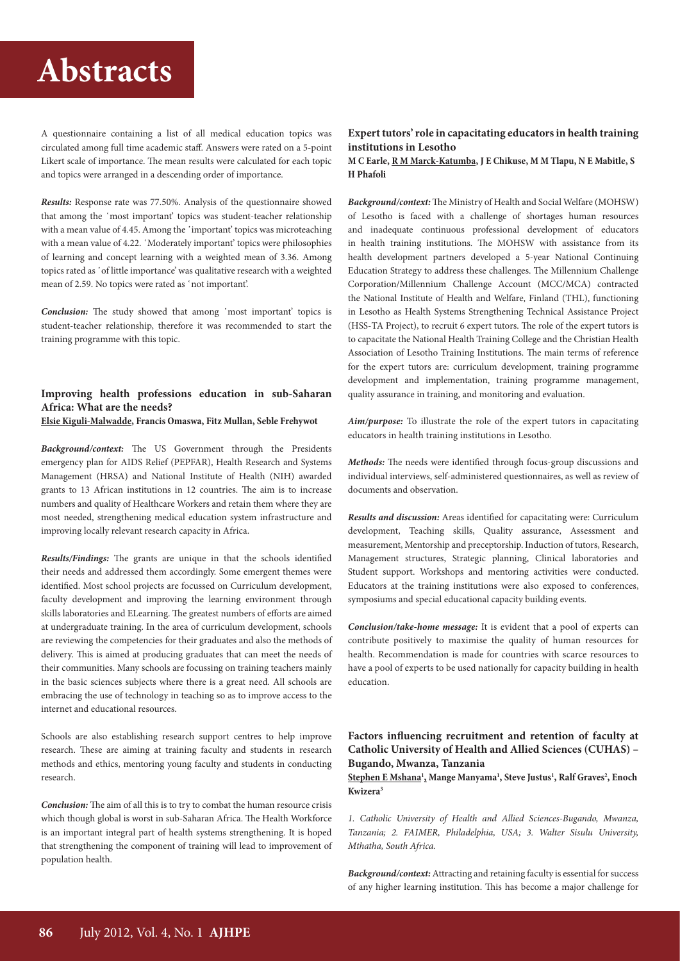A questionnaire containing a list of all medical education topics was circulated among full time academic staff. Answers were rated on a 5-point Likert scale of importance. The mean results were calculated for each topic and topics were arranged in a descending order of importance.

*Results:* Response rate was 77.50%. Analysis of the questionnaire showed that among the 'most important' topics was student-teacher relationship with a mean value of 4.45. Among the 'important' topics was microteaching with a mean value of 4.22. 'Moderately important' topics were philosophies of learning and concept learning with a weighted mean of 3.36. Among topics rated as 'of little importance' was qualitative research with a weighted mean of 2.59. No topics were rated as 'not important'.

**Conclusion:** The study showed that among 'most important' topics is student-teacher relationship, therefore it was recommended to start the training programme with this topic.

# **Improving health professions education in sub-Saharan Africa: What are the needs?**

# **Elsie Kiguli-Malwadde, Francis Omaswa, Fitz Mullan, Seble Frehywot**

*Background/context:* The US Government through the Presidents emergency plan for AIDS Relief (PEPFAR), Health Research and Systems Management (HRSA) and National Institute of Health (NIH) awarded grants to 13 African institutions in 12 countries. The aim is to increase numbers and quality of Healthcare Workers and retain them where they are most needed, strengthening medical education system infrastructure and improving locally relevant research capacity in Africa.

*Results/Findings:* The grants are unique in that the schools identified their needs and addressed them accordingly. Some emergent themes were identified. Most school projects are focussed on Curriculum development, faculty development and improving the learning environment through skills laboratories and ELearning. The greatest numbers of efforts are aimed at undergraduate training. In the area of curriculum development, schools are reviewing the competencies for their graduates and also the methods of delivery. This is aimed at producing graduates that can meet the needs of their communities. Many schools are focussing on training teachers mainly in the basic sciences subjects where there is a great need. All schools are embracing the use of technology in teaching so as to improve access to the internet and educational resources.

Schools are also establishing research support centres to help improve research. These are aiming at training faculty and students in research methods and ethics, mentoring young faculty and students in conducting research.

*Conclusion:* The aim of all this is to try to combat the human resource crisis which though global is worst in sub-Saharan Africa. The Health Workforce is an important integral part of health systems strengthening. It is hoped that strengthening the component of training will lead to improvement of population health.

#### **Expert tutors' role in capacitating educators in health training institutions in Lesotho**

#### **M C Earle, R M Marck-Katumba, J E Chikuse, M M Tlapu, N E Mabitle, S H Phafoli**

*Background/context:* The Ministry of Health and Social Welfare (MOHSW) of Lesotho is faced with a challenge of shortages human resources and inadequate continuous professional development of educators in health training institutions. The MOHSW with assistance from its health development partners developed a 5-year National Continuing Education Strategy to address these challenges. The Millennium Challenge Corporation/Millennium Challenge Account (MCC/MCA) contracted the National Institute of Health and Welfare, Finland (THL), functioning in Lesotho as Health Systems Strengthening Technical Assistance Project (HSS-TA Project), to recruit 6 expert tutors. The role of the expert tutors is to capacitate the National Health Training College and the Christian Health Association of Lesotho Training Institutions. The main terms of reference for the expert tutors are: curriculum development, training programme development and implementation, training programme management, quality assurance in training, and monitoring and evaluation.

*Aim/purpose:* To illustrate the role of the expert tutors in capacitating educators in health training institutions in Lesotho.

*Methods:* The needs were identified through focus-group discussions and individual interviews, self-administered questionnaires, as well as review of documents and observation.

*Results and discussion:* Areas identified for capacitating were: Curriculum development, Teaching skills, Quality assurance, Assessment and measurement, Mentorship and preceptorship. Induction of tutors, Research, Management structures, Strategic planning, Clinical laboratories and Student support. Workshops and mentoring activities were conducted. Educators at the training institutions were also exposed to conferences, symposiums and special educational capacity building events.

*Conclusion/take-home message:* It is evident that a pool of experts can contribute positively to maximise the quality of human resources for health. Recommendation is made for countries with scarce resources to have a pool of experts to be used nationally for capacity building in health education.

# **Factors influencing recruitment and retention of faculty at Catholic University of Health and Allied Sciences (CUHAS) – Bugando, Mwanza, Tanzania**

Stephen E Mshana<sup>1</sup>, Mange Manyama<sup>1</sup>, Steve Justus<sup>1</sup>, Ralf Graves<sup>2</sup>, Enoch **Kwizera3**

*1. Catholic University of Health and Allied Sciences-Bugando, Mwanza, Tanzania; 2. FAIMER, Philadelphia, USA; 3. Walter Sisulu University, Mthatha, South Africa.*

*Background/context:* Attracting and retaining faculty is essential for success of any higher learning institution. This has become a major challenge for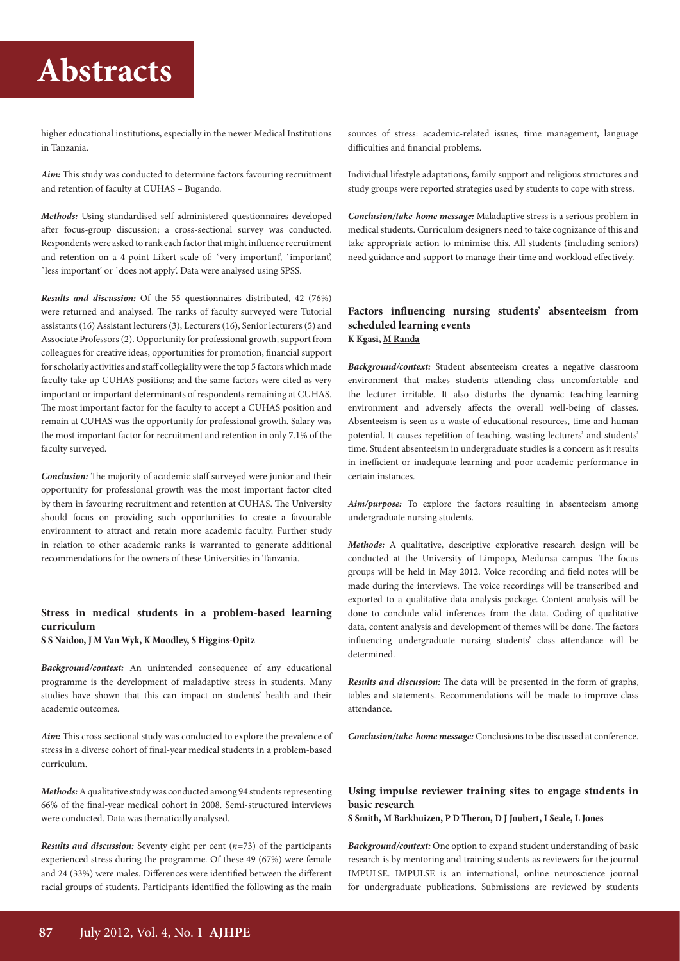higher educational institutions, especially in the newer Medical Institutions in Tanzania.

*Aim:* This study was conducted to determine factors favouring recruitment and retention of faculty at CUHAS – Bugando.

*Methods:* Using standardised self-administered questionnaires developed after focus-group discussion; a cross-sectional survey was conducted. Respondents were asked to rank each factor that might influence recruitment and retention on a 4-point Likert scale of: 'very important', 'important', 'less important' or 'does not apply'. Data were analysed using SPSS.

*Results and discussion:* Of the 55 questionnaires distributed, 42 (76%) were returned and analysed. The ranks of faculty surveyed were Tutorial assistants (16) Assistant lecturers (3), Lecturers (16), Senior lecturers (5) and Associate Professors (2). Opportunity for professional growth, support from colleagues for creative ideas, opportunities for promotion, financial support for scholarly activities and staff collegiality were the top 5 factors which made faculty take up CUHAS positions; and the same factors were cited as very important or important determinants of respondents remaining at CUHAS. The most important factor for the faculty to accept a CUHAS position and remain at CUHAS was the opportunity for professional growth. Salary was the most important factor for recruitment and retention in only 7.1% of the faculty surveyed.

*Conclusion:* The majority of academic staff surveyed were junior and their opportunity for professional growth was the most important factor cited by them in favouring recruitment and retention at CUHAS. The University should focus on providing such opportunities to create a favourable environment to attract and retain more academic faculty. Further study in relation to other academic ranks is warranted to generate additional recommendations for the owners of these Universities in Tanzania.

# **Stress in medical students in a problem-based learning curriculum**

**S S Naidoo, J M Van Wyk, K Moodley, S Higgins-Opitz**

*Background/context:* An unintended consequence of any educational programme is the development of maladaptive stress in students. Many studies have shown that this can impact on students' health and their academic outcomes.

*Aim:* This cross-sectional study was conducted to explore the prevalence of stress in a diverse cohort of final-year medical students in a problem-based curriculum.

*Methods:* A qualitative study was conducted among 94 students representing 66% of the final-year medical cohort in 2008. Semi-structured interviews were conducted. Data was thematically analysed.

*Results and discussion:* Seventy eight per cent (*n*=73) of the participants experienced stress during the programme. Of these 49 (67%) were female and 24 (33%) were males. Differences were identified between the different racial groups of students. Participants identified the following as the main sources of stress: academic-related issues, time management, language difficulties and financial problems.

Individual lifestyle adaptations, family support and religious structures and study groups were reported strategies used by students to cope with stress.

*Conclusion/take-home message:* Maladaptive stress is a serious problem in medical students. Curriculum designers need to take cognizance of this and take appropriate action to minimise this. All students (including seniors) need guidance and support to manage their time and workload effectively.

#### **Factors influencing nursing students' absenteeism from scheduled learning events K Kgasi, M Randa**

*Background/context:* Student absenteeism creates a negative classroom environment that makes students attending class uncomfortable and the lecturer irritable. It also disturbs the dynamic teaching-learning environment and adversely affects the overall well-being of classes. Absenteeism is seen as a waste of educational resources, time and human potential. It causes repetition of teaching, wasting lecturers' and students' time. Student absenteeism in undergraduate studies is a concern as it results in inefficient or inadequate learning and poor academic performance in certain instances.

*Aim/purpose:* To explore the factors resulting in absenteeism among undergraduate nursing students.

*Methods:* A qualitative, descriptive explorative research design will be conducted at the University of Limpopo, Medunsa campus. The focus groups will be held in May 2012. Voice recording and field notes will be made during the interviews. The voice recordings will be transcribed and exported to a qualitative data analysis package. Content analysis will be done to conclude valid inferences from the data. Coding of qualitative data, content analysis and development of themes will be done. The factors influencing undergraduate nursing students' class attendance will be determined.

*Results and discussion:* The data will be presented in the form of graphs, tables and statements. Recommendations will be made to improve class attendance.

*Conclusion/take-home message:* Conclusions to be discussed at conference.

# **Using impulse reviewer training sites to engage students in basic research**

**S Smith, M Barkhuizen, P D Theron, D J Joubert, I Seale, L Jones**

*Background/context:* One option to expand student understanding of basic research is by mentoring and training students as reviewers for the journal IMPULSE. IMPULSE is an international, online neuroscience journal for undergraduate publications. Submissions are reviewed by students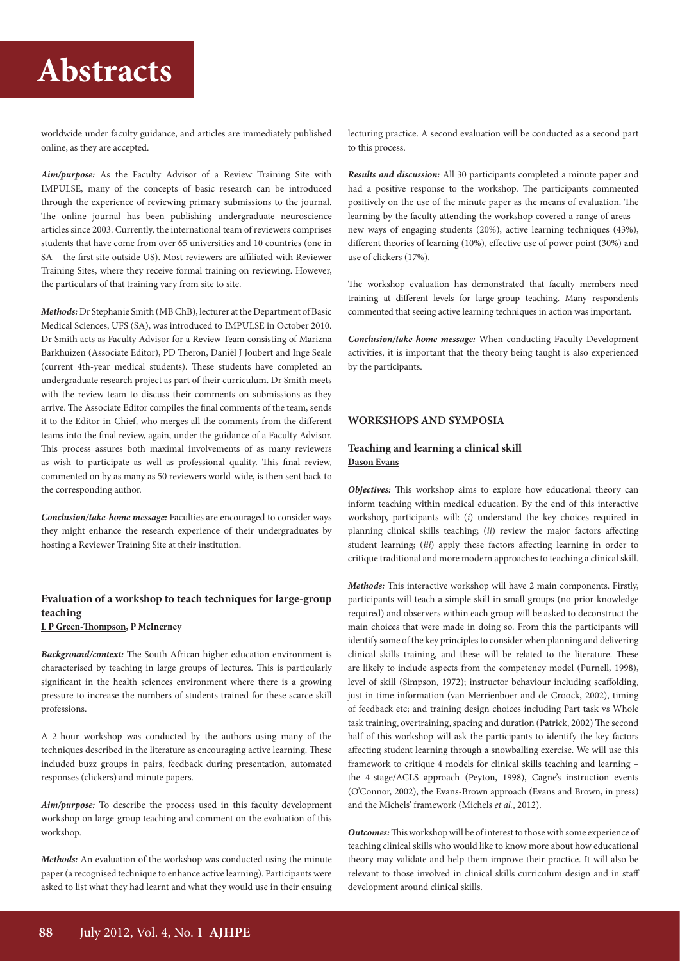worldwide under faculty guidance, and articles are immediately published online, as they are accepted.

*Aim/purpose:* As the Faculty Advisor of a Review Training Site with IMPULSE, many of the concepts of basic research can be introduced through the experience of reviewing primary submissions to the journal. The online journal has been publishing undergraduate neuroscience articles since 2003. Currently, the international team of reviewers comprises students that have come from over 65 universities and 10 countries (one in SA – the first site outside US). Most reviewers are affiliated with Reviewer Training Sites, where they receive formal training on reviewing. However, the particulars of that training vary from site to site.

*Methods:* Dr Stephanie Smith (MB ChB), lecturer at the Department of Basic Medical Sciences, UFS (SA), was introduced to IMPULSE in October 2010. Dr Smith acts as Faculty Advisor for a Review Team consisting of Marizna Barkhuizen (Associate Editor), PD Theron, Daniël J Joubert and Inge Seale (current 4th-year medical students). These students have completed an undergraduate research project as part of their curriculum. Dr Smith meets with the review team to discuss their comments on submissions as they arrive. The Associate Editor compiles the final comments of the team, sends it to the Editor-in-Chief, who merges all the comments from the different teams into the final review, again, under the guidance of a Faculty Advisor. This process assures both maximal involvements of as many reviewers as wish to participate as well as professional quality. This final review, commented on by as many as 50 reviewers world-wide, is then sent back to the corresponding author.

*Conclusion/take-home message:* Faculties are encouraged to consider ways they might enhance the research experience of their undergraduates by hosting a Reviewer Training Site at their institution.

#### **Evaluation of a workshop to teach techniques for large-group teaching L P Green-Thompson, P McInerney**

*Background/context:* The South African higher education environment is characterised by teaching in large groups of lectures. This is particularly significant in the health sciences environment where there is a growing pressure to increase the numbers of students trained for these scarce skill professions.

A 2-hour workshop was conducted by the authors using many of the techniques described in the literature as encouraging active learning. These included buzz groups in pairs, feedback during presentation, automated responses (clickers) and minute papers.

*Aim/purpose:* To describe the process used in this faculty development workshop on large-group teaching and comment on the evaluation of this workshop.

*Methods:* An evaluation of the workshop was conducted using the minute paper (a recognised technique to enhance active learning). Participants were asked to list what they had learnt and what they would use in their ensuing lecturing practice. A second evaluation will be conducted as a second part to this process.

*Results and discussion:* All 30 participants completed a minute paper and had a positive response to the workshop. The participants commented positively on the use of the minute paper as the means of evaluation. The learning by the faculty attending the workshop covered a range of areas – new ways of engaging students (20%), active learning techniques (43%), different theories of learning (10%), effective use of power point (30%) and use of clickers (17%).

The workshop evaluation has demonstrated that faculty members need training at different levels for large-group teaching. Many respondents commented that seeing active learning techniques in action was important.

*Conclusion/take-home message:* When conducting Faculty Development activities, it is important that the theory being taught is also experienced by the participants.

#### **WORKSHOPS AND SYMPOSIA**

#### **Teaching and learning a clinical skill Dason Evans**

*Objectives:* This workshop aims to explore how educational theory can inform teaching within medical education. By the end of this interactive workshop, participants will: (*i*) understand the key choices required in planning clinical skills teaching; (*ii*) review the major factors affecting student learning; (*iii*) apply these factors affecting learning in order to critique traditional and more modern approaches to teaching a clinical skill.

*Methods:* This interactive workshop will have 2 main components. Firstly, participants will teach a simple skill in small groups (no prior knowledge required) and observers within each group will be asked to deconstruct the main choices that were made in doing so. From this the participants will identify some of the key principles to consider when planning and delivering clinical skills training, and these will be related to the literature. These are likely to include aspects from the competency model (Purnell, 1998), level of skill (Simpson, 1972); instructor behaviour including scaffolding, just in time information (van Merrienboer and de Croock, 2002), timing of feedback etc; and training design choices including Part task vs Whole task training, overtraining, spacing and duration (Patrick, 2002) The second half of this workshop will ask the participants to identify the key factors affecting student learning through a snowballing exercise. We will use this framework to critique 4 models for clinical skills teaching and learning – the 4-stage/ACLS approach (Peyton, 1998), Cagne's instruction events (O'Connor, 2002), the Evans-Brown approach (Evans and Brown, in press) and the Michels' framework (Michels *et al.*, 2012).

*Outcomes:* This workshop will be of interest to those with some experience of teaching clinical skills who would like to know more about how educational theory may validate and help them improve their practice. It will also be relevant to those involved in clinical skills curriculum design and in staff development around clinical skills.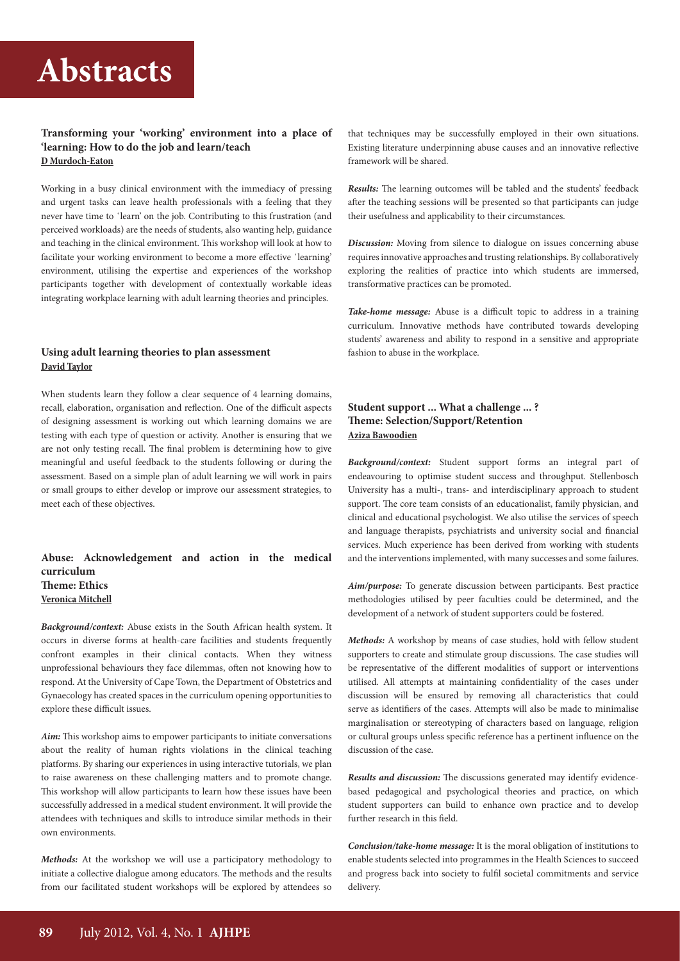#### **Transforming your 'working' environment into a place of 'learning: How to do the job and learn/teach D Murdoch-Eaton**

Working in a busy clinical environment with the immediacy of pressing and urgent tasks can leave health professionals with a feeling that they never have time to 'learn' on the job. Contributing to this frustration (and perceived workloads) are the needs of students, also wanting help, guidance and teaching in the clinical environment. This workshop will look at how to facilitate your working environment to become a more effective 'learning' environment, utilising the expertise and experiences of the workshop participants together with development of contextually workable ideas integrating workplace learning with adult learning theories and principles.

#### **Using adult learning theories to plan assessment David Taylor**

When students learn they follow a clear sequence of 4 learning domains, recall, elaboration, organisation and reflection. One of the difficult aspects of designing assessment is working out which learning domains we are testing with each type of question or activity. Another is ensuring that we are not only testing recall. The final problem is determining how to give meaningful and useful feedback to the students following or during the assessment. Based on a simple plan of adult learning we will work in pairs or small groups to either develop or improve our assessment strategies, to meet each of these objectives.

### **Abuse: Acknowledgement and action in the medical curriculum Theme: Ethics Veronica Mitchell**

*Background/context:* Abuse exists in the South African health system. It occurs in diverse forms at health-care facilities and students frequently confront examples in their clinical contacts. When they witness unprofessional behaviours they face dilemmas, often not knowing how to respond. At the University of Cape Town, the Department of Obstetrics and Gynaecology has created spaces in the curriculum opening opportunities to explore these difficult issues.

*Aim:* This workshop aims to empower participants to initiate conversations about the reality of human rights violations in the clinical teaching platforms. By sharing our experiences in using interactive tutorials, we plan to raise awareness on these challenging matters and to promote change. This workshop will allow participants to learn how these issues have been successfully addressed in a medical student environment. It will provide the attendees with techniques and skills to introduce similar methods in their own environments.

*Methods:* At the workshop we will use a participatory methodology to initiate a collective dialogue among educators. The methods and the results from our facilitated student workshops will be explored by attendees so that techniques may be successfully employed in their own situations. Existing literature underpinning abuse causes and an innovative reflective framework will be shared.

*Results:* The learning outcomes will be tabled and the students' feedback after the teaching sessions will be presented so that participants can judge their usefulness and applicability to their circumstances.

*Discussion:* Moving from silence to dialogue on issues concerning abuse requires innovative approaches and trusting relationships. By collaboratively exploring the realities of practice into which students are immersed, transformative practices can be promoted.

*Take-home message:* Abuse is a difficult topic to address in a training curriculum. Innovative methods have contributed towards developing students' awareness and ability to respond in a sensitive and appropriate fashion to abuse in the workplace.

## **Student support ... What a challenge ... ? Theme: Selection/Support/Retention Aziza Bawoodien**

*Background/context:* Student support forms an integral part of endeavouring to optimise student success and throughput. Stellenbosch University has a multi-, trans- and interdisciplinary approach to student support. The core team consists of an educationalist, family physician, and clinical and educational psychologist. We also utilise the services of speech and language therapists, psychiatrists and university social and financial services. Much experience has been derived from working with students and the interventions implemented, with many successes and some failures.

*Aim/purpose:* To generate discussion between participants. Best practice methodologies utilised by peer faculties could be determined, and the development of a network of student supporters could be fostered.

*Methods:* A workshop by means of case studies, hold with fellow student supporters to create and stimulate group discussions. The case studies will be representative of the different modalities of support or interventions utilised. All attempts at maintaining confidentiality of the cases under discussion will be ensured by removing all characteristics that could serve as identifiers of the cases. Attempts will also be made to minimalise marginalisation or stereotyping of characters based on language, religion or cultural groups unless specific reference has a pertinent influence on the discussion of the case.

*Results and discussion:* The discussions generated may identify evidencebased pedagogical and psychological theories and practice, on which student supporters can build to enhance own practice and to develop further research in this field.

*Conclusion/take-home message:* It is the moral obligation of institutions to enable students selected into programmes in the Health Sciences to succeed and progress back into society to fulfil societal commitments and service delivery.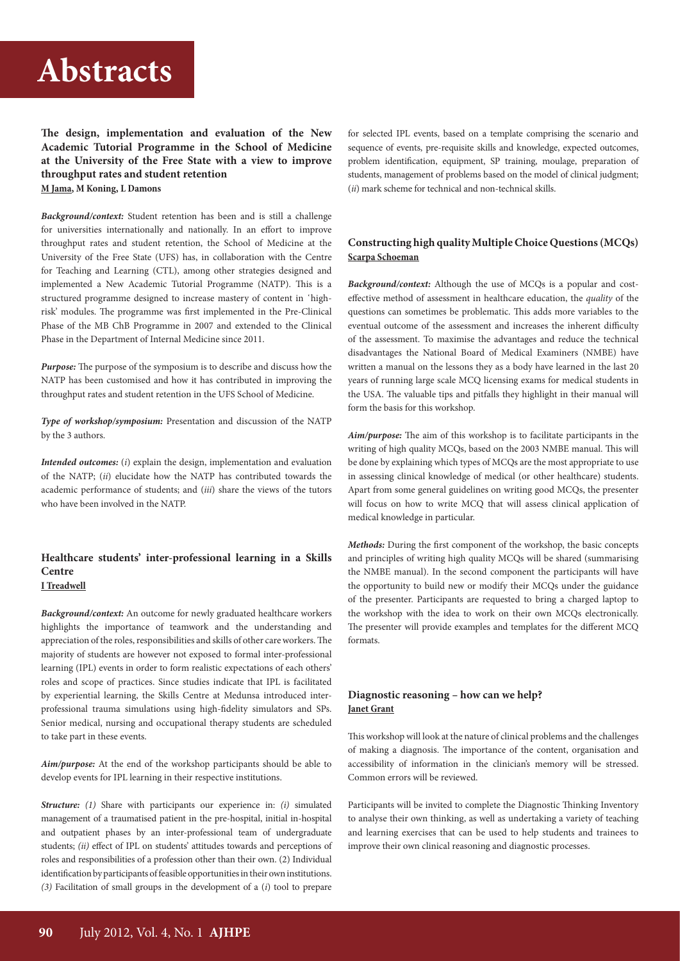**The design, implementation and evaluation of the New Academic Tutorial Programme in the School of Medicine at the University of the Free State with a view to improve throughput rates and student retention M Jama, M Koning, L Damons**

*Background/context:* Student retention has been and is still a challenge for universities internationally and nationally. In an effort to improve throughput rates and student retention, the School of Medicine at the University of the Free State (UFS) has, in collaboration with the Centre for Teaching and Learning (CTL), among other strategies designed and implemented a New Academic Tutorial Programme (NATP). This is a structured programme designed to increase mastery of content in 'highrisk' modules. The programme was first implemented in the Pre-Clinical Phase of the MB ChB Programme in 2007 and extended to the Clinical Phase in the Department of Internal Medicine since 2011.

*Purpose:* The purpose of the symposium is to describe and discuss how the NATP has been customised and how it has contributed in improving the throughput rates and student retention in the UFS School of Medicine.

*Type of workshop/symposium:* Presentation and discussion of the NATP by the 3 authors.

*Intended outcomes: (i)* explain the design, implementation and evaluation of the NATP; (*ii*) elucidate how the NATP has contributed towards the academic performance of students; and (*iii*) share the views of the tutors who have been involved in the NATP.

#### **Healthcare students' inter-professional learning in a Skills Centre I Treadwell**

*Background/context:* An outcome for newly graduated healthcare workers highlights the importance of teamwork and the understanding and appreciation of the roles, responsibilities and skills of other care workers. The majority of students are however not exposed to formal inter-professional learning (IPL) events in order to form realistic expectations of each others' roles and scope of practices. Since studies indicate that IPL is facilitated by experiential learning, the Skills Centre at Medunsa introduced interprofessional trauma simulations using high-fidelity simulators and SPs. Senior medical, nursing and occupational therapy students are scheduled to take part in these events.

*Aim/purpose:* At the end of the workshop participants should be able to develop events for IPL learning in their respective institutions.

*Structure: (1)* Share with participants our experience in: *(i)* simulated management of a traumatised patient in the pre-hospital, initial in-hospital and outpatient phases by an inter-professional team of undergraduate students; *(ii)* effect of IPL on students' attitudes towards and perceptions of roles and responsibilities of a profession other than their own. (2) Individual identification by participants of feasible opportunities in their own institutions. *(3)* Facilitation of small groups in the development of a (*i*) tool to prepare for selected IPL events, based on a template comprising the scenario and sequence of events, pre-requisite skills and knowledge, expected outcomes, problem identification, equipment, SP training, moulage, preparation of students, management of problems based on the model of clinical judgment; (*ii*) mark scheme for technical and non-technical skills.

## **Constructing high quality Multiple Choice Questions (MCQs) Scarpa Schoeman**

*Background/context:* Although the use of MCQs is a popular and costeffective method of assessment in healthcare education, the *quality* of the questions can sometimes be problematic. This adds more variables to the eventual outcome of the assessment and increases the inherent difficulty of the assessment. To maximise the advantages and reduce the technical disadvantages the National Board of Medical Examiners (NMBE) have written a manual on the lessons they as a body have learned in the last 20 years of running large scale MCQ licensing exams for medical students in the USA. The valuable tips and pitfalls they highlight in their manual will form the basis for this workshop.

*Aim/purpose:* The aim of this workshop is to facilitate participants in the writing of high quality MCQs, based on the 2003 NMBE manual. This will be done by explaining which types of MCQs are the most appropriate to use in assessing clinical knowledge of medical (or other healthcare) students. Apart from some general guidelines on writing good MCQs, the presenter will focus on how to write MCQ that will assess clinical application of medical knowledge in particular.

*Methods:* During the first component of the workshop, the basic concepts and principles of writing high quality MCQs will be shared (summarising the NMBE manual). In the second component the participants will have the opportunity to build new or modify their MCQs under the guidance of the presenter. Participants are requested to bring a charged laptop to the workshop with the idea to work on their own MCQs electronically. The presenter will provide examples and templates for the different MCQ formats.

### **Diagnostic reasoning – how can we help? Janet Grant**

This workshop will look at the nature of clinical problems and the challenges of making a diagnosis. The importance of the content, organisation and accessibility of information in the clinician's memory will be stressed. Common errors will be reviewed.

Participants will be invited to complete the Diagnostic Thinking Inventory to analyse their own thinking, as well as undertaking a variety of teaching and learning exercises that can be used to help students and trainees to improve their own clinical reasoning and diagnostic processes.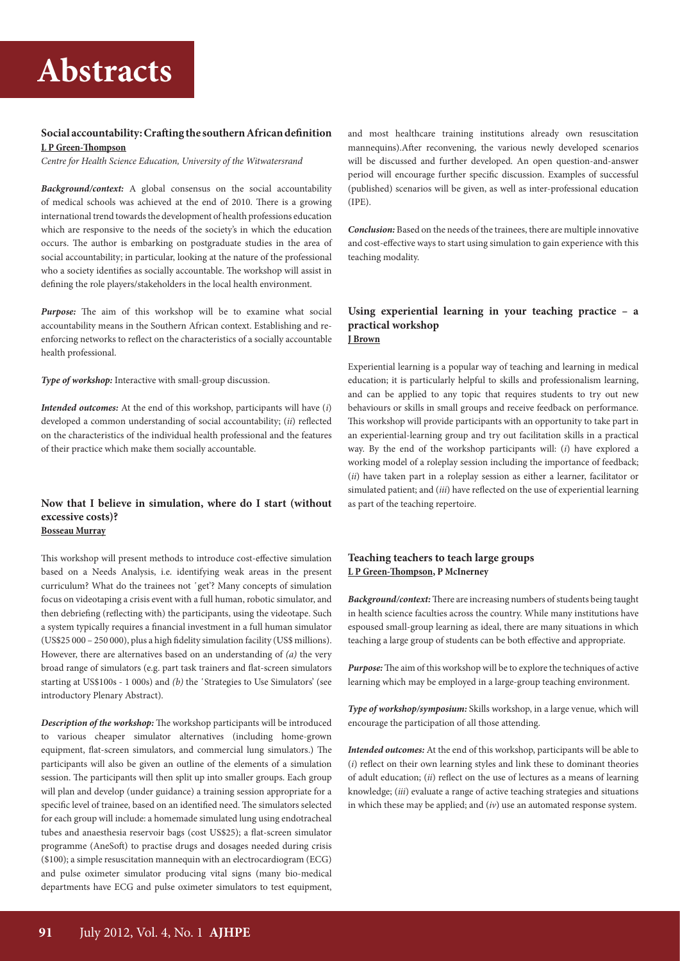#### **Social accountability: Crafting the southern African definition L P Green-Thompson**

*Centre for Health Science Education, University of the Witwatersrand*

*Background/context:* A global consensus on the social accountability of medical schools was achieved at the end of 2010. There is a growing international trend towards the development of health professions education which are responsive to the needs of the society's in which the education occurs. The author is embarking on postgraduate studies in the area of social accountability; in particular, looking at the nature of the professional who a society identifies as socially accountable. The workshop will assist in defining the role players/stakeholders in the local health environment.

*Purpose:* The aim of this workshop will be to examine what social accountability means in the Southern African context. Establishing and reenforcing networks to reflect on the characteristics of a socially accountable health professional.

*Type of workshop:* Interactive with small-group discussion.

*Intended outcomes:* At the end of this workshop, participants will have (*i*) developed a common understanding of social accountability; (*ii*) reflected on the characteristics of the individual health professional and the features of their practice which make them socially accountable.

#### **Now that I believe in simulation, where do I start (without excessive costs)? Bosseau Murray**

This workshop will present methods to introduce cost-effective simulation based on a Needs Analysis, i.e. identifying weak areas in the present curriculum? What do the trainees not 'get'? Many concepts of simulation focus on videotaping a crisis event with a full human, robotic simulator, and then debriefing (reflecting with) the participants, using the videotape. Such a system typically requires a financial investment in a full human simulator (US\$25 000 – 250 000), plus a high fidelity simulation facility (US\$ millions). However, there are alternatives based on an understanding of *(a)* the very broad range of simulators (e.g. part task trainers and flat-screen simulators starting at US\$100s - 1 000s) and *(b)* the 'Strategies to Use Simulators' (see introductory Plenary Abstract).

*Description of the workshop:* The workshop participants will be introduced to various cheaper simulator alternatives (including home-grown equipment, flat-screen simulators, and commercial lung simulators.) The participants will also be given an outline of the elements of a simulation session. The participants will then split up into smaller groups. Each group will plan and develop (under guidance) a training session appropriate for a specific level of trainee, based on an identified need. The simulators selected for each group will include: a homemade simulated lung using endotracheal tubes and anaesthesia reservoir bags (cost US\$25); a flat-screen simulator programme (AneSoft) to practise drugs and dosages needed during crisis (\$100); a simple resuscitation mannequin with an electrocardiogram (ECG) and pulse oximeter simulator producing vital signs (many bio-medical departments have ECG and pulse oximeter simulators to test equipment, and most healthcare training institutions already own resuscitation mannequins).After reconvening, the various newly developed scenarios will be discussed and further developed. An open question-and-answer period will encourage further specific discussion. Examples of successful (published) scenarios will be given, as well as inter-professional education (IPE).

*Conclusion:* Based on the needs of the trainees, there are multiple innovative and cost-effective ways to start using simulation to gain experience with this teaching modality.

#### **Using experiential learning in your teaching practice – a practical workshop J Brown**

Experiential learning is a popular way of teaching and learning in medical education; it is particularly helpful to skills and professionalism learning, and can be applied to any topic that requires students to try out new behaviours or skills in small groups and receive feedback on performance. This workshop will provide participants with an opportunity to take part in an experiential-learning group and try out facilitation skills in a practical way. By the end of the workshop participants will: (*i*) have explored a working model of a roleplay session including the importance of feedback; (*ii*) have taken part in a roleplay session as either a learner, facilitator or simulated patient; and (*iii*) have reflected on the use of experiential learning as part of the teaching repertoire.

### **Teaching teachers to teach large groups L P Green-Thompson, P McInerney**

*Background/context:* There are increasing numbers of students being taught in health science faculties across the country. While many institutions have espoused small-group learning as ideal, there are many situations in which teaching a large group of students can be both effective and appropriate.

*Purpose:* The aim of this workshop will be to explore the techniques of active learning which may be employed in a large-group teaching environment.

*Type of workshop/symposium:* Skills workshop, in a large venue, which will encourage the participation of all those attending.

*Intended outcomes:* At the end of this workshop, participants will be able to (*i*) reflect on their own learning styles and link these to dominant theories of adult education; (*ii*) reflect on the use of lectures as a means of learning knowledge; (*iii*) evaluate a range of active teaching strategies and situations in which these may be applied; and (*iv*) use an automated response system.